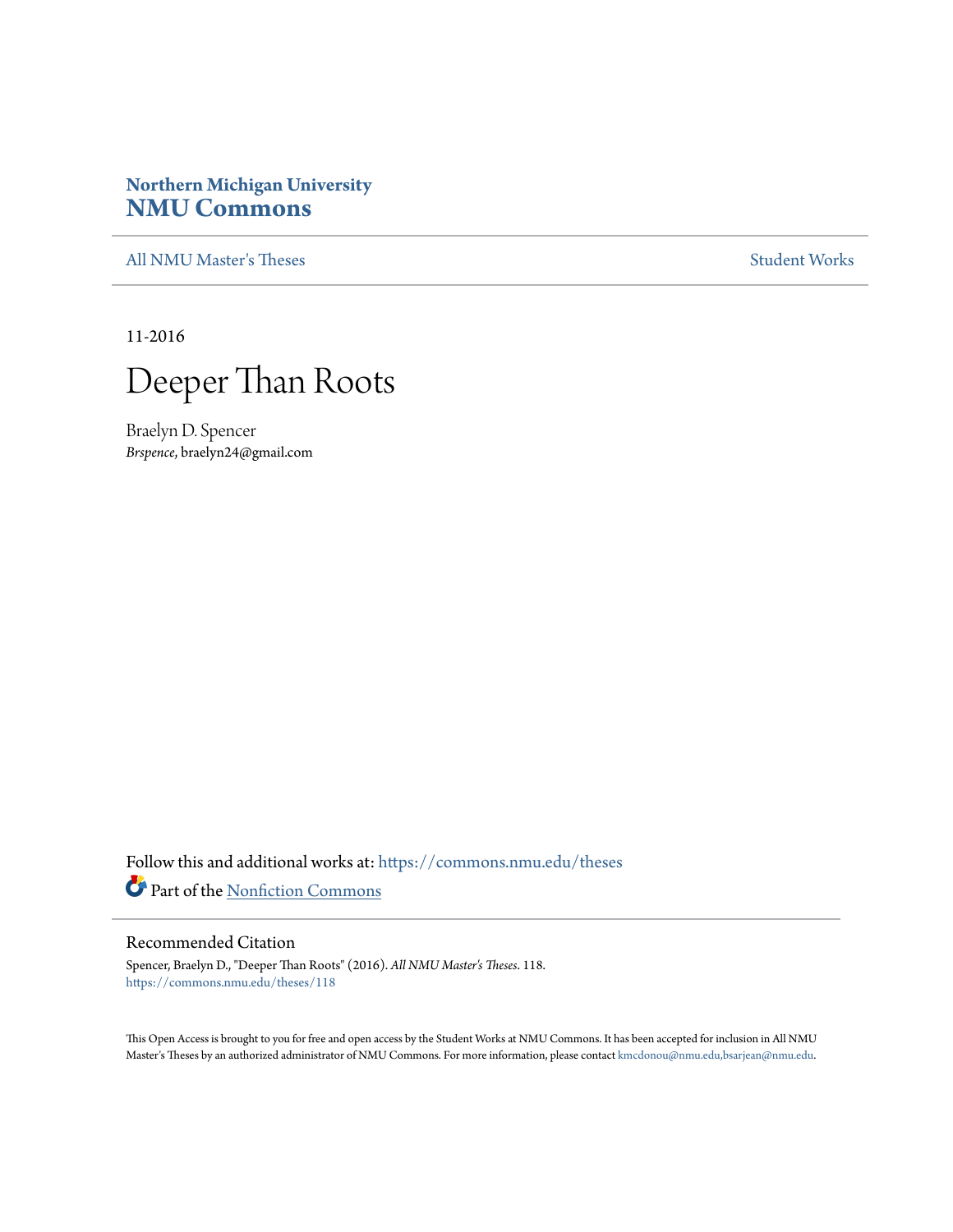# **Northern Michigan University [NMU Commons](https://commons.nmu.edu?utm_source=commons.nmu.edu%2Ftheses%2F118&utm_medium=PDF&utm_campaign=PDFCoverPages)**

[All NMU Master's Theses](https://commons.nmu.edu/theses?utm_source=commons.nmu.edu%2Ftheses%2F118&utm_medium=PDF&utm_campaign=PDFCoverPages) [Student Works](https://commons.nmu.edu/student_works?utm_source=commons.nmu.edu%2Ftheses%2F118&utm_medium=PDF&utm_campaign=PDFCoverPages)

11-2016



Braelyn D. Spencer *Brspence*, braelyn24@gmail.com

Follow this and additional works at: [https://commons.nmu.edu/theses](https://commons.nmu.edu/theses?utm_source=commons.nmu.edu%2Ftheses%2F118&utm_medium=PDF&utm_campaign=PDFCoverPages) Part of the [Nonfiction Commons](http://network.bepress.com/hgg/discipline/1152?utm_source=commons.nmu.edu%2Ftheses%2F118&utm_medium=PDF&utm_campaign=PDFCoverPages)

#### Recommended Citation

Spencer, Braelyn D., "Deeper Than Roots" (2016). *All NMU Master's Theses*. 118. [https://commons.nmu.edu/theses/118](https://commons.nmu.edu/theses/118?utm_source=commons.nmu.edu%2Ftheses%2F118&utm_medium=PDF&utm_campaign=PDFCoverPages)

This Open Access is brought to you for free and open access by the Student Works at NMU Commons. It has been accepted for inclusion in All NMU Master's Theses by an authorized administrator of NMU Commons. For more information, please contact [kmcdonou@nmu.edu,bsarjean@nmu.edu.](mailto:kmcdonou@nmu.edu,bsarjean@nmu.edu)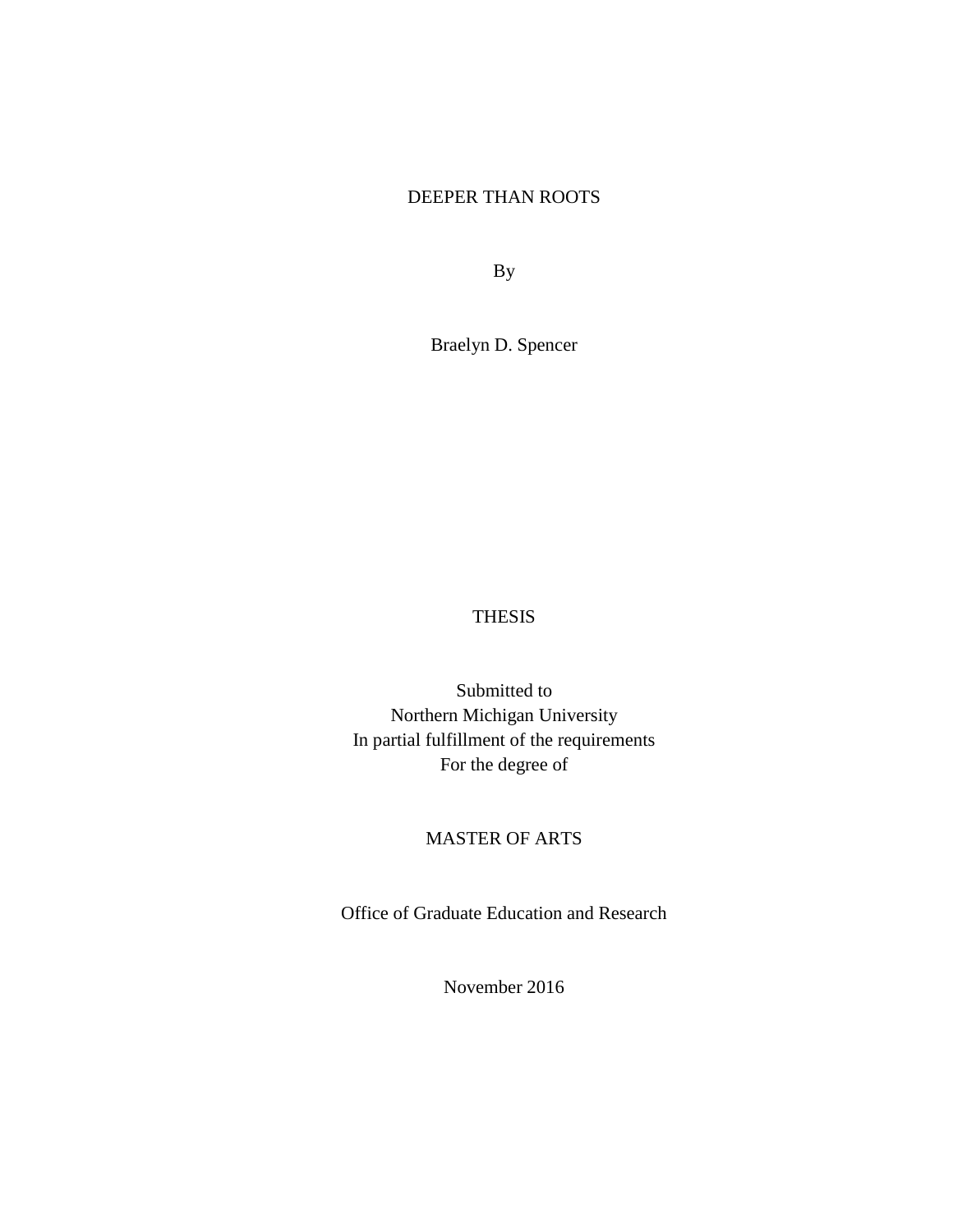## DEEPER THAN ROOTS

By

Braelyn D. Spencer

### THESIS

Submitted to Northern Michigan University In partial fulfillment of the requirements For the degree of

## MASTER OF ARTS

Office of Graduate Education and Research

November 2016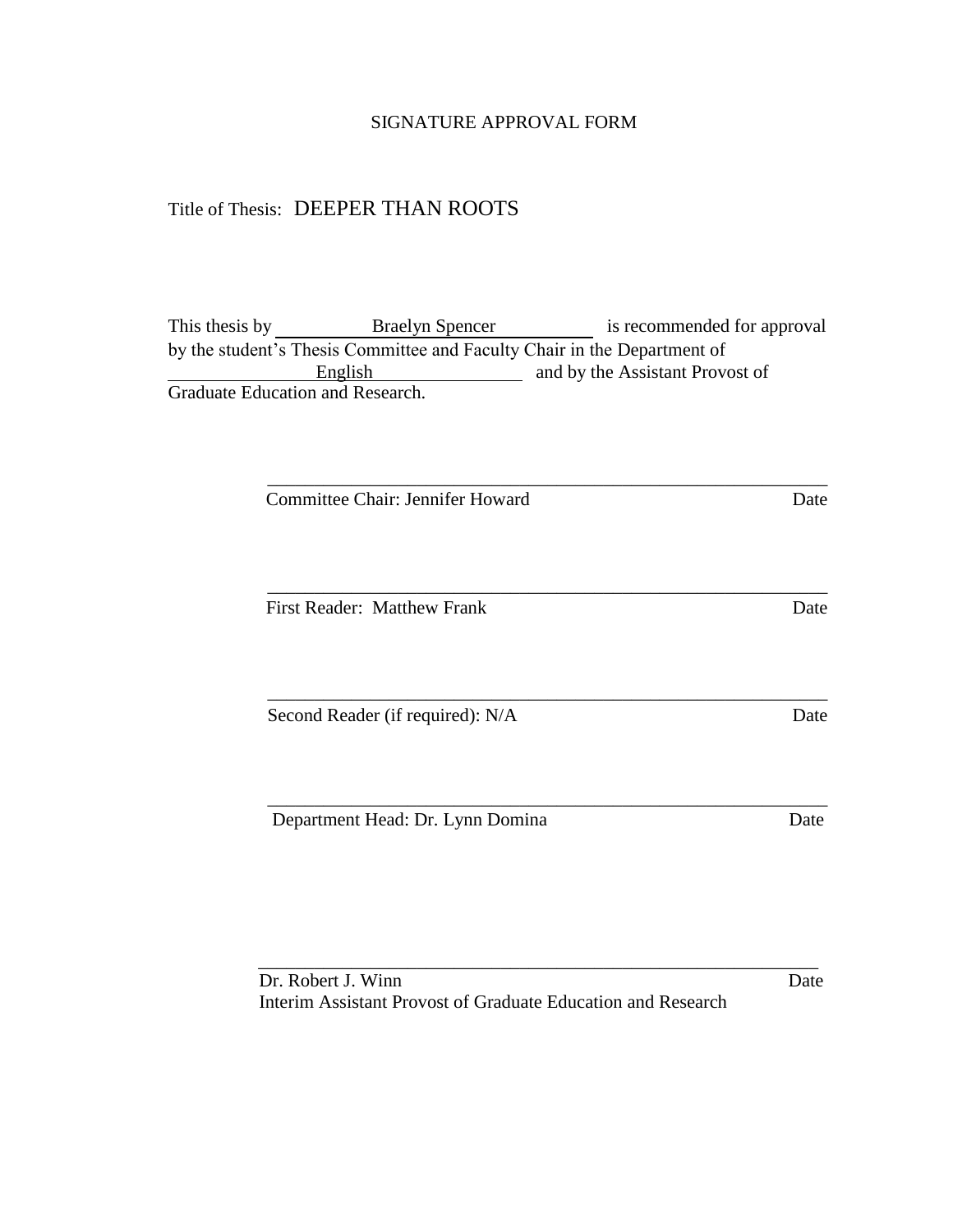### SIGNATURE APPROVAL FORM

## Title of Thesis: DEEPER THAN ROOTS

This thesis by **Braelyn Spencer** is recommended for approval by the student's Thesis Committee and Faculty Chair in the Department of English and by the Assistant Provost of Graduate Education and Research.

\_\_\_\_\_\_\_\_\_\_\_\_\_\_\_\_\_\_\_\_\_\_\_\_\_\_\_\_\_\_\_\_\_\_\_\_\_\_\_\_\_\_\_\_\_\_\_\_\_\_\_\_\_\_\_\_\_\_\_\_

\_\_\_\_\_\_\_\_\_\_\_\_\_\_\_\_\_\_\_\_\_\_\_\_\_\_\_\_\_\_\_\_\_\_\_\_\_\_\_\_\_\_\_\_\_\_\_\_\_\_\_\_\_\_\_\_\_\_\_\_

\_\_\_\_\_\_\_\_\_\_\_\_\_\_\_\_\_\_\_\_\_\_\_\_\_\_\_\_\_\_\_\_\_\_\_\_\_\_\_\_\_\_\_\_\_\_\_\_\_\_\_\_\_\_\_\_\_\_\_\_

\_\_\_\_\_\_\_\_\_\_\_\_\_\_\_\_\_\_\_\_\_\_\_\_\_\_\_\_\_\_\_\_\_\_\_\_\_\_\_\_\_\_\_\_\_\_\_\_\_\_\_\_\_\_\_\_\_\_\_\_

Committee Chair: Jennifer Howard Date

First Reader: Matthew Frank Date

Second Reader (if required): N/A Date

Department Head: Dr. Lynn Domina Date

Dr. Robert J. Winn Date Interim Assistant Provost of Graduate Education and Research

\_\_\_\_\_\_\_\_\_\_\_\_\_\_\_\_\_\_\_\_\_\_\_\_\_\_\_\_\_\_\_\_\_\_\_\_\_\_\_\_\_\_\_\_\_\_\_\_\_\_\_\_\_\_\_\_\_\_\_\_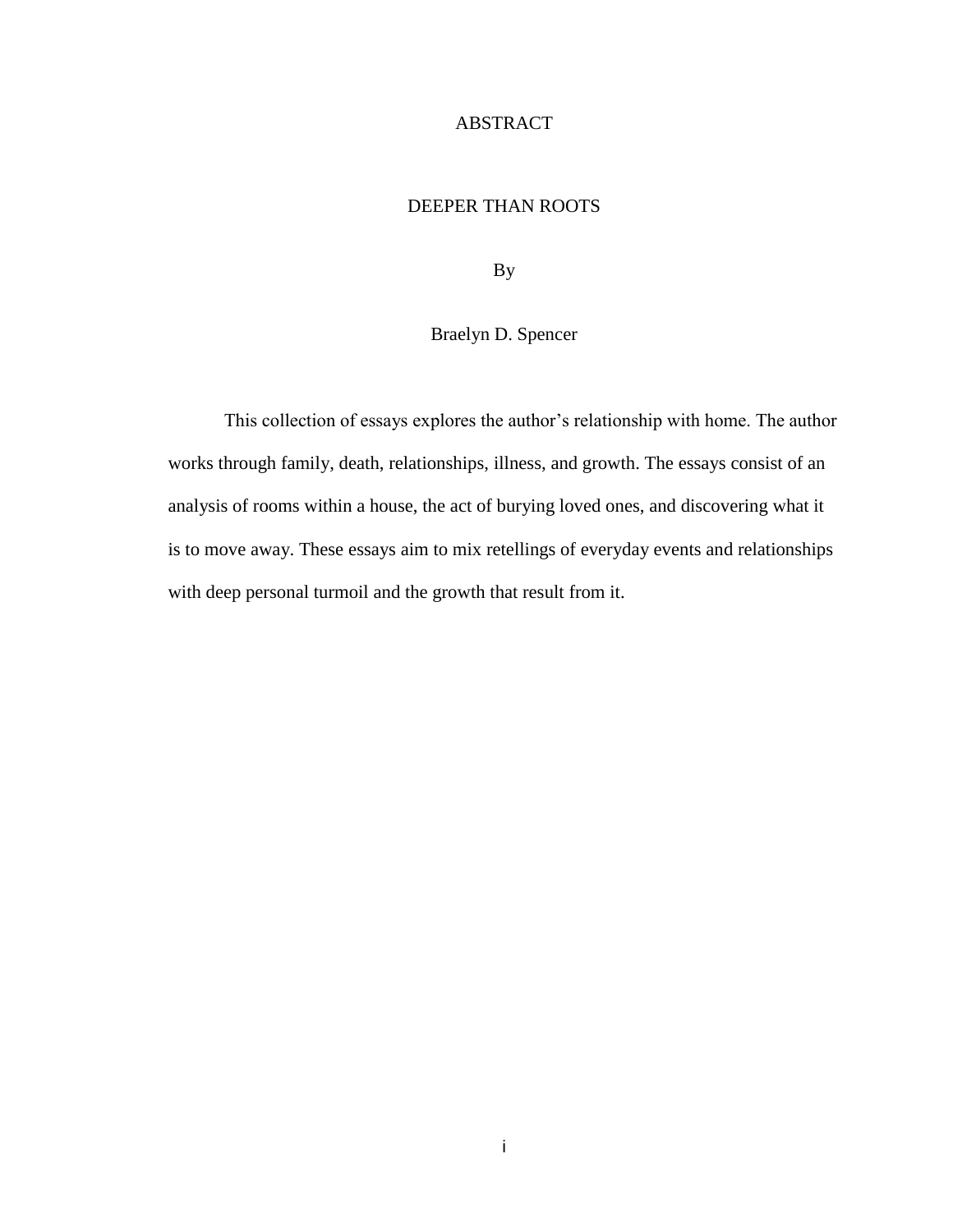## ABSTRACT

## DEEPER THAN ROOTS

By

## Braelyn D. Spencer

This collection of essays explores the author's relationship with home. The author works through family, death, relationships, illness, and growth. The essays consist of an analysis of rooms within a house, the act of burying loved ones, and discovering what it is to move away. These essays aim to mix retellings of everyday events and relationships with deep personal turmoil and the growth that result from it.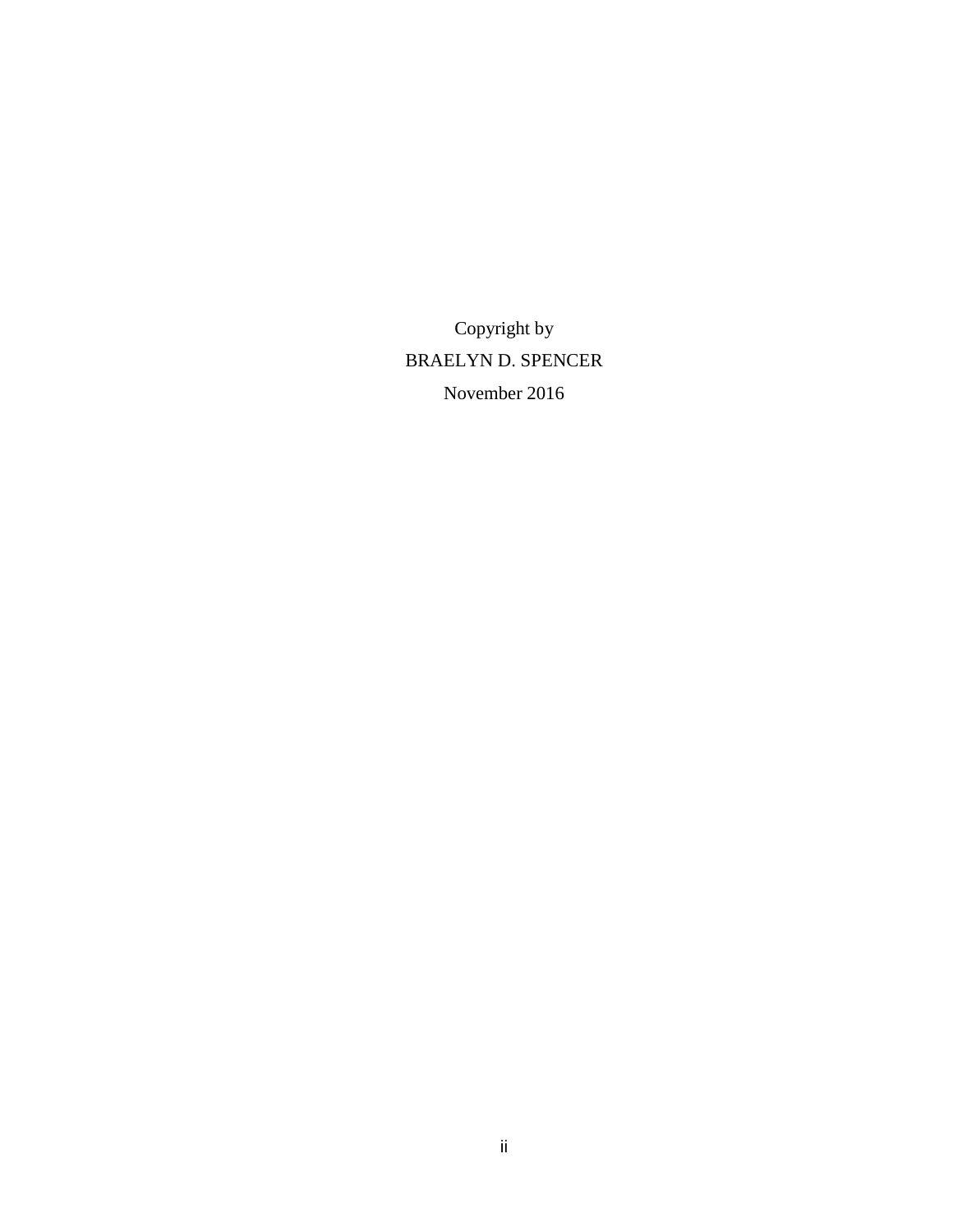Copyright by BRAELYN D. SPENCER November 2016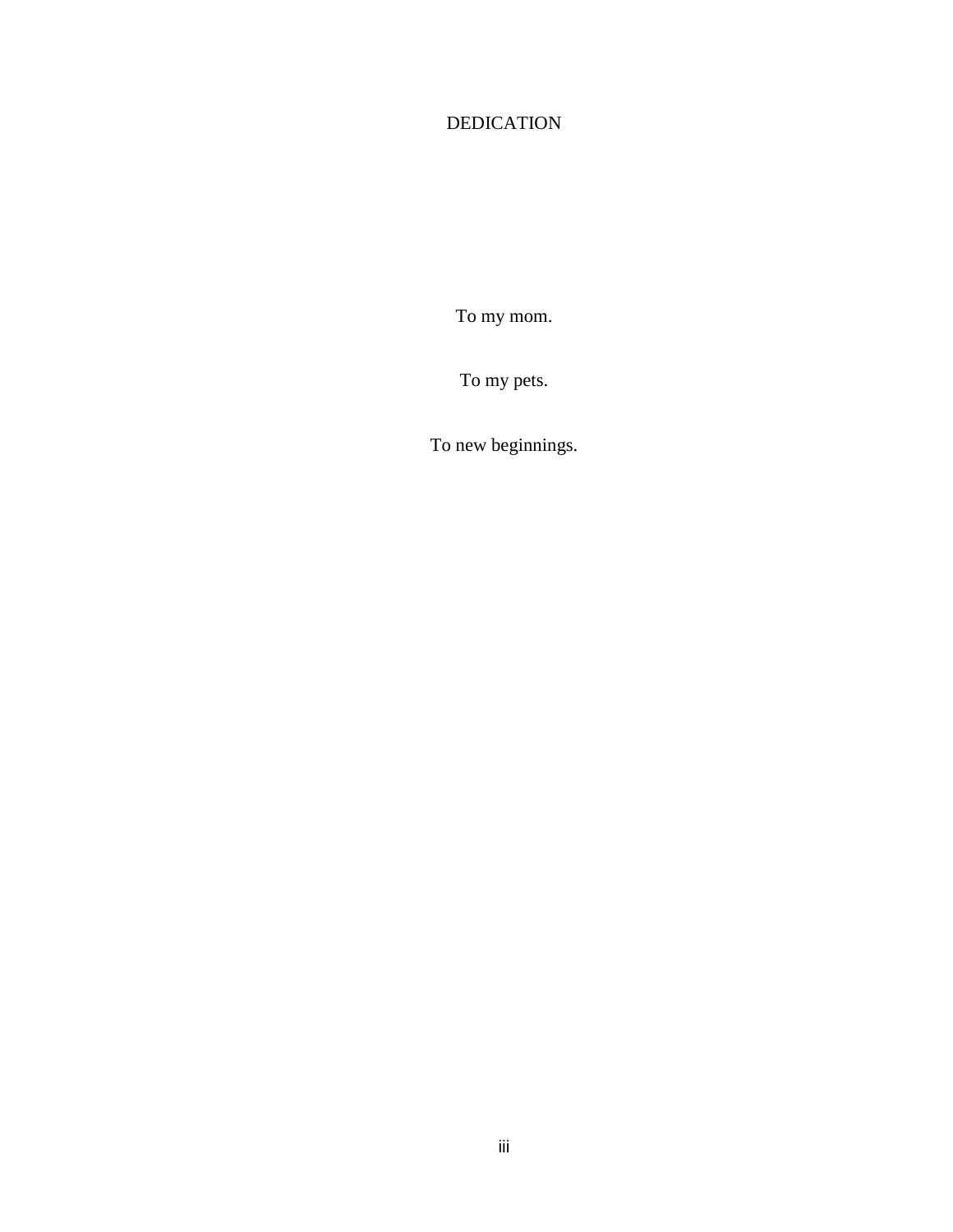# DEDICATION

To my mom.

To my pets.

To new beginnings.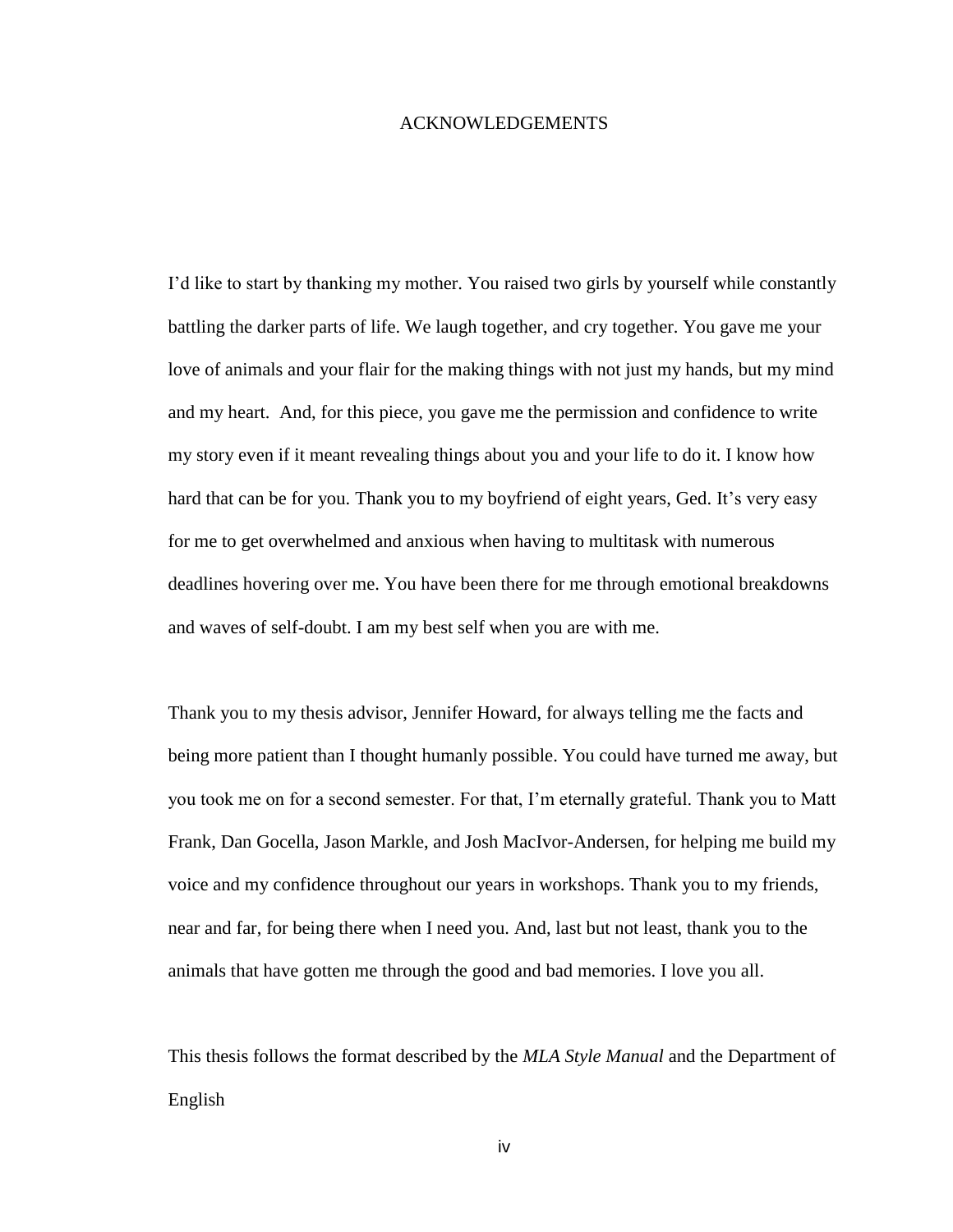#### ACKNOWLEDGEMENTS

I'd like to start by thanking my mother. You raised two girls by yourself while constantly battling the darker parts of life. We laugh together, and cry together. You gave me your love of animals and your flair for the making things with not just my hands, but my mind and my heart. And, for this piece, you gave me the permission and confidence to write my story even if it meant revealing things about you and your life to do it. I know how hard that can be for you. Thank you to my boyfriend of eight years, Ged. It's very easy for me to get overwhelmed and anxious when having to multitask with numerous deadlines hovering over me. You have been there for me through emotional breakdowns and waves of self-doubt. I am my best self when you are with me.

Thank you to my thesis advisor, Jennifer Howard, for always telling me the facts and being more patient than I thought humanly possible. You could have turned me away, but you took me on for a second semester. For that, I'm eternally grateful. Thank you to Matt Frank, Dan Gocella, Jason Markle, and Josh MacIvor-Andersen, for helping me build my voice and my confidence throughout our years in workshops. Thank you to my friends, near and far, for being there when I need you. And, last but not least, thank you to the animals that have gotten me through the good and bad memories. I love you all.

This thesis follows the format described by the *MLA Style Manual* and the Department of English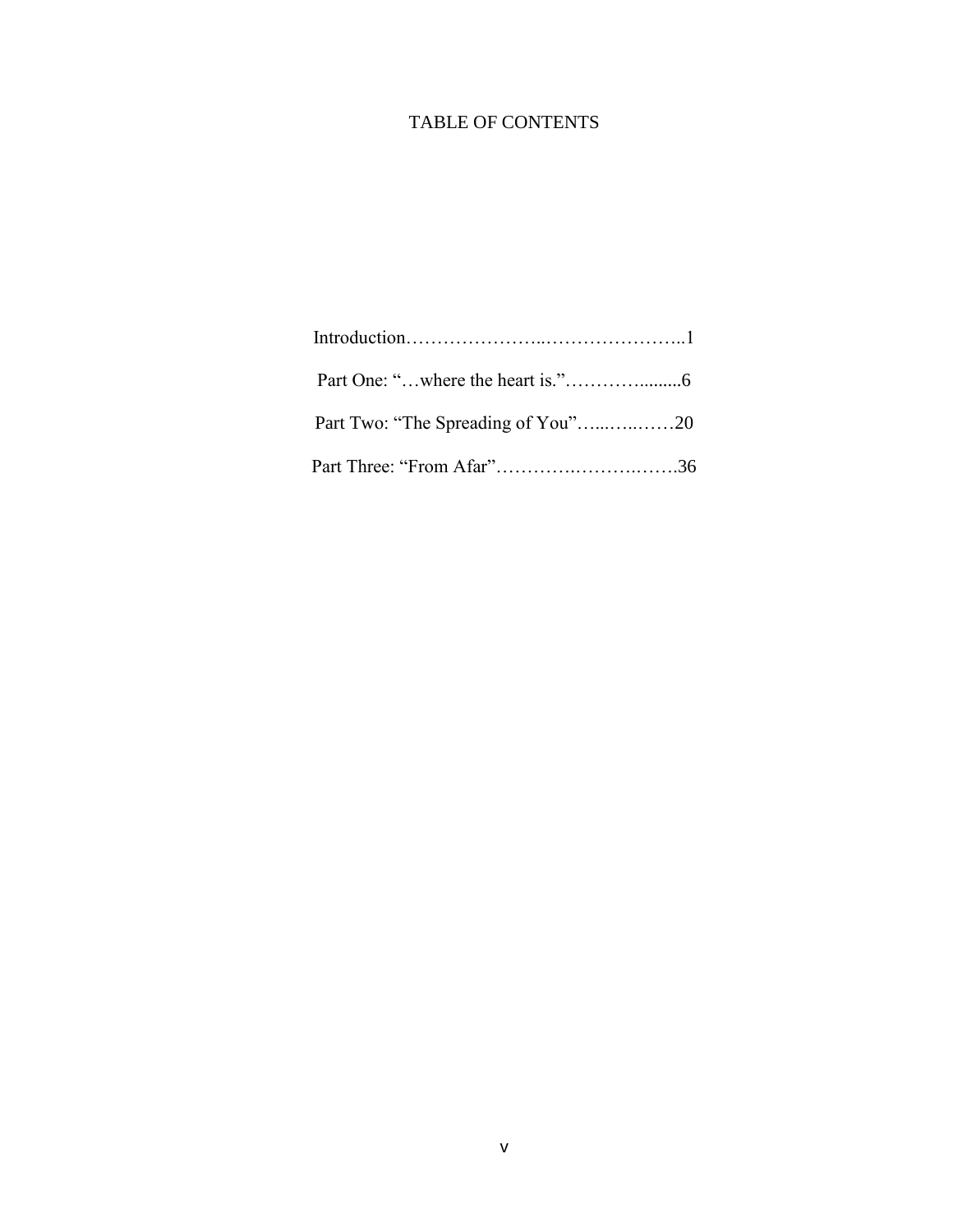# TABLE OF CONTENTS

| Part Three: "From Afar"36 |  |
|---------------------------|--|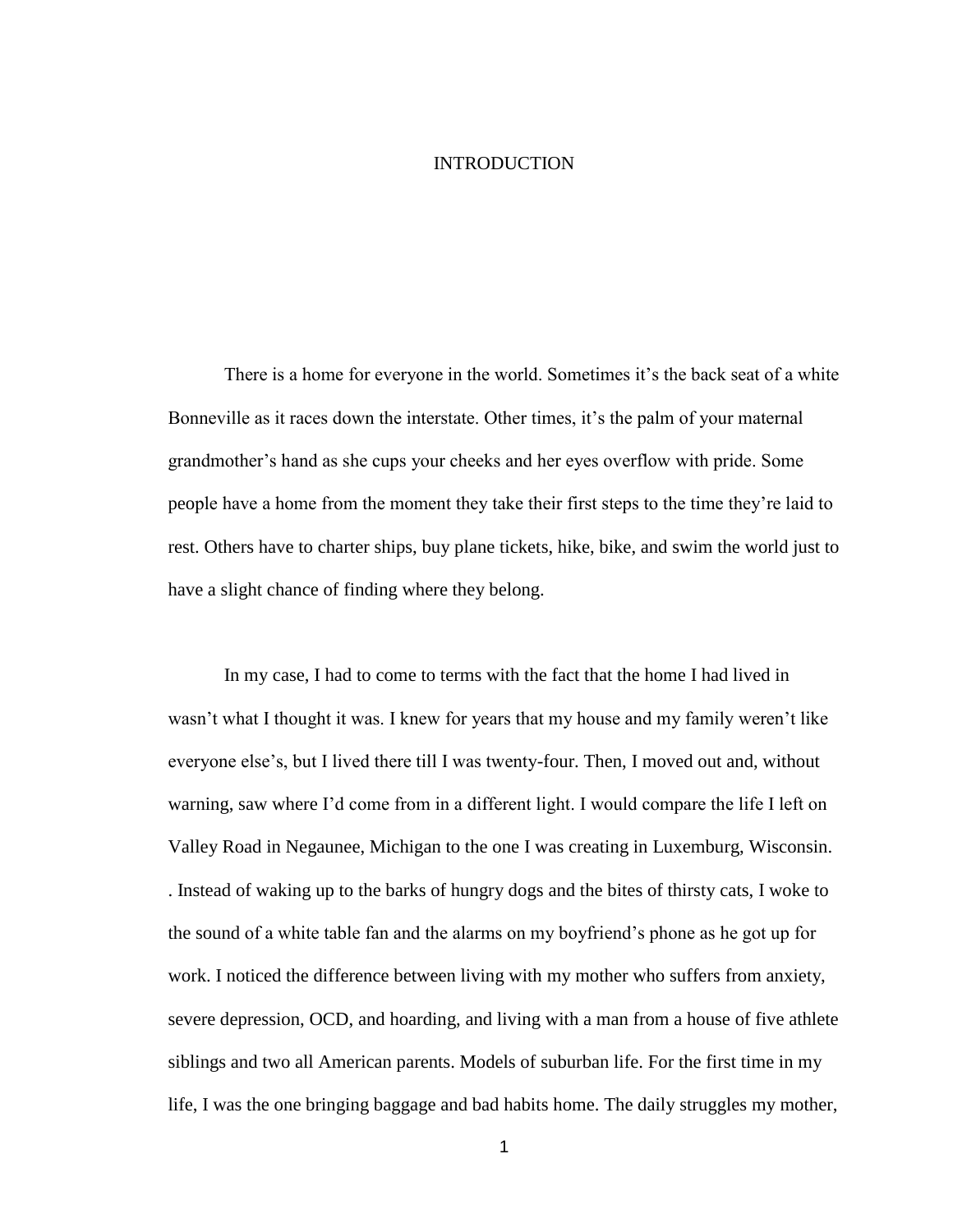### INTRODUCTION

There is a home for everyone in the world. Sometimes it's the back seat of a white Bonneville as it races down the interstate. Other times, it's the palm of your maternal grandmother's hand as she cups your cheeks and her eyes overflow with pride. Some people have a home from the moment they take their first steps to the time they're laid to rest. Others have to charter ships, buy plane tickets, hike, bike, and swim the world just to have a slight chance of finding where they belong.

In my case, I had to come to terms with the fact that the home I had lived in wasn't what I thought it was. I knew for years that my house and my family weren't like everyone else's, but I lived there till I was twenty-four. Then, I moved out and, without warning, saw where I'd come from in a different light. I would compare the life I left on Valley Road in Negaunee, Michigan to the one I was creating in Luxemburg, Wisconsin. . Instead of waking up to the barks of hungry dogs and the bites of thirsty cats, I woke to the sound of a white table fan and the alarms on my boyfriend's phone as he got up for work. I noticed the difference between living with my mother who suffers from anxiety, severe depression, OCD, and hoarding, and living with a man from a house of five athlete siblings and two all American parents. Models of suburban life. For the first time in my life, I was the one bringing baggage and bad habits home. The daily struggles my mother,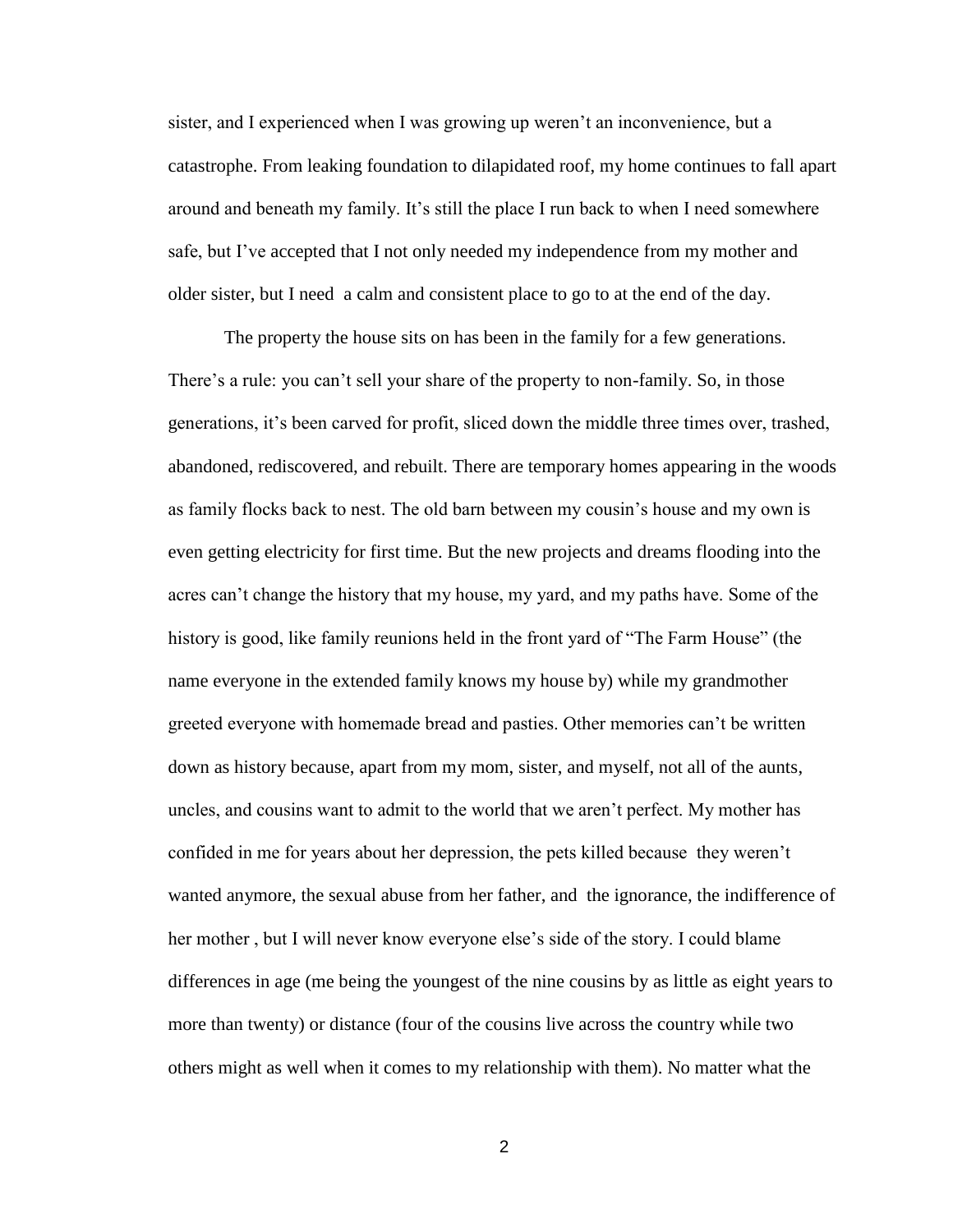sister, and I experienced when I was growing up weren't an inconvenience, but a catastrophe. From leaking foundation to dilapidated roof, my home continues to fall apart around and beneath my family. It's still the place I run back to when I need somewhere safe, but I've accepted that I not only needed my independence from my mother and older sister, but I need a calm and consistent place to go to at the end of the day.

The property the house sits on has been in the family for a few generations. There's a rule: you can't sell your share of the property to non-family. So, in those generations, it's been carved for profit, sliced down the middle three times over, trashed, abandoned, rediscovered, and rebuilt. There are temporary homes appearing in the woods as family flocks back to nest. The old barn between my cousin's house and my own is even getting electricity for first time. But the new projects and dreams flooding into the acres can't change the history that my house, my yard, and my paths have. Some of the history is good, like family reunions held in the front yard of "The Farm House" (the name everyone in the extended family knows my house by) while my grandmother greeted everyone with homemade bread and pasties. Other memories can't be written down as history because, apart from my mom, sister, and myself, not all of the aunts, uncles, and cousins want to admit to the world that we aren't perfect. My mother has confided in me for years about her depression, the pets killed because they weren't wanted anymore, the sexual abuse from her father, and the ignorance, the indifference of her mother , but I will never know everyone else's side of the story. I could blame differences in age (me being the youngest of the nine cousins by as little as eight years to more than twenty) or distance (four of the cousins live across the country while two others might as well when it comes to my relationship with them). No matter what the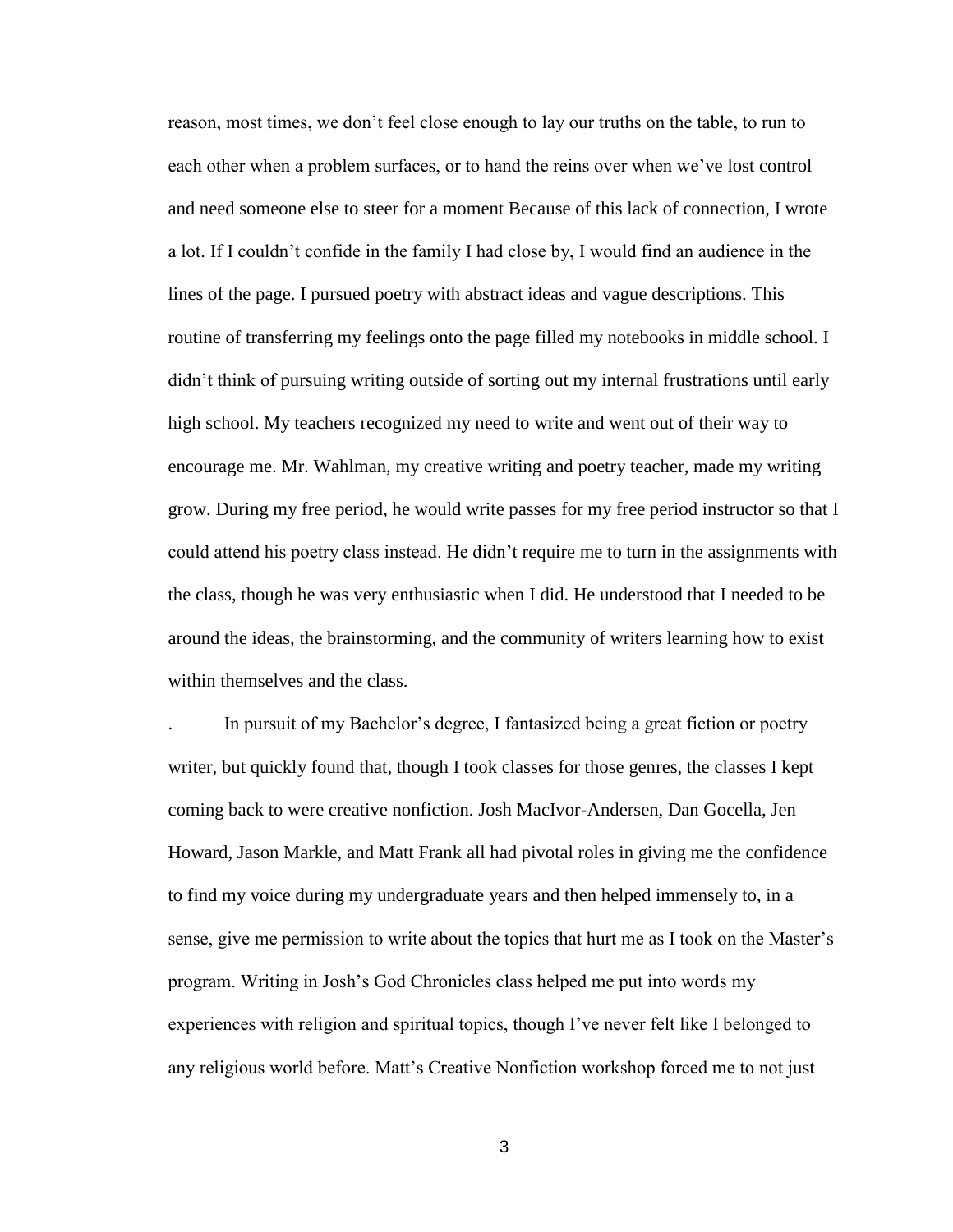reason, most times, we don't feel close enough to lay our truths on the table, to run to each other when a problem surfaces, or to hand the reins over when we've lost control and need someone else to steer for a moment Because of this lack of connection, I wrote a lot. If I couldn't confide in the family I had close by, I would find an audience in the lines of the page. I pursued poetry with abstract ideas and vague descriptions. This routine of transferring my feelings onto the page filled my notebooks in middle school. I didn't think of pursuing writing outside of sorting out my internal frustrations until early high school. My teachers recognized my need to write and went out of their way to encourage me. Mr. Wahlman, my creative writing and poetry teacher, made my writing grow. During my free period, he would write passes for my free period instructor so that I could attend his poetry class instead. He didn't require me to turn in the assignments with the class, though he was very enthusiastic when I did. He understood that I needed to be around the ideas, the brainstorming, and the community of writers learning how to exist within themselves and the class.

. In pursuit of my Bachelor's degree, I fantasized being a great fiction or poetry writer, but quickly found that, though I took classes for those genres, the classes I kept coming back to were creative nonfiction. Josh MacIvor-Andersen, Dan Gocella, Jen Howard, Jason Markle, and Matt Frank all had pivotal roles in giving me the confidence to find my voice during my undergraduate years and then helped immensely to, in a sense, give me permission to write about the topics that hurt me as I took on the Master's program. Writing in Josh's God Chronicles class helped me put into words my experiences with religion and spiritual topics, though I've never felt like I belonged to any religious world before. Matt's Creative Nonfiction workshop forced me to not just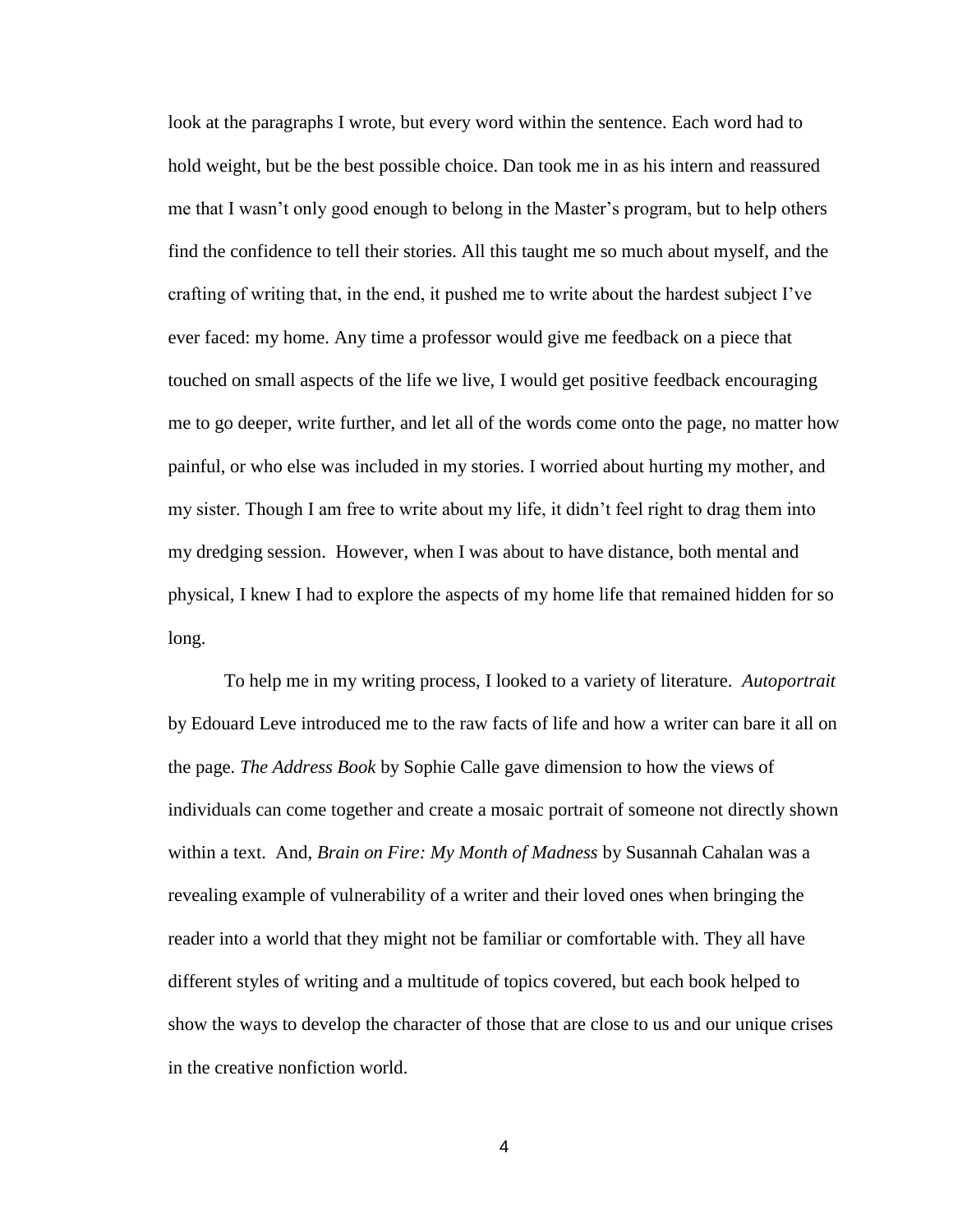look at the paragraphs I wrote, but every word within the sentence. Each word had to hold weight, but be the best possible choice. Dan took me in as his intern and reassured me that I wasn't only good enough to belong in the Master's program, but to help others find the confidence to tell their stories. All this taught me so much about myself, and the crafting of writing that, in the end, it pushed me to write about the hardest subject I've ever faced: my home. Any time a professor would give me feedback on a piece that touched on small aspects of the life we live, I would get positive feedback encouraging me to go deeper, write further, and let all of the words come onto the page, no matter how painful, or who else was included in my stories. I worried about hurting my mother, and my sister. Though I am free to write about my life, it didn't feel right to drag them into my dredging session. However, when I was about to have distance, both mental and physical, I knew I had to explore the aspects of my home life that remained hidden for so long.

To help me in my writing process, I looked to a variety of literature. *Autoportrait* by Edouard Leve introduced me to the raw facts of life and how a writer can bare it all on the page. *The Address Book* by Sophie Calle gave dimension to how the views of individuals can come together and create a mosaic portrait of someone not directly shown within a text. And, *Brain on Fire: My Month of Madness* by Susannah Cahalan was a revealing example of vulnerability of a writer and their loved ones when bringing the reader into a world that they might not be familiar or comfortable with. They all have different styles of writing and a multitude of topics covered, but each book helped to show the ways to develop the character of those that are close to us and our unique crises in the creative nonfiction world.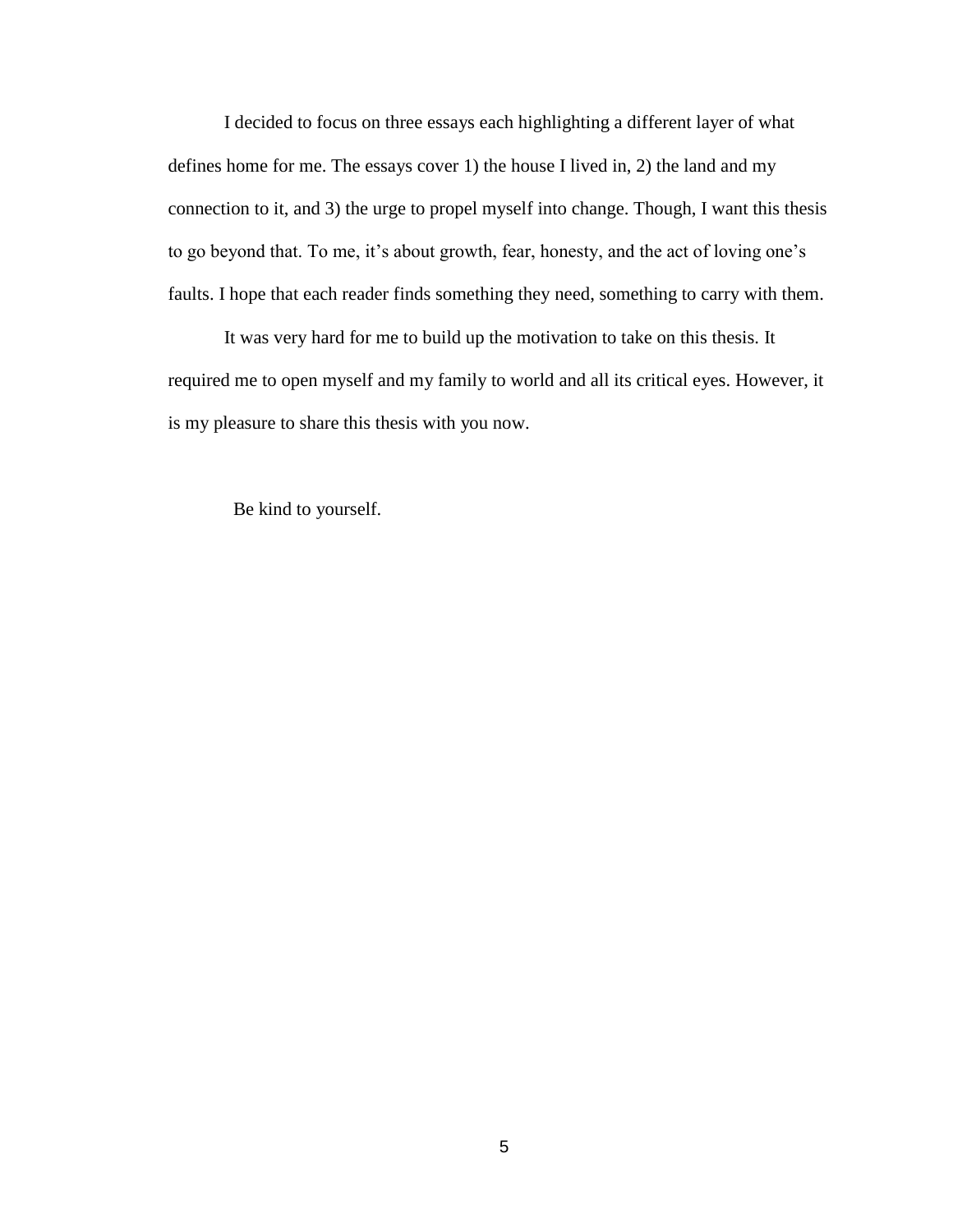I decided to focus on three essays each highlighting a different layer of what defines home for me. The essays cover 1) the house I lived in, 2) the land and my connection to it, and 3) the urge to propel myself into change. Though, I want this thesis to go beyond that. To me, it's about growth, fear, honesty, and the act of loving one's faults. I hope that each reader finds something they need, something to carry with them.

It was very hard for me to build up the motivation to take on this thesis. It required me to open myself and my family to world and all its critical eyes. However, it is my pleasure to share this thesis with you now.

Be kind to yourself.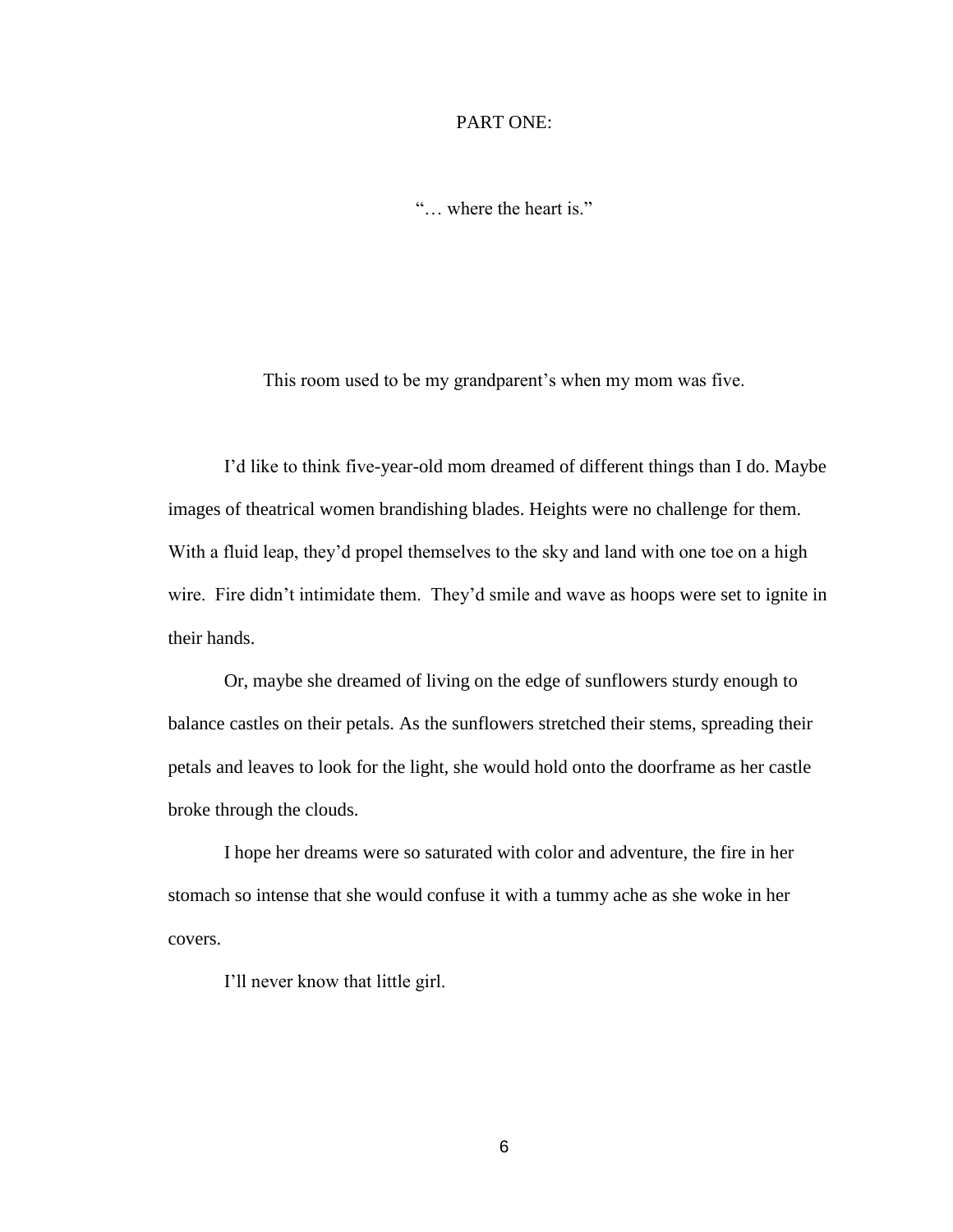### PART ONE:

"… where the heart is."

This room used to be my grandparent's when my mom was five.

I'd like to think five-year-old mom dreamed of different things than I do. Maybe images of theatrical women brandishing blades. Heights were no challenge for them. With a fluid leap, they'd propel themselves to the sky and land with one toe on a high wire. Fire didn't intimidate them. They'd smile and wave as hoops were set to ignite in their hands.

Or, maybe she dreamed of living on the edge of sunflowers sturdy enough to balance castles on their petals. As the sunflowers stretched their stems, spreading their petals and leaves to look for the light, she would hold onto the doorframe as her castle broke through the clouds.

I hope her dreams were so saturated with color and adventure, the fire in her stomach so intense that she would confuse it with a tummy ache as she woke in her covers.

I'll never know that little girl.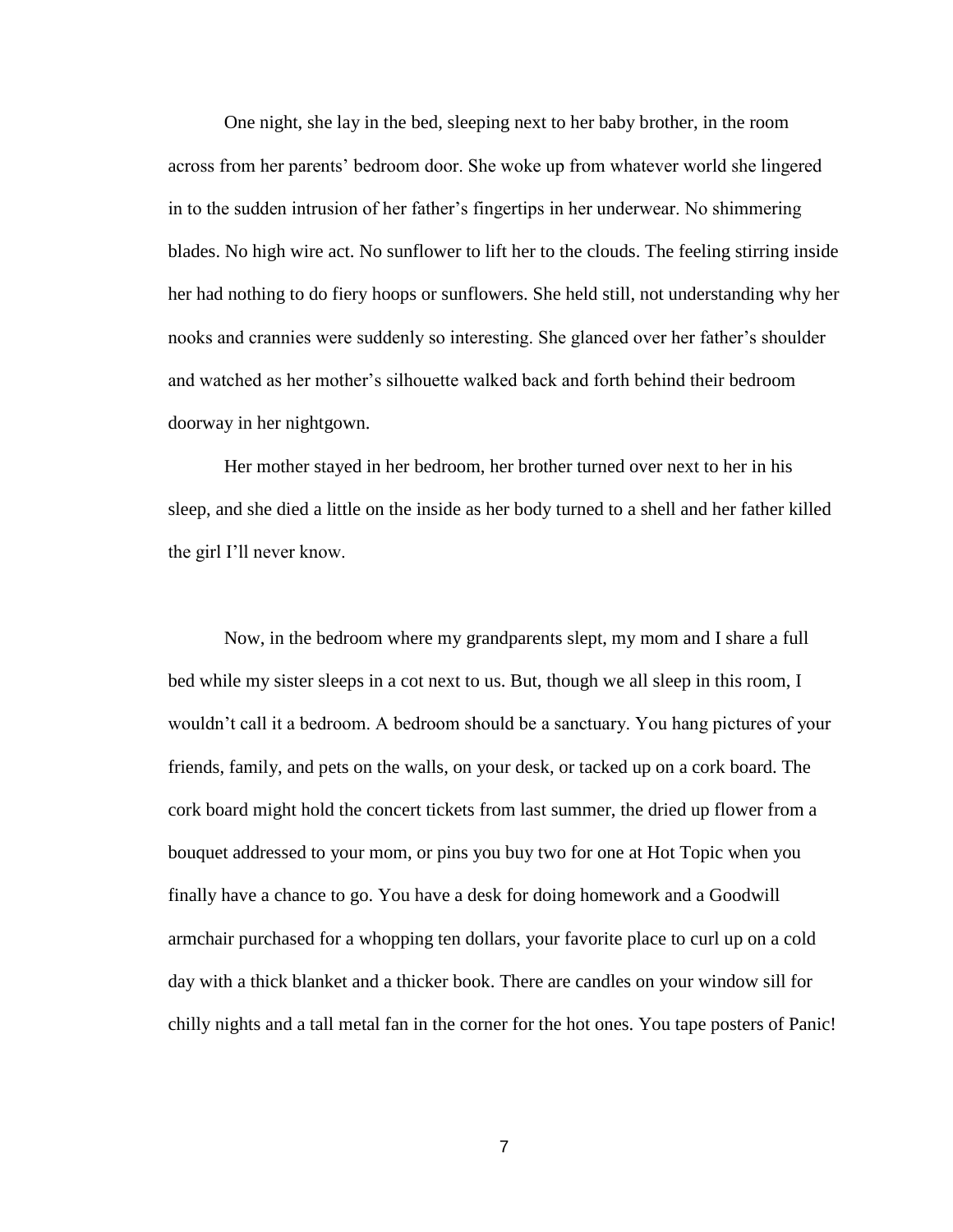One night, she lay in the bed, sleeping next to her baby brother, in the room across from her parents' bedroom door. She woke up from whatever world she lingered in to the sudden intrusion of her father's fingertips in her underwear. No shimmering blades. No high wire act. No sunflower to lift her to the clouds. The feeling stirring inside her had nothing to do fiery hoops or sunflowers. She held still, not understanding why her nooks and crannies were suddenly so interesting. She glanced over her father's shoulder and watched as her mother's silhouette walked back and forth behind their bedroom doorway in her nightgown.

Her mother stayed in her bedroom, her brother turned over next to her in his sleep, and she died a little on the inside as her body turned to a shell and her father killed the girl I'll never know.

Now, in the bedroom where my grandparents slept, my mom and I share a full bed while my sister sleeps in a cot next to us. But, though we all sleep in this room, I wouldn't call it a bedroom. A bedroom should be a sanctuary. You hang pictures of your friends, family, and pets on the walls, on your desk, or tacked up on a cork board. The cork board might hold the concert tickets from last summer, the dried up flower from a bouquet addressed to your mom, or pins you buy two for one at Hot Topic when you finally have a chance to go. You have a desk for doing homework and a Goodwill armchair purchased for a whopping ten dollars, your favorite place to curl up on a cold day with a thick blanket and a thicker book. There are candles on your window sill for chilly nights and a tall metal fan in the corner for the hot ones. You tape posters of Panic!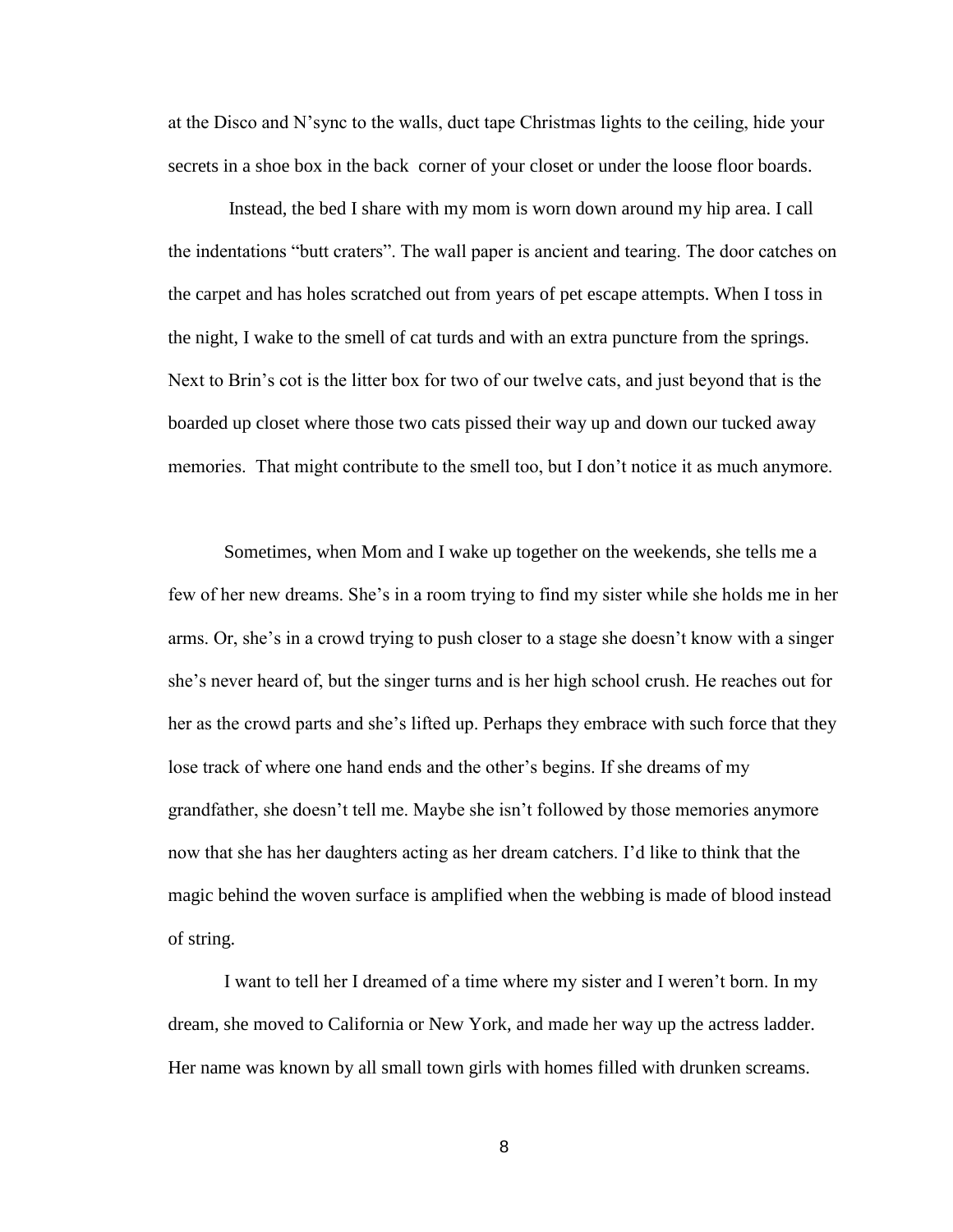at the Disco and N'sync to the walls, duct tape Christmas lights to the ceiling, hide your secrets in a shoe box in the back corner of your closet or under the loose floor boards.

Instead, the bed I share with my mom is worn down around my hip area. I call the indentations "butt craters". The wall paper is ancient and tearing. The door catches on the carpet and has holes scratched out from years of pet escape attempts. When I toss in the night, I wake to the smell of cat turds and with an extra puncture from the springs. Next to Brin's cot is the litter box for two of our twelve cats, and just beyond that is the boarded up closet where those two cats pissed their way up and down our tucked away memories. That might contribute to the smell too, but I don't notice it as much anymore.

Sometimes, when Mom and I wake up together on the weekends, she tells me a few of her new dreams. She's in a room trying to find my sister while she holds me in her arms. Or, she's in a crowd trying to push closer to a stage she doesn't know with a singer she's never heard of, but the singer turns and is her high school crush. He reaches out for her as the crowd parts and she's lifted up. Perhaps they embrace with such force that they lose track of where one hand ends and the other's begins. If she dreams of my grandfather, she doesn't tell me. Maybe she isn't followed by those memories anymore now that she has her daughters acting as her dream catchers. I'd like to think that the magic behind the woven surface is amplified when the webbing is made of blood instead of string.

I want to tell her I dreamed of a time where my sister and I weren't born. In my dream, she moved to California or New York, and made her way up the actress ladder. Her name was known by all small town girls with homes filled with drunken screams.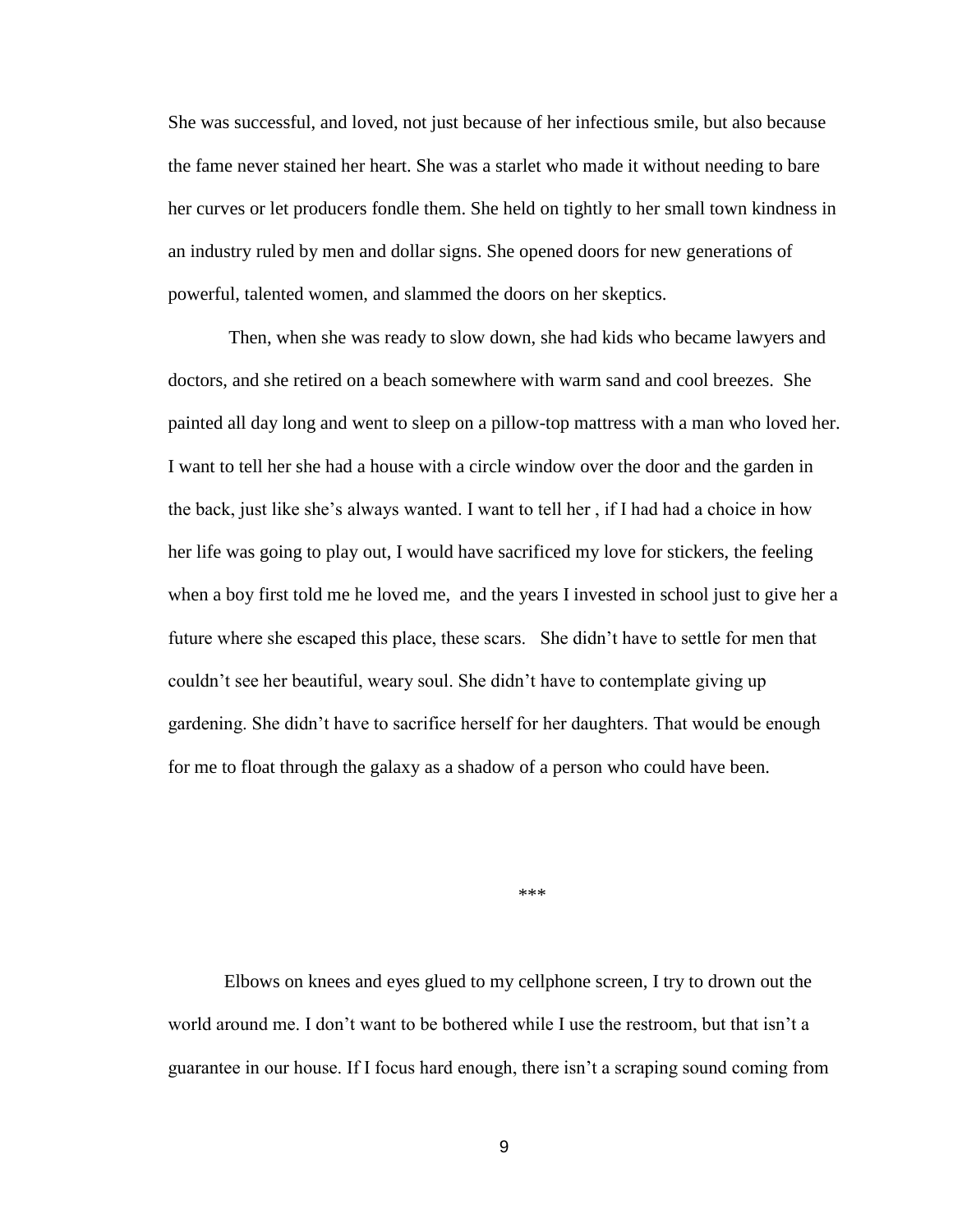She was successful, and loved, not just because of her infectious smile, but also because the fame never stained her heart. She was a starlet who made it without needing to bare her curves or let producers fondle them. She held on tightly to her small town kindness in an industry ruled by men and dollar signs. She opened doors for new generations of powerful, talented women, and slammed the doors on her skeptics.

Then, when she was ready to slow down, she had kids who became lawyers and doctors, and she retired on a beach somewhere with warm sand and cool breezes. She painted all day long and went to sleep on a pillow-top mattress with a man who loved her. I want to tell her she had a house with a circle window over the door and the garden in the back, just like she's always wanted. I want to tell her , if I had had a choice in how her life was going to play out, I would have sacrificed my love for stickers, the feeling when a boy first told me he loved me, and the years I invested in school just to give her a future where she escaped this place, these scars. She didn't have to settle for men that couldn't see her beautiful, weary soul. She didn't have to contemplate giving up gardening. She didn't have to sacrifice herself for her daughters. That would be enough for me to float through the galaxy as a shadow of a person who could have been.

\*\*\*

Elbows on knees and eyes glued to my cellphone screen, I try to drown out the world around me. I don't want to be bothered while I use the restroom, but that isn't a guarantee in our house. If I focus hard enough, there isn't a scraping sound coming from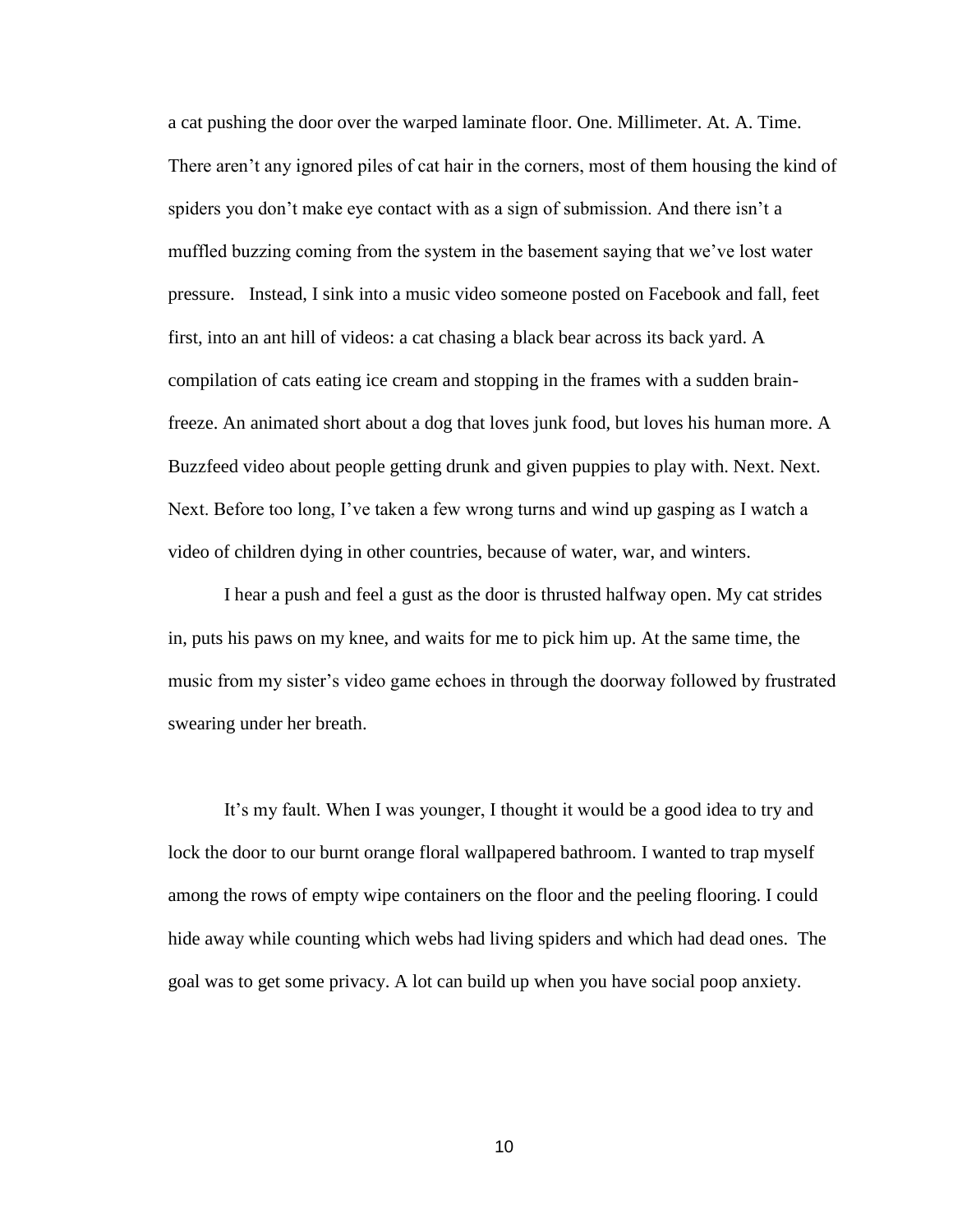a cat pushing the door over the warped laminate floor. One. Millimeter. At. A. Time. There aren't any ignored piles of cat hair in the corners, most of them housing the kind of spiders you don't make eye contact with as a sign of submission. And there isn't a muffled buzzing coming from the system in the basement saying that we've lost water pressure. Instead, I sink into a music video someone posted on Facebook and fall, feet first, into an ant hill of videos: a cat chasing a black bear across its back yard. A compilation of cats eating ice cream and stopping in the frames with a sudden brainfreeze. An animated short about a dog that loves junk food, but loves his human more. A Buzzfeed video about people getting drunk and given puppies to play with. Next. Next. Next. Before too long, I've taken a few wrong turns and wind up gasping as I watch a video of children dying in other countries, because of water, war, and winters.

I hear a push and feel a gust as the door is thrusted halfway open. My cat strides in, puts his paws on my knee, and waits for me to pick him up. At the same time, the music from my sister's video game echoes in through the doorway followed by frustrated swearing under her breath.

It's my fault. When I was younger, I thought it would be a good idea to try and lock the door to our burnt orange floral wallpapered bathroom. I wanted to trap myself among the rows of empty wipe containers on the floor and the peeling flooring. I could hide away while counting which webs had living spiders and which had dead ones. The goal was to get some privacy. A lot can build up when you have social poop anxiety.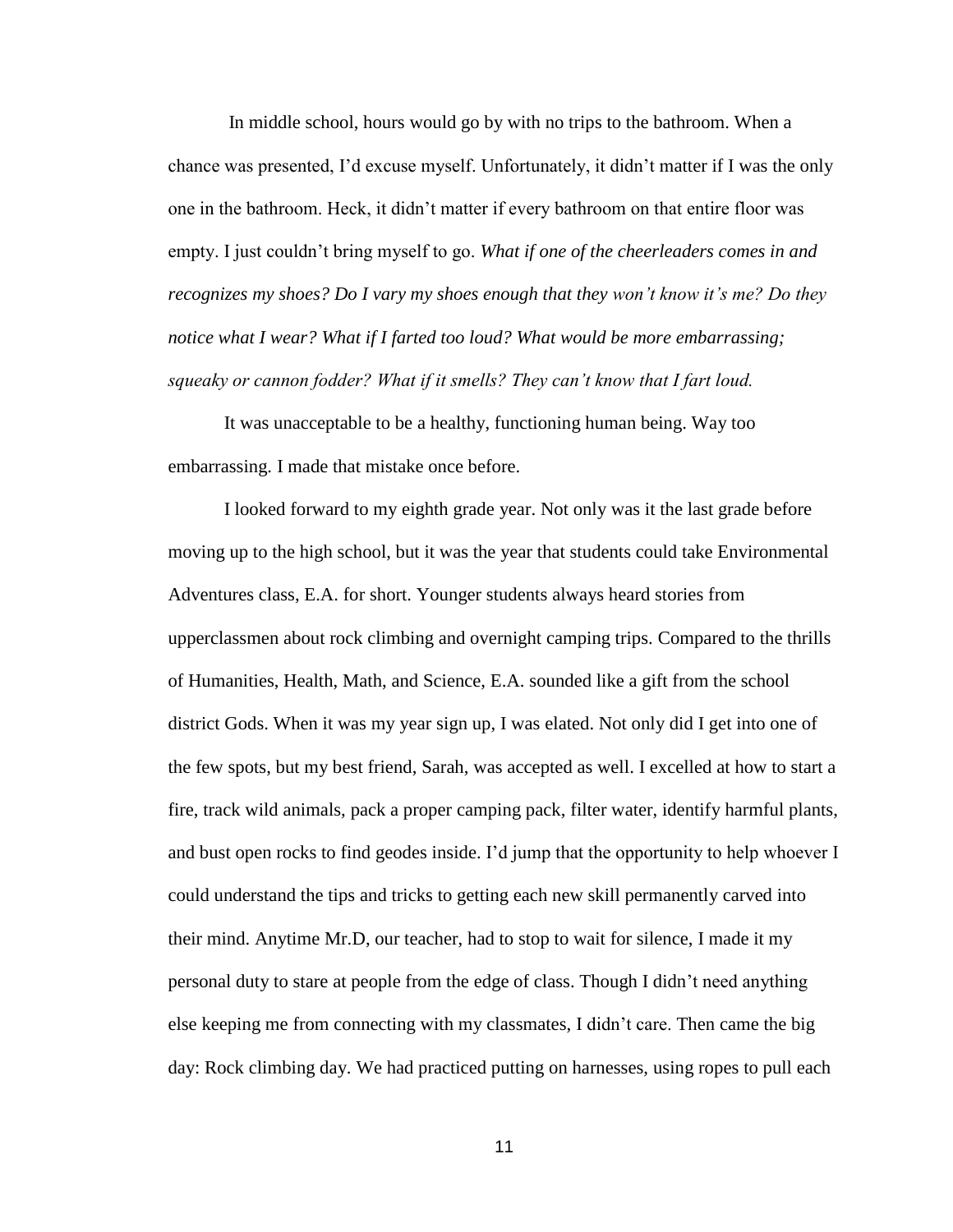In middle school, hours would go by with no trips to the bathroom. When a chance was presented, I'd excuse myself. Unfortunately, it didn't matter if I was the only one in the bathroom. Heck, it didn't matter if every bathroom on that entire floor was empty. I just couldn't bring myself to go. *What if one of the cheerleaders comes in and recognizes my shoes? Do I vary my shoes enough that they won't know it's me? Do they notice what I wear? What if I farted too loud? What would be more embarrassing; squeaky or cannon fodder? What if it smells? They can't know that I fart loud.* 

It was unacceptable to be a healthy, functioning human being. Way too embarrassing. I made that mistake once before.

I looked forward to my eighth grade year. Not only was it the last grade before moving up to the high school, but it was the year that students could take Environmental Adventures class, E.A. for short. Younger students always heard stories from upperclassmen about rock climbing and overnight camping trips. Compared to the thrills of Humanities, Health, Math, and Science, E.A. sounded like a gift from the school district Gods. When it was my year sign up, I was elated. Not only did I get into one of the few spots, but my best friend, Sarah, was accepted as well. I excelled at how to start a fire, track wild animals, pack a proper camping pack, filter water, identify harmful plants, and bust open rocks to find geodes inside. I'd jump that the opportunity to help whoever I could understand the tips and tricks to getting each new skill permanently carved into their mind. Anytime Mr.D, our teacher, had to stop to wait for silence, I made it my personal duty to stare at people from the edge of class. Though I didn't need anything else keeping me from connecting with my classmates, I didn't care. Then came the big day: Rock climbing day. We had practiced putting on harnesses, using ropes to pull each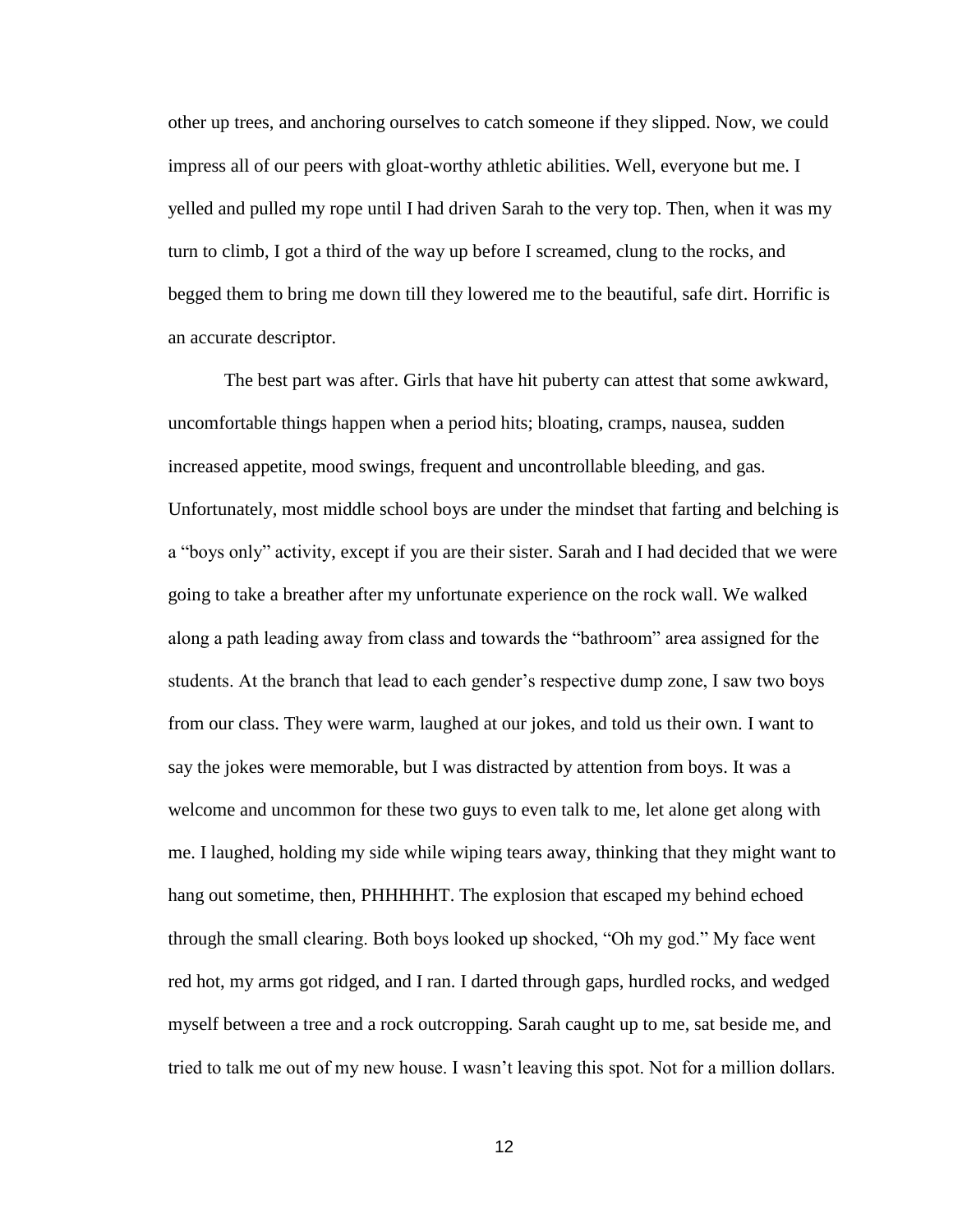other up trees, and anchoring ourselves to catch someone if they slipped. Now, we could impress all of our peers with gloat-worthy athletic abilities. Well, everyone but me. I yelled and pulled my rope until I had driven Sarah to the very top. Then, when it was my turn to climb, I got a third of the way up before I screamed, clung to the rocks, and begged them to bring me down till they lowered me to the beautiful, safe dirt. Horrific is an accurate descriptor.

The best part was after. Girls that have hit puberty can attest that some awkward, uncomfortable things happen when a period hits; bloating, cramps, nausea, sudden increased appetite, mood swings, frequent and uncontrollable bleeding, and gas. Unfortunately, most middle school boys are under the mindset that farting and belching is a "boys only" activity, except if you are their sister. Sarah and I had decided that we were going to take a breather after my unfortunate experience on the rock wall. We walked along a path leading away from class and towards the "bathroom" area assigned for the students. At the branch that lead to each gender's respective dump zone, I saw two boys from our class. They were warm, laughed at our jokes, and told us their own. I want to say the jokes were memorable, but I was distracted by attention from boys. It was a welcome and uncommon for these two guys to even talk to me, let alone get along with me. I laughed, holding my side while wiping tears away, thinking that they might want to hang out sometime, then, PHHHHHT. The explosion that escaped my behind echoed through the small clearing. Both boys looked up shocked, "Oh my god." My face went red hot, my arms got ridged, and I ran. I darted through gaps, hurdled rocks, and wedged myself between a tree and a rock outcropping. Sarah caught up to me, sat beside me, and tried to talk me out of my new house. I wasn't leaving this spot. Not for a million dollars.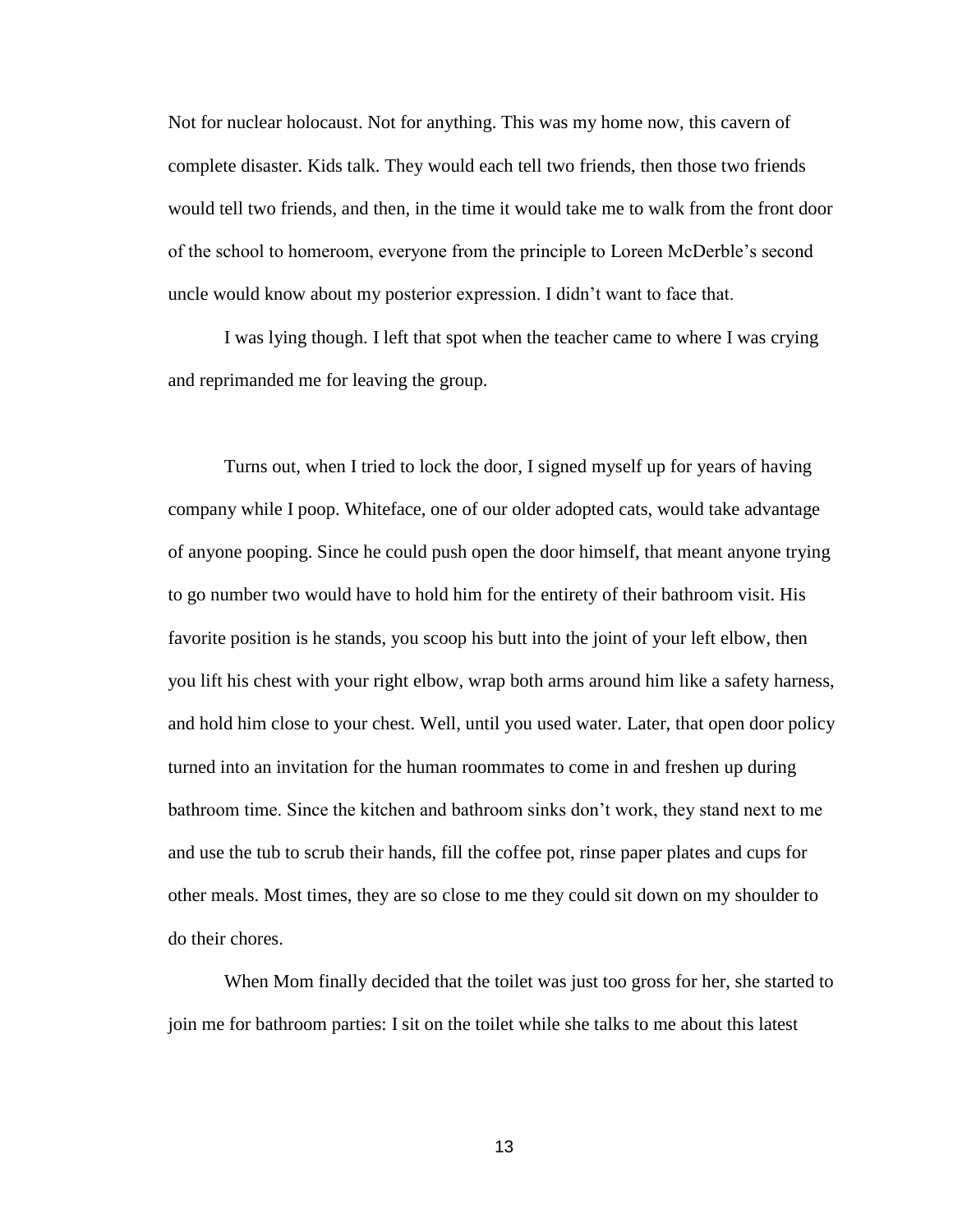Not for nuclear holocaust. Not for anything. This was my home now, this cavern of complete disaster. Kids talk. They would each tell two friends, then those two friends would tell two friends, and then, in the time it would take me to walk from the front door of the school to homeroom, everyone from the principle to Loreen McDerble's second uncle would know about my posterior expression. I didn't want to face that.

I was lying though. I left that spot when the teacher came to where I was crying and reprimanded me for leaving the group.

Turns out, when I tried to lock the door, I signed myself up for years of having company while I poop. Whiteface, one of our older adopted cats, would take advantage of anyone pooping. Since he could push open the door himself, that meant anyone trying to go number two would have to hold him for the entirety of their bathroom visit. His favorite position is he stands, you scoop his butt into the joint of your left elbow, then you lift his chest with your right elbow, wrap both arms around him like a safety harness, and hold him close to your chest. Well, until you used water. Later, that open door policy turned into an invitation for the human roommates to come in and freshen up during bathroom time. Since the kitchen and bathroom sinks don't work, they stand next to me and use the tub to scrub their hands, fill the coffee pot, rinse paper plates and cups for other meals. Most times, they are so close to me they could sit down on my shoulder to do their chores.

When Mom finally decided that the toilet was just too gross for her, she started to join me for bathroom parties: I sit on the toilet while she talks to me about this latest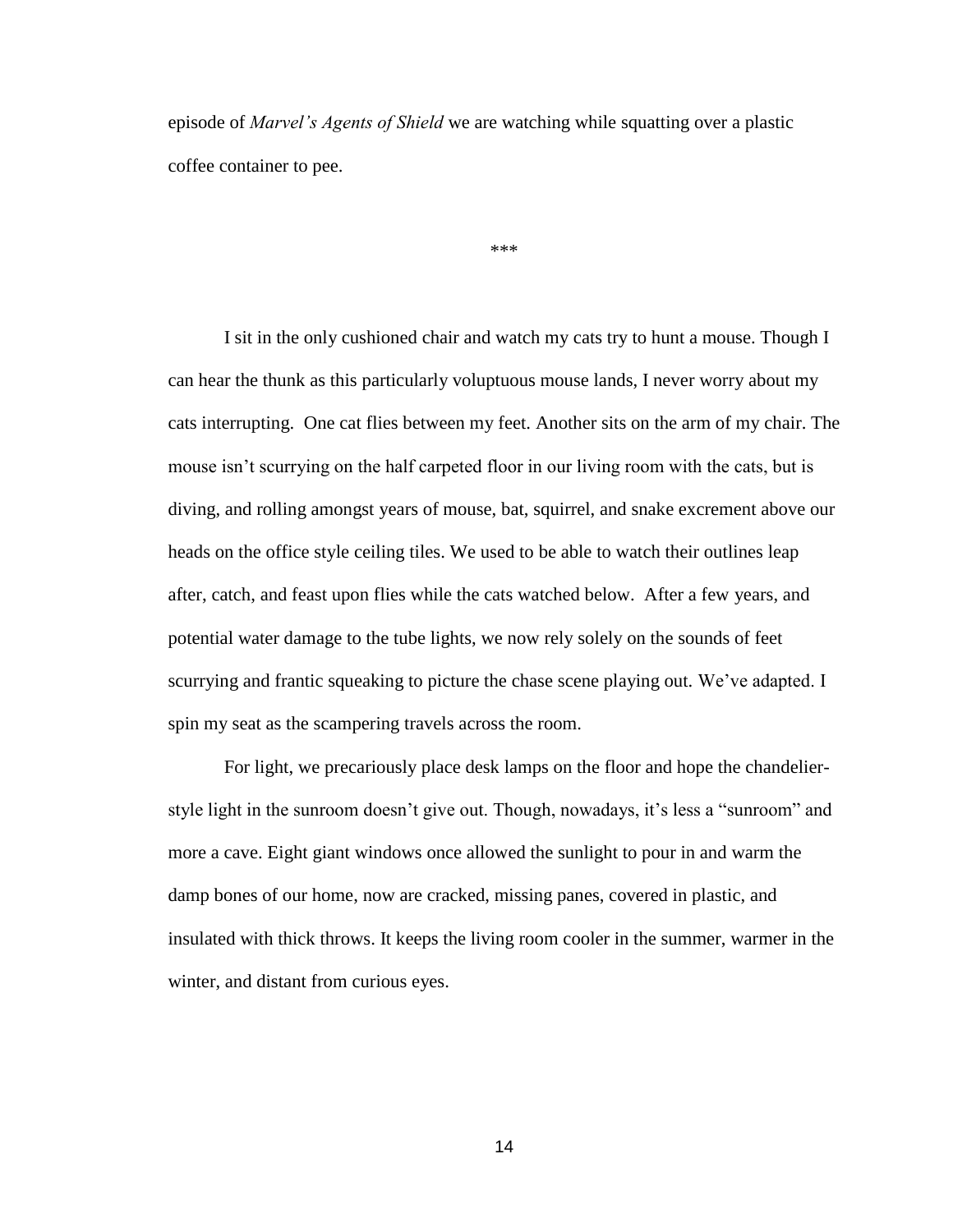episode of *Marvel's Agents of Shield* we are watching while squatting over a plastic coffee container to pee.

\*\*\*

I sit in the only cushioned chair and watch my cats try to hunt a mouse. Though I can hear the thunk as this particularly voluptuous mouse lands, I never worry about my cats interrupting. One cat flies between my feet. Another sits on the arm of my chair. The mouse isn't scurrying on the half carpeted floor in our living room with the cats, but is diving, and rolling amongst years of mouse, bat, squirrel, and snake excrement above our heads on the office style ceiling tiles. We used to be able to watch their outlines leap after, catch, and feast upon flies while the cats watched below. After a few years, and potential water damage to the tube lights, we now rely solely on the sounds of feet scurrying and frantic squeaking to picture the chase scene playing out. We've adapted. I spin my seat as the scampering travels across the room.

For light, we precariously place desk lamps on the floor and hope the chandelierstyle light in the sunroom doesn't give out. Though, nowadays, it's less a "sunroom" and more a cave. Eight giant windows once allowed the sunlight to pour in and warm the damp bones of our home, now are cracked, missing panes, covered in plastic, and insulated with thick throws. It keeps the living room cooler in the summer, warmer in the winter, and distant from curious eyes.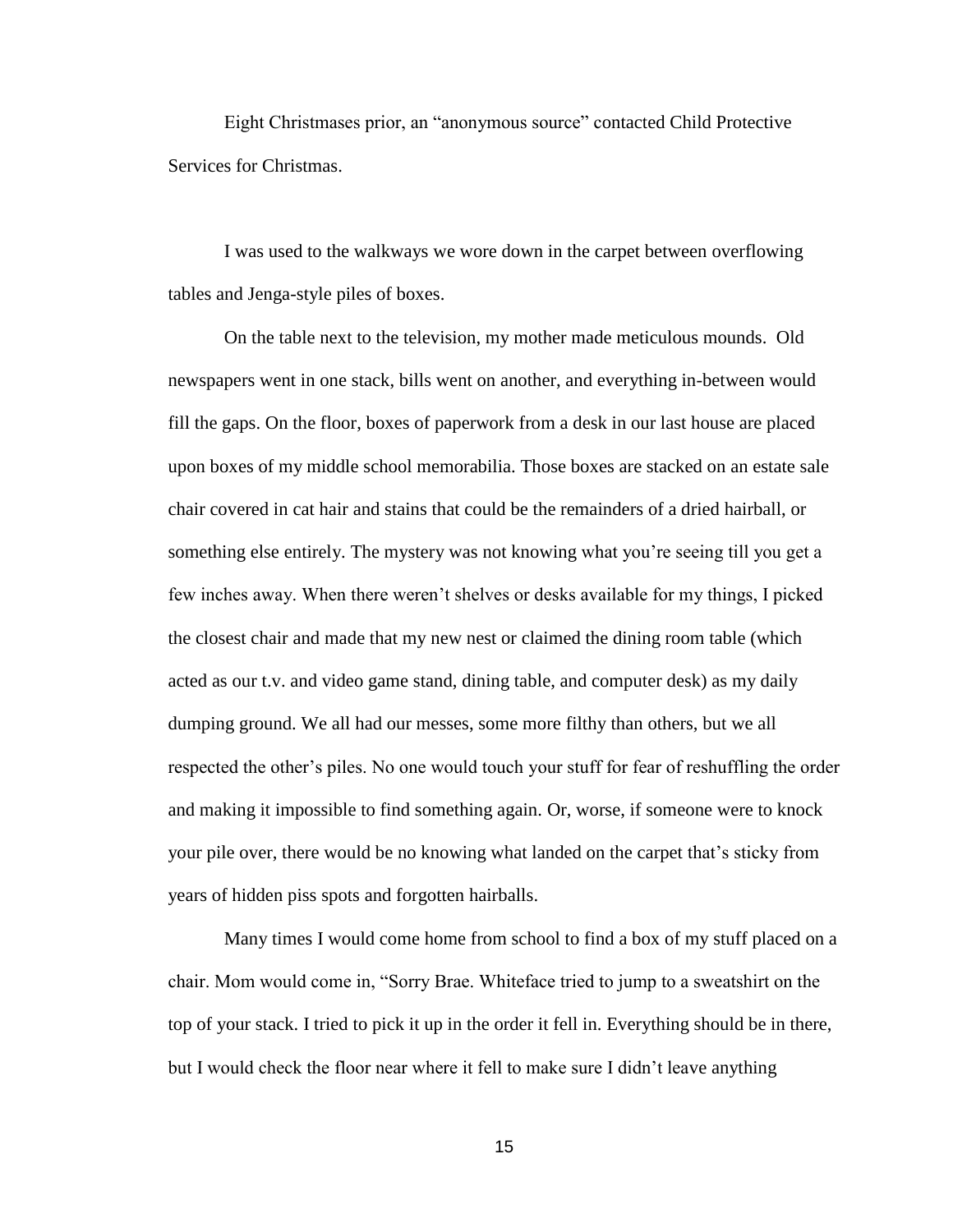Eight Christmases prior, an "anonymous source" contacted Child Protective Services for Christmas.

I was used to the walkways we wore down in the carpet between overflowing tables and Jenga-style piles of boxes.

On the table next to the television, my mother made meticulous mounds. Old newspapers went in one stack, bills went on another, and everything in-between would fill the gaps. On the floor, boxes of paperwork from a desk in our last house are placed upon boxes of my middle school memorabilia. Those boxes are stacked on an estate sale chair covered in cat hair and stains that could be the remainders of a dried hairball, or something else entirely. The mystery was not knowing what you're seeing till you get a few inches away. When there weren't shelves or desks available for my things, I picked the closest chair and made that my new nest or claimed the dining room table (which acted as our t.v. and video game stand, dining table, and computer desk) as my daily dumping ground. We all had our messes, some more filthy than others, but we all respected the other's piles. No one would touch your stuff for fear of reshuffling the order and making it impossible to find something again. Or, worse, if someone were to knock your pile over, there would be no knowing what landed on the carpet that's sticky from years of hidden piss spots and forgotten hairballs.

Many times I would come home from school to find a box of my stuff placed on a chair. Mom would come in, "Sorry Brae. Whiteface tried to jump to a sweatshirt on the top of your stack. I tried to pick it up in the order it fell in. Everything should be in there, but I would check the floor near where it fell to make sure I didn't leave anything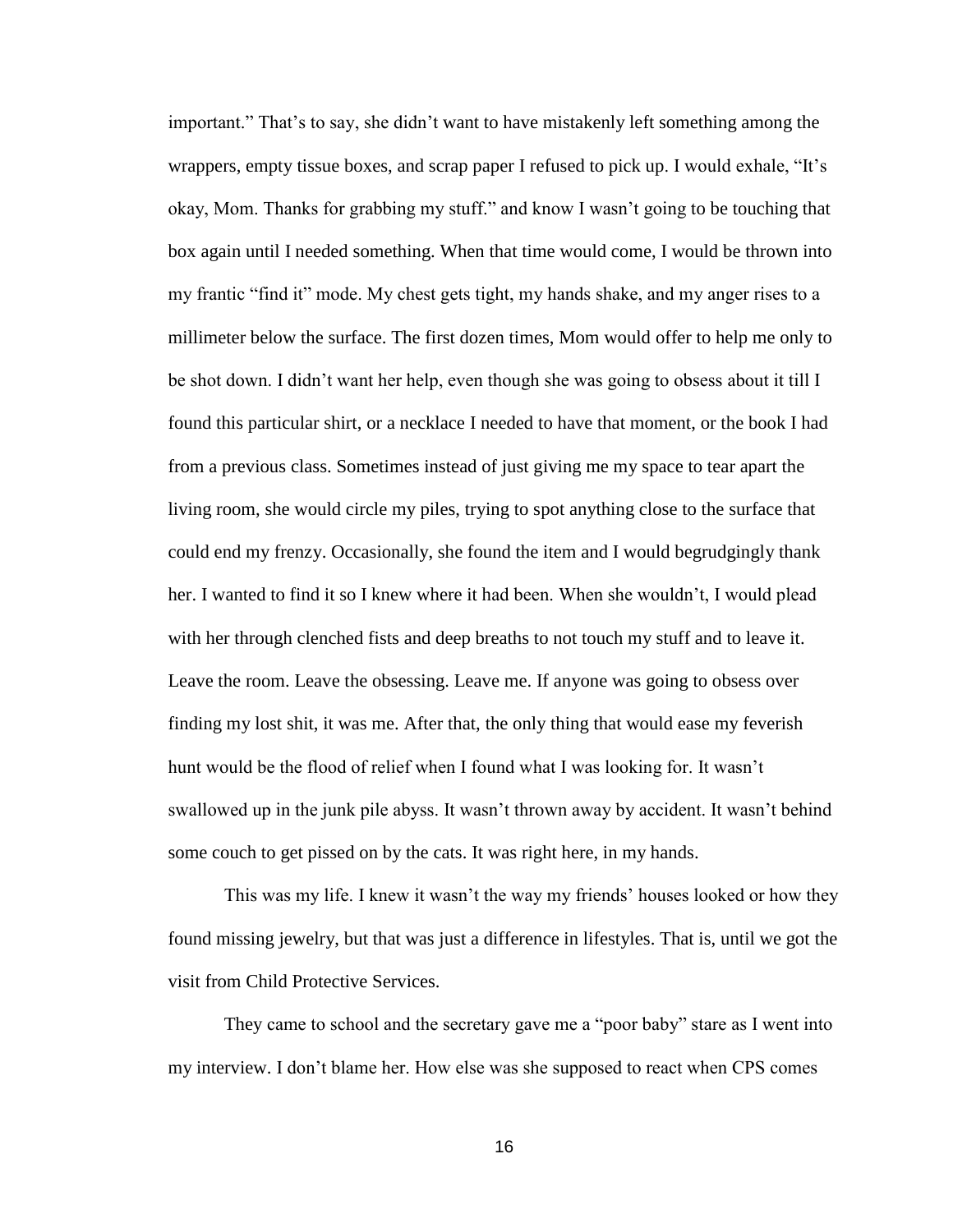important." That's to say, she didn't want to have mistakenly left something among the wrappers, empty tissue boxes, and scrap paper I refused to pick up. I would exhale, "It's okay, Mom. Thanks for grabbing my stuff." and know I wasn't going to be touching that box again until I needed something. When that time would come, I would be thrown into my frantic "find it" mode. My chest gets tight, my hands shake, and my anger rises to a millimeter below the surface. The first dozen times, Mom would offer to help me only to be shot down. I didn't want her help, even though she was going to obsess about it till I found this particular shirt, or a necklace I needed to have that moment, or the book I had from a previous class. Sometimes instead of just giving me my space to tear apart the living room, she would circle my piles, trying to spot anything close to the surface that could end my frenzy. Occasionally, she found the item and I would begrudgingly thank her. I wanted to find it so I knew where it had been. When she wouldn't, I would plead with her through clenched fists and deep breaths to not touch my stuff and to leave it. Leave the room. Leave the obsessing. Leave me. If anyone was going to obsess over finding my lost shit, it was me. After that, the only thing that would ease my feverish hunt would be the flood of relief when I found what I was looking for. It wasn't swallowed up in the junk pile abyss. It wasn't thrown away by accident. It wasn't behind some couch to get pissed on by the cats. It was right here, in my hands.

This was my life. I knew it wasn't the way my friends' houses looked or how they found missing jewelry, but that was just a difference in lifestyles. That is, until we got the visit from Child Protective Services.

They came to school and the secretary gave me a "poor baby" stare as I went into my interview. I don't blame her. How else was she supposed to react when CPS comes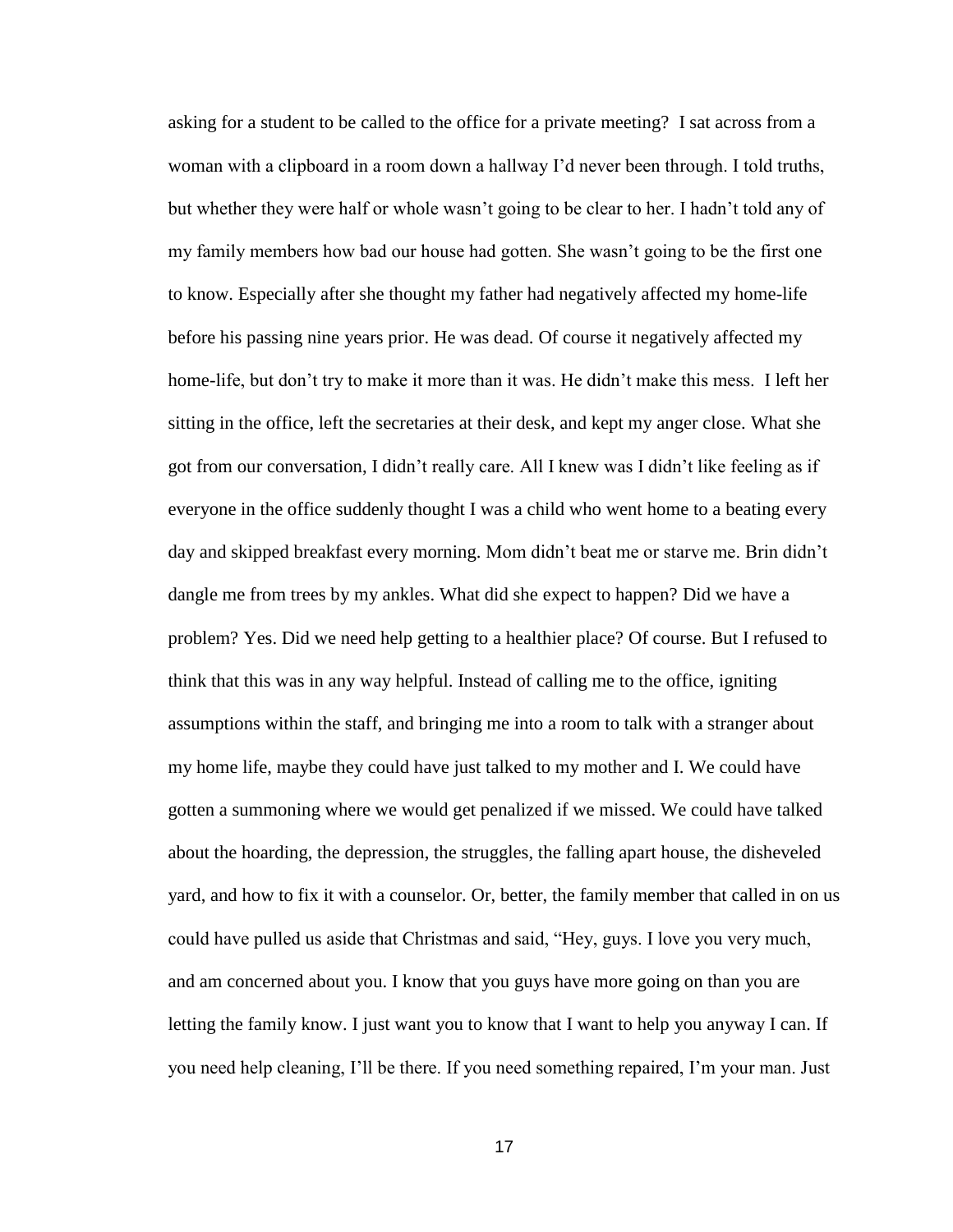asking for a student to be called to the office for a private meeting? I sat across from a woman with a clipboard in a room down a hallway I'd never been through. I told truths, but whether they were half or whole wasn't going to be clear to her. I hadn't told any of my family members how bad our house had gotten. She wasn't going to be the first one to know. Especially after she thought my father had negatively affected my home-life before his passing nine years prior. He was dead. Of course it negatively affected my home-life, but don't try to make it more than it was. He didn't make this mess. I left her sitting in the office, left the secretaries at their desk, and kept my anger close. What she got from our conversation, I didn't really care. All I knew was I didn't like feeling as if everyone in the office suddenly thought I was a child who went home to a beating every day and skipped breakfast every morning. Mom didn't beat me or starve me. Brin didn't dangle me from trees by my ankles. What did she expect to happen? Did we have a problem? Yes. Did we need help getting to a healthier place? Of course. But I refused to think that this was in any way helpful. Instead of calling me to the office, igniting assumptions within the staff, and bringing me into a room to talk with a stranger about my home life, maybe they could have just talked to my mother and I. We could have gotten a summoning where we would get penalized if we missed. We could have talked about the hoarding, the depression, the struggles, the falling apart house, the disheveled yard, and how to fix it with a counselor. Or, better, the family member that called in on us could have pulled us aside that Christmas and said, "Hey, guys. I love you very much, and am concerned about you. I know that you guys have more going on than you are letting the family know. I just want you to know that I want to help you anyway I can. If you need help cleaning, I'll be there. If you need something repaired, I'm your man. Just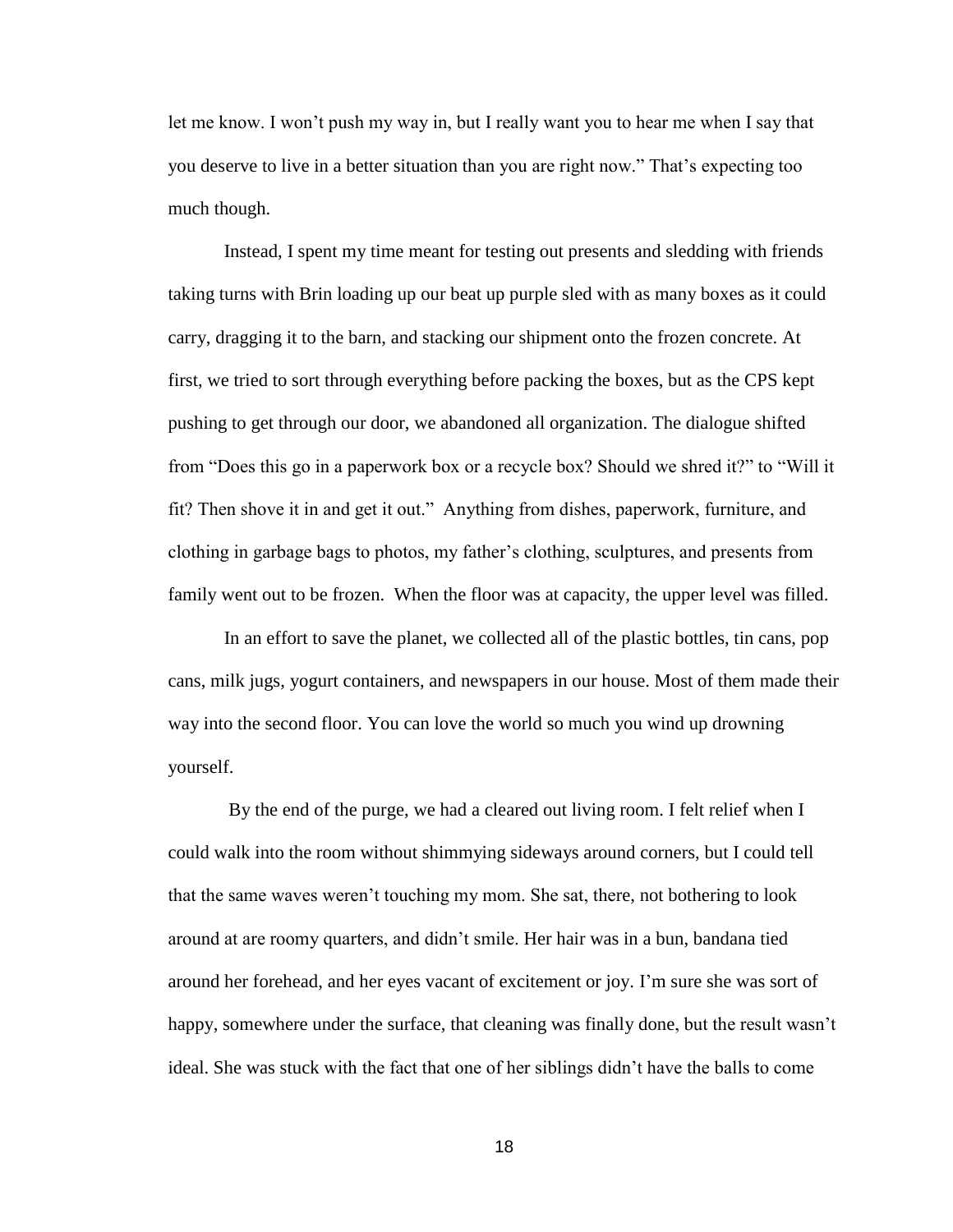let me know. I won't push my way in, but I really want you to hear me when I say that you deserve to live in a better situation than you are right now." That's expecting too much though.

Instead, I spent my time meant for testing out presents and sledding with friends taking turns with Brin loading up our beat up purple sled with as many boxes as it could carry, dragging it to the barn, and stacking our shipment onto the frozen concrete. At first, we tried to sort through everything before packing the boxes, but as the CPS kept pushing to get through our door, we abandoned all organization. The dialogue shifted from "Does this go in a paperwork box or a recycle box? Should we shred it?" to "Will it fit? Then shove it in and get it out." Anything from dishes, paperwork, furniture, and clothing in garbage bags to photos, my father's clothing, sculptures, and presents from family went out to be frozen. When the floor was at capacity, the upper level was filled.

In an effort to save the planet, we collected all of the plastic bottles, tin cans, pop cans, milk jugs, yogurt containers, and newspapers in our house. Most of them made their way into the second floor. You can love the world so much you wind up drowning yourself.

By the end of the purge, we had a cleared out living room. I felt relief when I could walk into the room without shimmying sideways around corners, but I could tell that the same waves weren't touching my mom. She sat, there, not bothering to look around at are roomy quarters, and didn't smile. Her hair was in a bun, bandana tied around her forehead, and her eyes vacant of excitement or joy. I'm sure she was sort of happy, somewhere under the surface, that cleaning was finally done, but the result wasn't ideal. She was stuck with the fact that one of her siblings didn't have the balls to come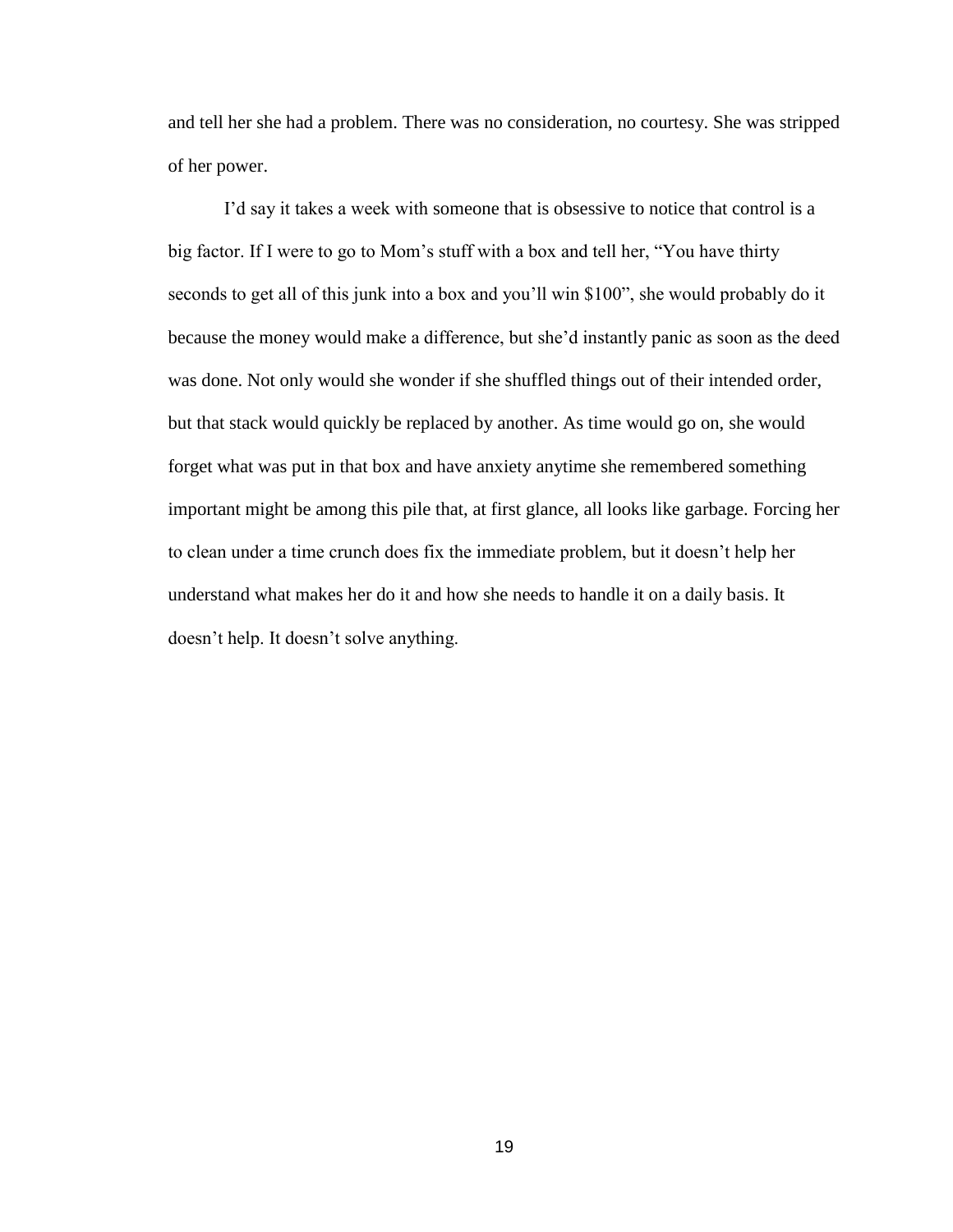and tell her she had a problem. There was no consideration, no courtesy. She was stripped of her power.

I'd say it takes a week with someone that is obsessive to notice that control is a big factor. If I were to go to Mom's stuff with a box and tell her, "You have thirty seconds to get all of this junk into a box and you'll win \$100", she would probably do it because the money would make a difference, but she'd instantly panic as soon as the deed was done. Not only would she wonder if she shuffled things out of their intended order, but that stack would quickly be replaced by another. As time would go on, she would forget what was put in that box and have anxiety anytime she remembered something important might be among this pile that, at first glance, all looks like garbage. Forcing her to clean under a time crunch does fix the immediate problem, but it doesn't help her understand what makes her do it and how she needs to handle it on a daily basis. It doesn't help. It doesn't solve anything.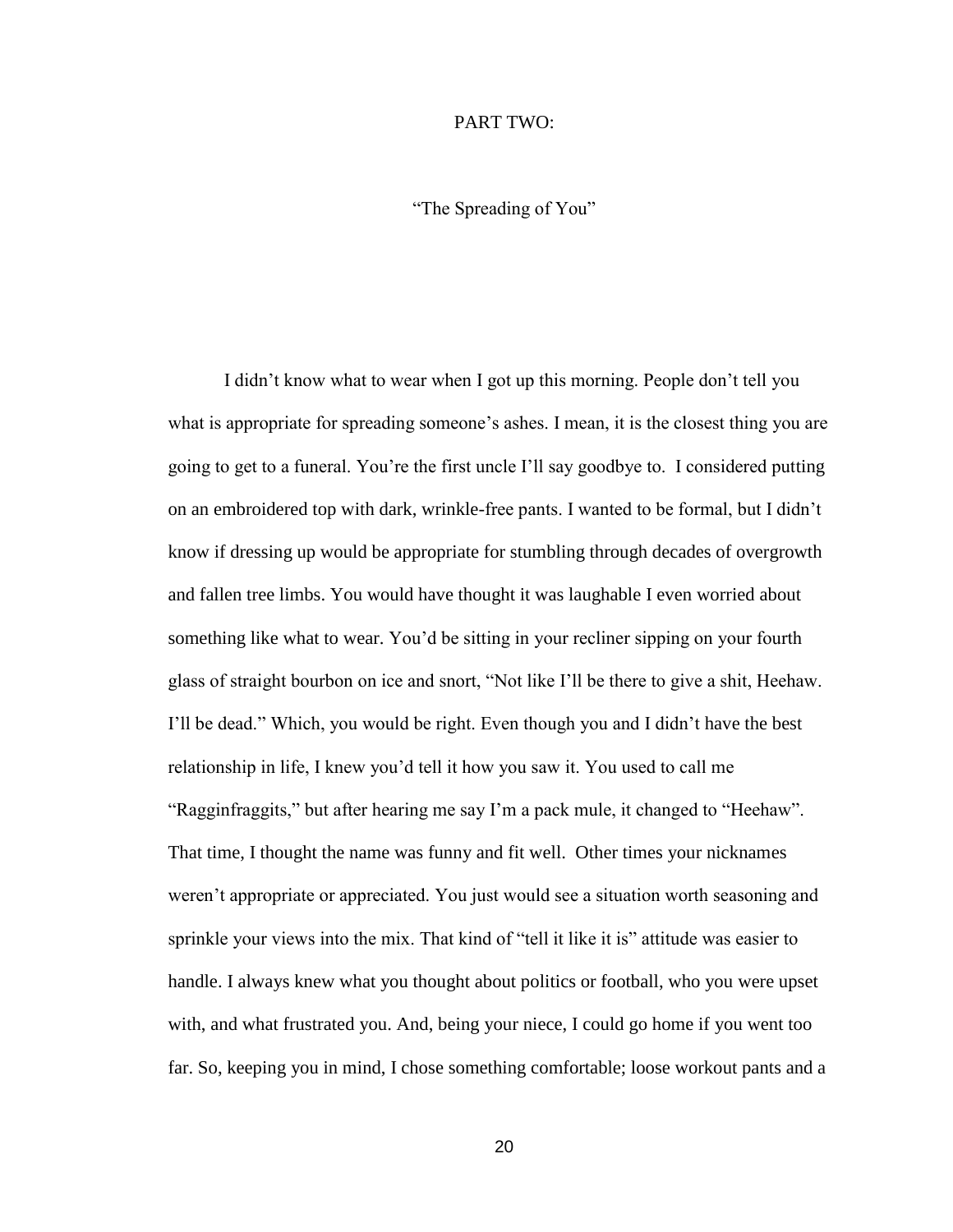### PART TWO:

"The Spreading of You"

I didn't know what to wear when I got up this morning. People don't tell you what is appropriate for spreading someone's ashes. I mean, it is the closest thing you are going to get to a funeral. You're the first uncle I'll say goodbye to. I considered putting on an embroidered top with dark, wrinkle-free pants. I wanted to be formal, but I didn't know if dressing up would be appropriate for stumbling through decades of overgrowth and fallen tree limbs. You would have thought it was laughable I even worried about something like what to wear. You'd be sitting in your recliner sipping on your fourth glass of straight bourbon on ice and snort, "Not like I'll be there to give a shit, Heehaw. I'll be dead." Which, you would be right. Even though you and I didn't have the best relationship in life, I knew you'd tell it how you saw it. You used to call me "Ragginfraggits," but after hearing me say I'm a pack mule, it changed to "Heehaw". That time, I thought the name was funny and fit well. Other times your nicknames weren't appropriate or appreciated. You just would see a situation worth seasoning and sprinkle your views into the mix. That kind of "tell it like it is" attitude was easier to handle. I always knew what you thought about politics or football, who you were upset with, and what frustrated you. And, being your niece, I could go home if you went too far. So, keeping you in mind, I chose something comfortable; loose workout pants and a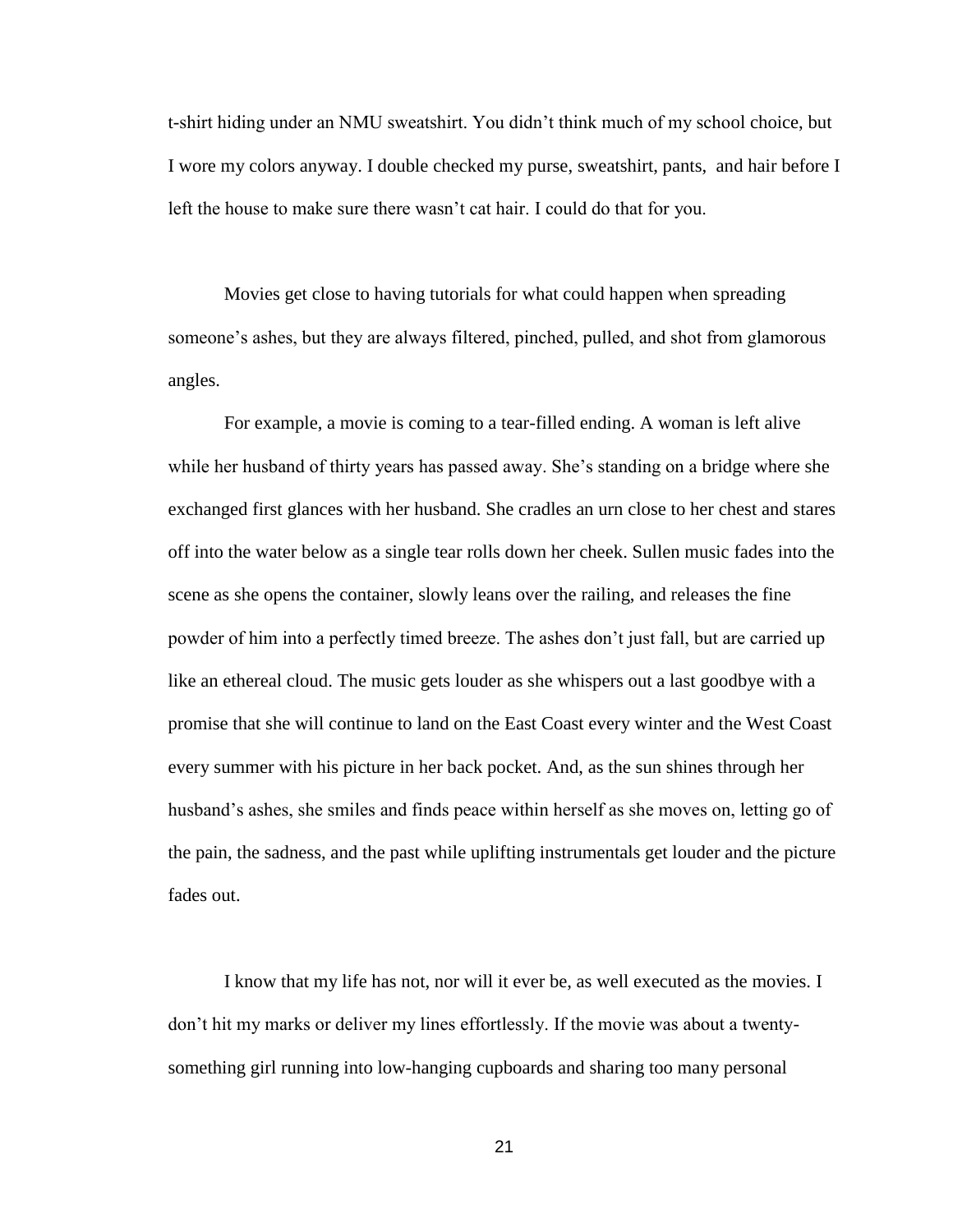t-shirt hiding under an NMU sweatshirt. You didn't think much of my school choice, but I wore my colors anyway. I double checked my purse, sweatshirt, pants, and hair before I left the house to make sure there wasn't cat hair. I could do that for you.

Movies get close to having tutorials for what could happen when spreading someone's ashes, but they are always filtered, pinched, pulled, and shot from glamorous angles.

For example, a movie is coming to a tear-filled ending. A woman is left alive while her husband of thirty years has passed away. She's standing on a bridge where she exchanged first glances with her husband. She cradles an urn close to her chest and stares off into the water below as a single tear rolls down her cheek. Sullen music fades into the scene as she opens the container, slowly leans over the railing, and releases the fine powder of him into a perfectly timed breeze. The ashes don't just fall, but are carried up like an ethereal cloud. The music gets louder as she whispers out a last goodbye with a promise that she will continue to land on the East Coast every winter and the West Coast every summer with his picture in her back pocket. And, as the sun shines through her husband's ashes, she smiles and finds peace within herself as she moves on, letting go of the pain, the sadness, and the past while uplifting instrumentals get louder and the picture fades out.

I know that my life has not, nor will it ever be, as well executed as the movies. I don't hit my marks or deliver my lines effortlessly. If the movie was about a twentysomething girl running into low-hanging cupboards and sharing too many personal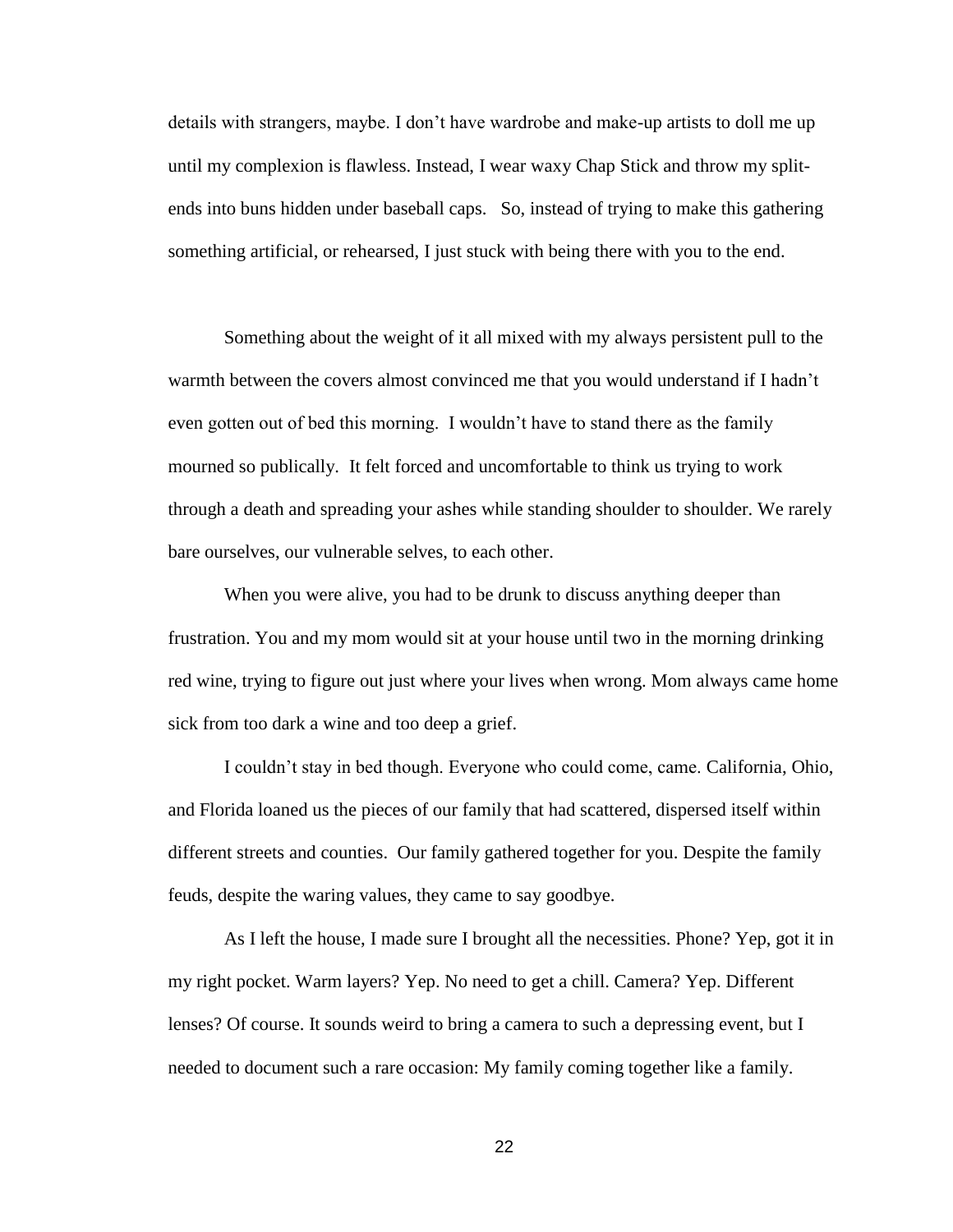details with strangers, maybe. I don't have wardrobe and make-up artists to doll me up until my complexion is flawless. Instead, I wear waxy Chap Stick and throw my splitends into buns hidden under baseball caps. So, instead of trying to make this gathering something artificial, or rehearsed, I just stuck with being there with you to the end.

Something about the weight of it all mixed with my always persistent pull to the warmth between the covers almost convinced me that you would understand if I hadn't even gotten out of bed this morning. I wouldn't have to stand there as the family mourned so publically. It felt forced and uncomfortable to think us trying to work through a death and spreading your ashes while standing shoulder to shoulder. We rarely bare ourselves, our vulnerable selves, to each other.

When you were alive, you had to be drunk to discuss anything deeper than frustration. You and my mom would sit at your house until two in the morning drinking red wine, trying to figure out just where your lives when wrong. Mom always came home sick from too dark a wine and too deep a grief.

I couldn't stay in bed though. Everyone who could come, came. California, Ohio, and Florida loaned us the pieces of our family that had scattered, dispersed itself within different streets and counties. Our family gathered together for you. Despite the family feuds, despite the waring values, they came to say goodbye.

As I left the house, I made sure I brought all the necessities. Phone? Yep, got it in my right pocket. Warm layers? Yep. No need to get a chill. Camera? Yep. Different lenses? Of course. It sounds weird to bring a camera to such a depressing event, but I needed to document such a rare occasion: My family coming together like a family.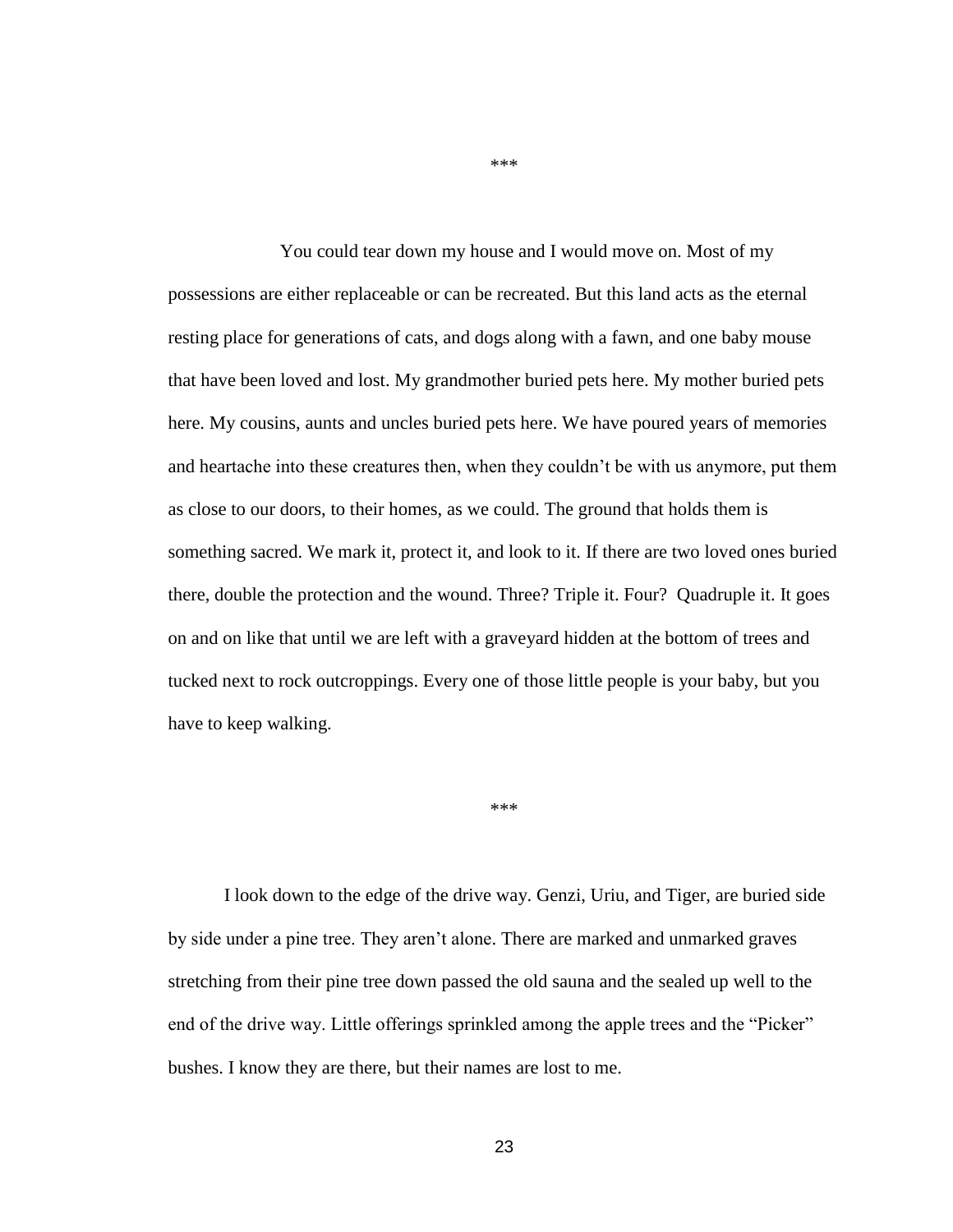You could tear down my house and I would move on. Most of my possessions are either replaceable or can be recreated. But this land acts as the eternal resting place for generations of cats, and dogs along with a fawn, and one baby mouse that have been loved and lost. My grandmother buried pets here. My mother buried pets here. My cousins, aunts and uncles buried pets here. We have poured years of memories and heartache into these creatures then, when they couldn't be with us anymore, put them as close to our doors, to their homes, as we could. The ground that holds them is something sacred. We mark it, protect it, and look to it. If there are two loved ones buried there, double the protection and the wound. Three? Triple it. Four? Quadruple it. It goes on and on like that until we are left with a graveyard hidden at the bottom of trees and tucked next to rock outcroppings. Every one of those little people is your baby, but you have to keep walking.

\*\*\*

I look down to the edge of the drive way. Genzi, Uriu, and Tiger, are buried side by side under a pine tree. They aren't alone. There are marked and unmarked graves stretching from their pine tree down passed the old sauna and the sealed up well to the end of the drive way. Little offerings sprinkled among the apple trees and the "Picker" bushes. I know they are there, but their names are lost to me.

\*\*\*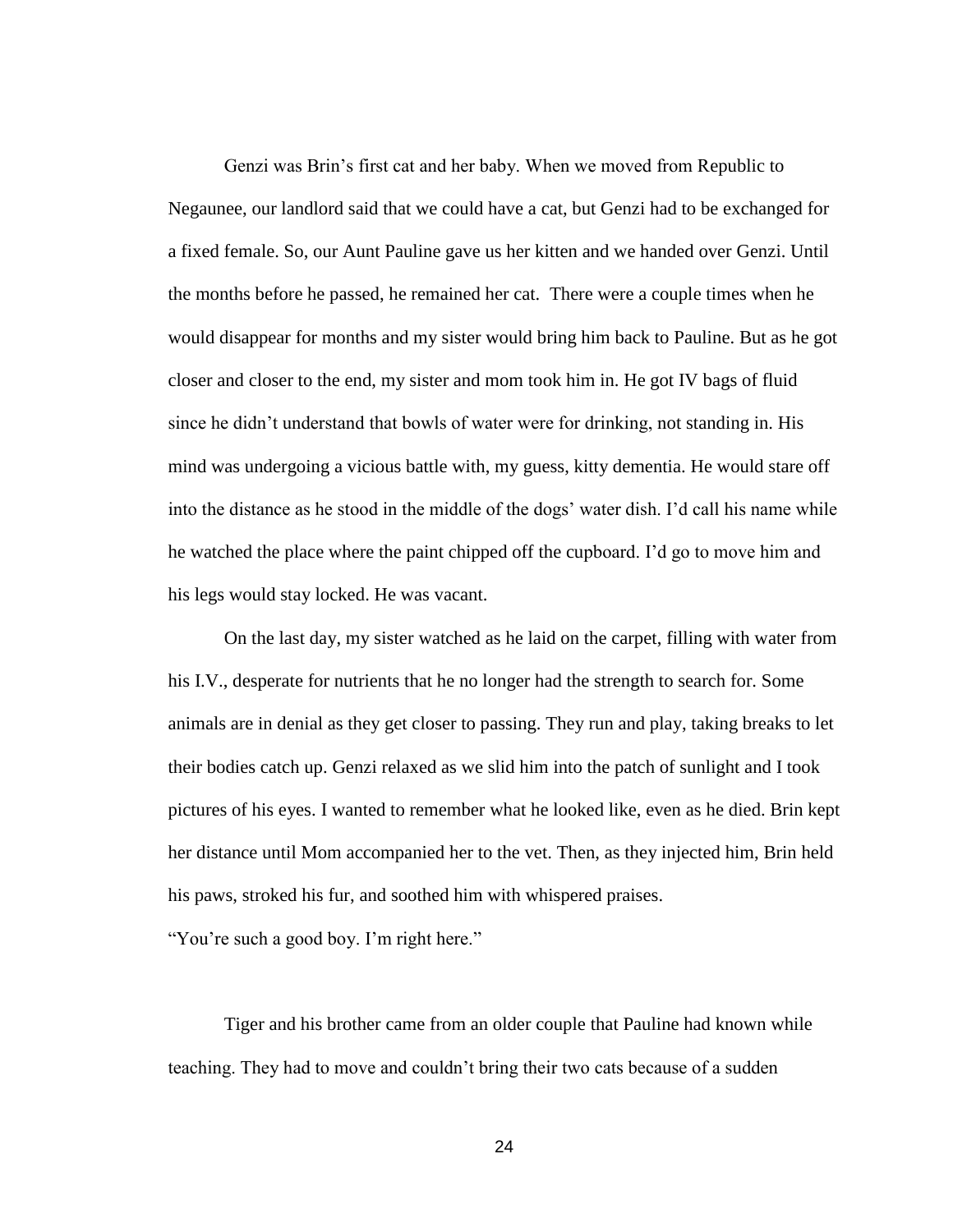Genzi was Brin's first cat and her baby. When we moved from Republic to Negaunee, our landlord said that we could have a cat, but Genzi had to be exchanged for a fixed female. So, our Aunt Pauline gave us her kitten and we handed over Genzi. Until the months before he passed, he remained her cat. There were a couple times when he would disappear for months and my sister would bring him back to Pauline. But as he got closer and closer to the end, my sister and mom took him in. He got IV bags of fluid since he didn't understand that bowls of water were for drinking, not standing in. His mind was undergoing a vicious battle with, my guess, kitty dementia. He would stare off into the distance as he stood in the middle of the dogs' water dish. I'd call his name while he watched the place where the paint chipped off the cupboard. I'd go to move him and his legs would stay locked. He was vacant.

 On the last day, my sister watched as he laid on the carpet, filling with water from his I.V., desperate for nutrients that he no longer had the strength to search for. Some animals are in denial as they get closer to passing. They run and play, taking breaks to let their bodies catch up. Genzi relaxed as we slid him into the patch of sunlight and I took pictures of his eyes. I wanted to remember what he looked like, even as he died. Brin kept her distance until Mom accompanied her to the vet. Then, as they injected him, Brin held his paws, stroked his fur, and soothed him with whispered praises.

"You're such a good boy. I'm right here."

Tiger and his brother came from an older couple that Pauline had known while teaching. They had to move and couldn't bring their two cats because of a sudden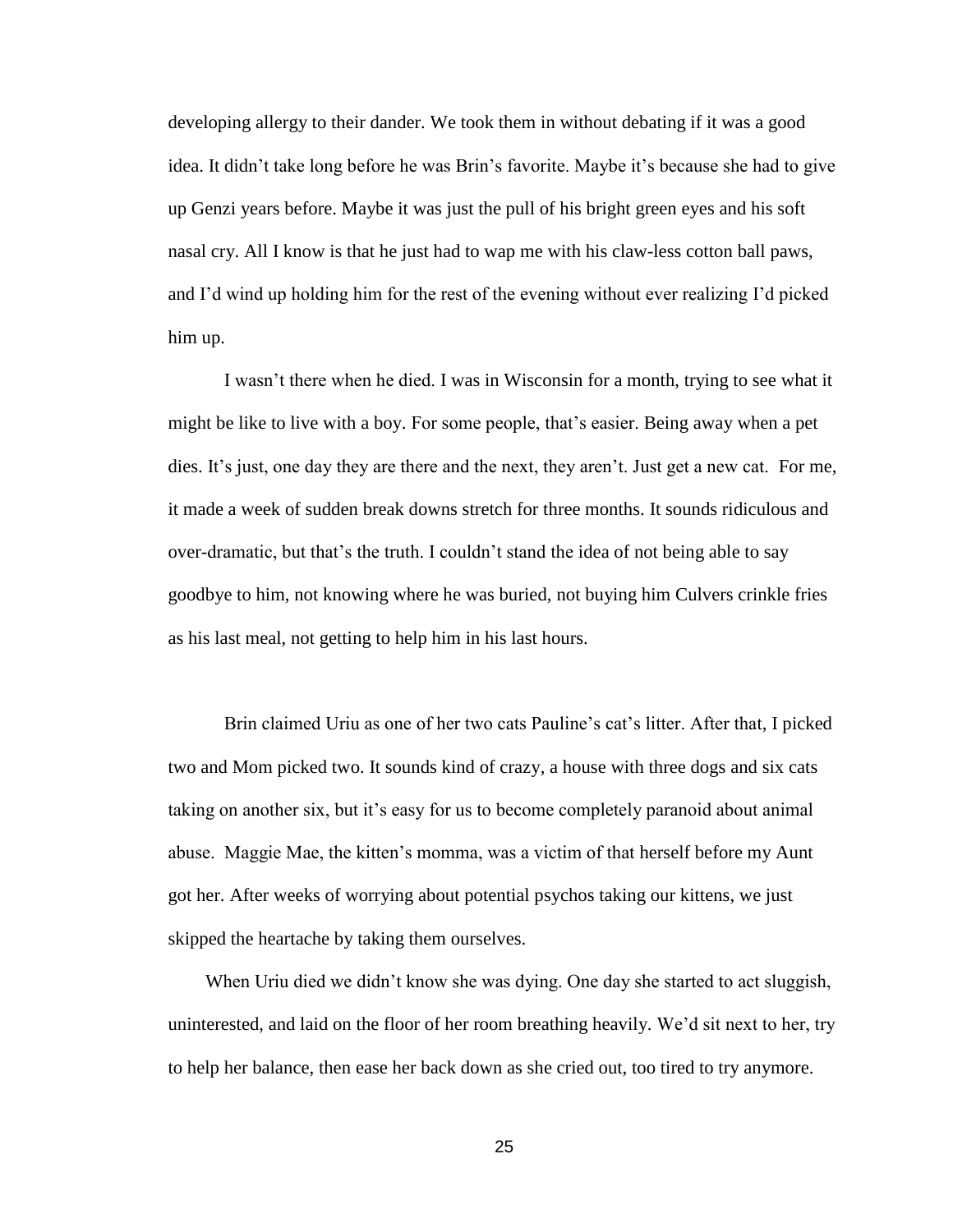developing allergy to their dander. We took them in without debating if it was a good idea. It didn't take long before he was Brin's favorite. Maybe it's because she had to give up Genzi years before. Maybe it was just the pull of his bright green eyes and his soft nasal cry. All I know is that he just had to wap me with his claw-less cotton ball paws, and I'd wind up holding him for the rest of the evening without ever realizing I'd picked him up.

I wasn't there when he died. I was in Wisconsin for a month, trying to see what it might be like to live with a boy. For some people, that's easier. Being away when a pet dies. It's just, one day they are there and the next, they aren't. Just get a new cat. For me, it made a week of sudden break downs stretch for three months. It sounds ridiculous and over-dramatic, but that's the truth. I couldn't stand the idea of not being able to say goodbye to him, not knowing where he was buried, not buying him Culvers crinkle fries as his last meal, not getting to help him in his last hours.

Brin claimed Uriu as one of her two cats Pauline's cat's litter. After that, I picked two and Mom picked two. It sounds kind of crazy, a house with three dogs and six cats taking on another six, but it's easy for us to become completely paranoid about animal abuse. Maggie Mae, the kitten's momma, was a victim of that herself before my Aunt got her. After weeks of worrying about potential psychos taking our kittens, we just skipped the heartache by taking them ourselves.

 When Uriu died we didn't know she was dying. One day she started to act sluggish, uninterested, and laid on the floor of her room breathing heavily. We'd sit next to her, try to help her balance, then ease her back down as she cried out, too tired to try anymore.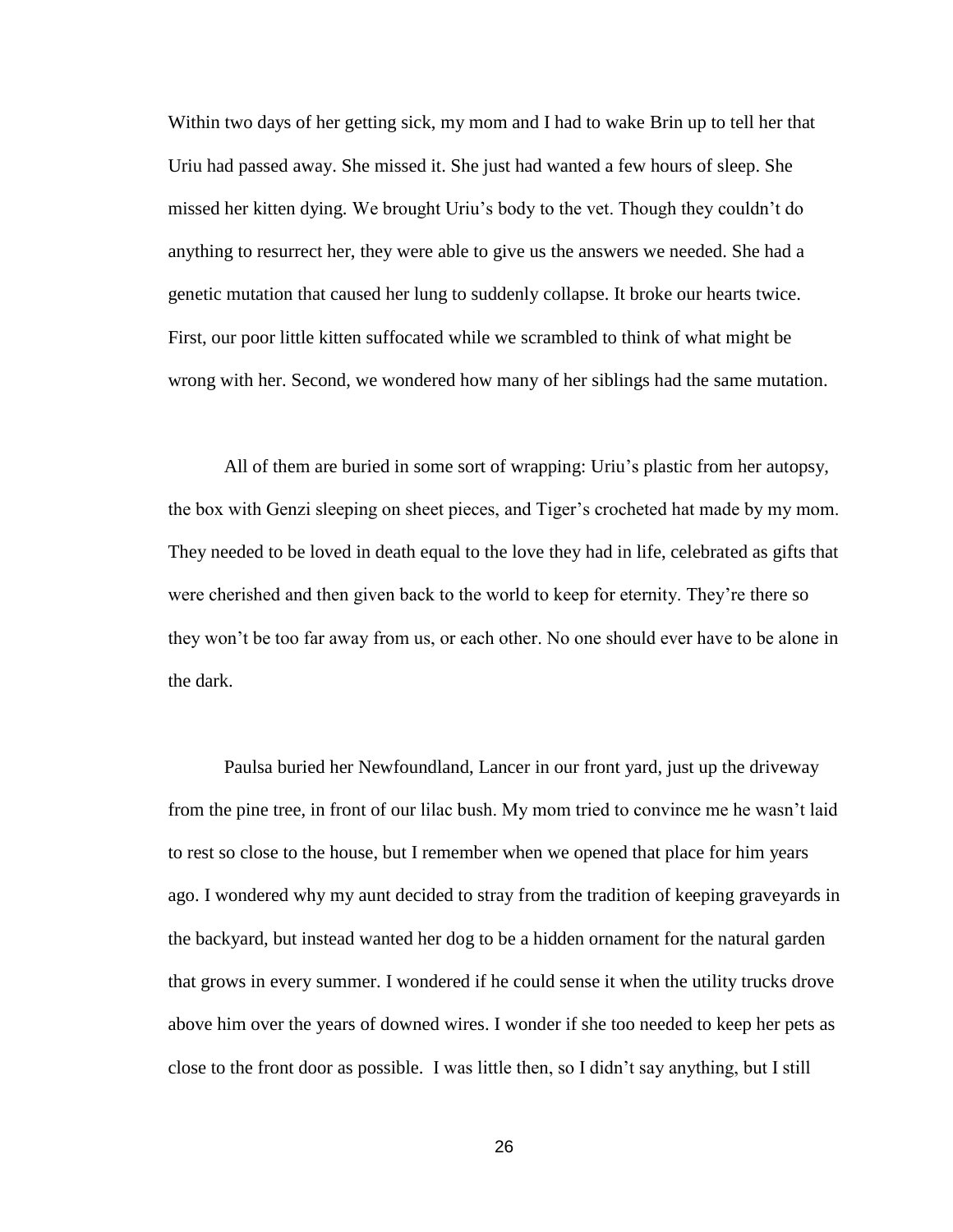Within two days of her getting sick, my mom and I had to wake Brin up to tell her that Uriu had passed away. She missed it. She just had wanted a few hours of sleep. She missed her kitten dying. We brought Uriu's body to the vet. Though they couldn't do anything to resurrect her, they were able to give us the answers we needed. She had a genetic mutation that caused her lung to suddenly collapse. It broke our hearts twice. First, our poor little kitten suffocated while we scrambled to think of what might be wrong with her. Second, we wondered how many of her siblings had the same mutation.

 All of them are buried in some sort of wrapping: Uriu's plastic from her autopsy, the box with Genzi sleeping on sheet pieces, and Tiger's crocheted hat made by my mom. They needed to be loved in death equal to the love they had in life, celebrated as gifts that were cherished and then given back to the world to keep for eternity. They're there so they won't be too far away from us, or each other. No one should ever have to be alone in the dark.

Paulsa buried her Newfoundland, Lancer in our front yard, just up the driveway from the pine tree, in front of our lilac bush. My mom tried to convince me he wasn't laid to rest so close to the house, but I remember when we opened that place for him years ago. I wondered why my aunt decided to stray from the tradition of keeping graveyards in the backyard, but instead wanted her dog to be a hidden ornament for the natural garden that grows in every summer. I wondered if he could sense it when the utility trucks drove above him over the years of downed wires. I wonder if she too needed to keep her pets as close to the front door as possible. I was little then, so I didn't say anything, but I still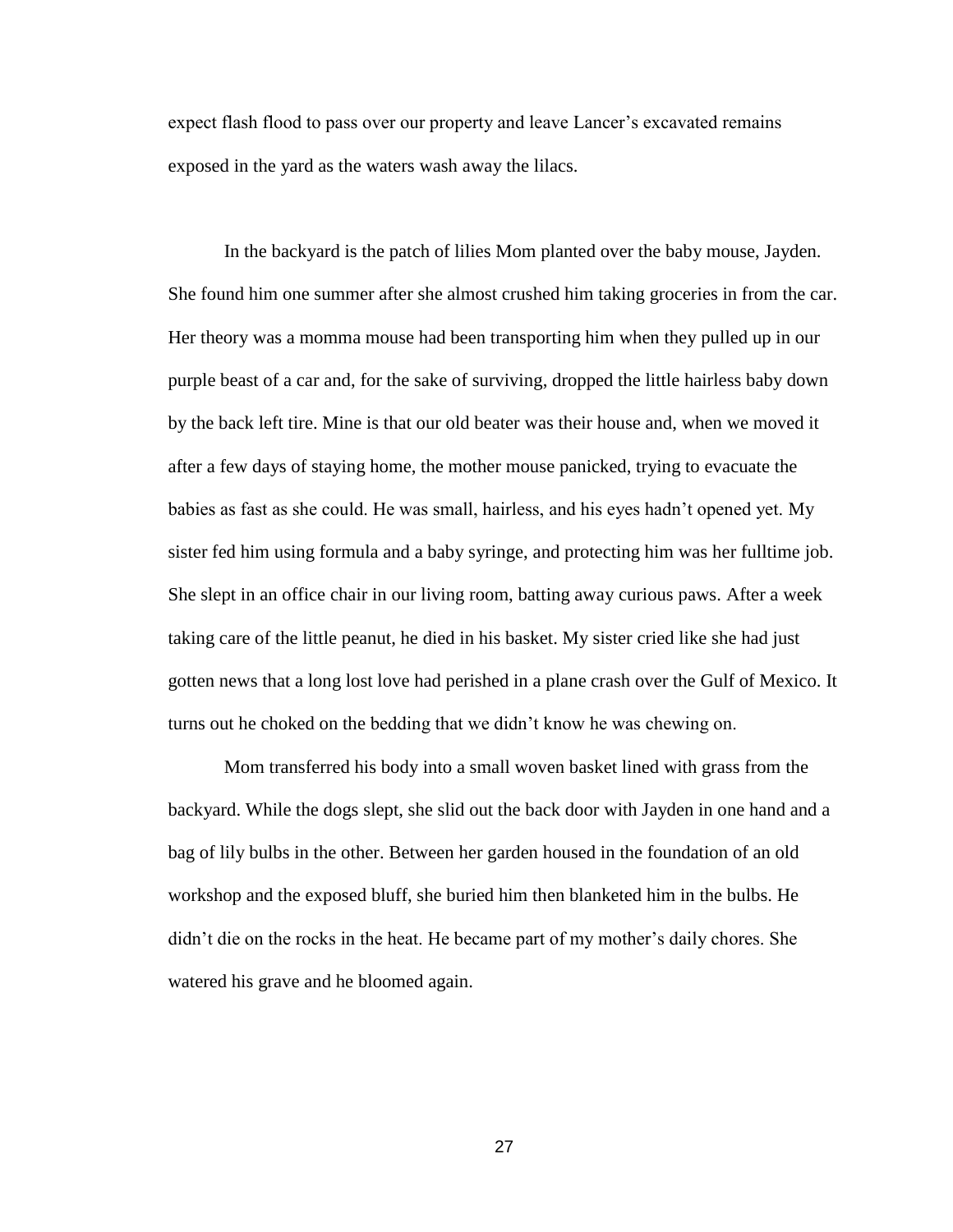expect flash flood to pass over our property and leave Lancer's excavated remains exposed in the yard as the waters wash away the lilacs.

In the backyard is the patch of lilies Mom planted over the baby mouse, Jayden. She found him one summer after she almost crushed him taking groceries in from the car. Her theory was a momma mouse had been transporting him when they pulled up in our purple beast of a car and, for the sake of surviving, dropped the little hairless baby down by the back left tire. Mine is that our old beater was their house and, when we moved it after a few days of staying home, the mother mouse panicked, trying to evacuate the babies as fast as she could. He was small, hairless, and his eyes hadn't opened yet. My sister fed him using formula and a baby syringe, and protecting him was her fulltime job. She slept in an office chair in our living room, batting away curious paws. After a week taking care of the little peanut, he died in his basket. My sister cried like she had just gotten news that a long lost love had perished in a plane crash over the Gulf of Mexico. It turns out he choked on the bedding that we didn't know he was chewing on.

Mom transferred his body into a small woven basket lined with grass from the backyard. While the dogs slept, she slid out the back door with Jayden in one hand and a bag of lily bulbs in the other. Between her garden housed in the foundation of an old workshop and the exposed bluff, she buried him then blanketed him in the bulbs. He didn't die on the rocks in the heat. He became part of my mother's daily chores. She watered his grave and he bloomed again.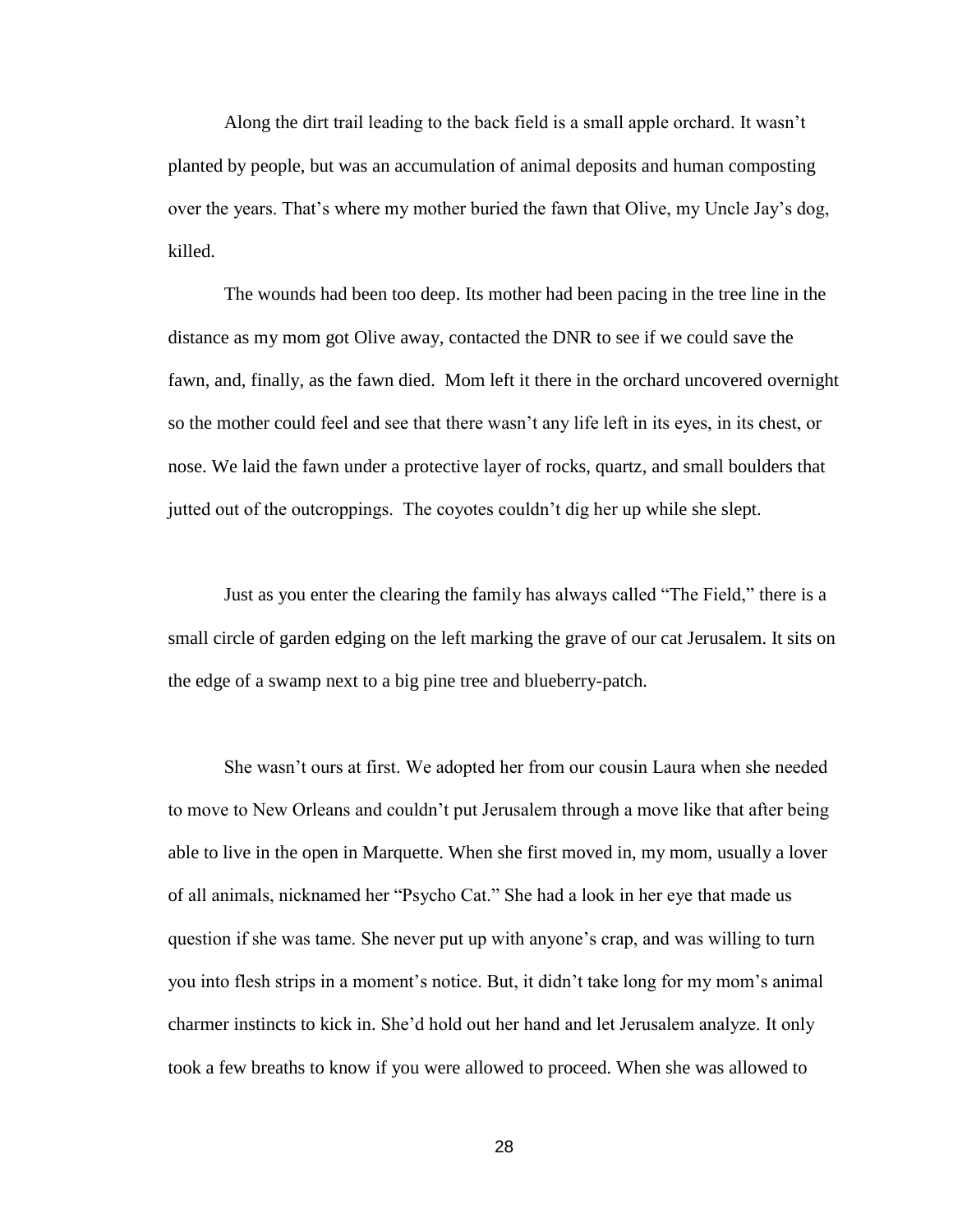Along the dirt trail leading to the back field is a small apple orchard. It wasn't planted by people, but was an accumulation of animal deposits and human composting over the years. That's where my mother buried the fawn that Olive, my Uncle Jay's dog, killed.

The wounds had been too deep. Its mother had been pacing in the tree line in the distance as my mom got Olive away, contacted the DNR to see if we could save the fawn, and, finally, as the fawn died. Mom left it there in the orchard uncovered overnight so the mother could feel and see that there wasn't any life left in its eyes, in its chest, or nose. We laid the fawn under a protective layer of rocks, quartz, and small boulders that jutted out of the outcroppings. The coyotes couldn't dig her up while she slept.

Just as you enter the clearing the family has always called "The Field," there is a small circle of garden edging on the left marking the grave of our cat Jerusalem. It sits on the edge of a swamp next to a big pine tree and blueberry-patch.

She wasn't ours at first. We adopted her from our cousin Laura when she needed to move to New Orleans and couldn't put Jerusalem through a move like that after being able to live in the open in Marquette. When she first moved in, my mom, usually a lover of all animals, nicknamed her "Psycho Cat." She had a look in her eye that made us question if she was tame. She never put up with anyone's crap, and was willing to turn you into flesh strips in a moment's notice. But, it didn't take long for my mom's animal charmer instincts to kick in. She'd hold out her hand and let Jerusalem analyze. It only took a few breaths to know if you were allowed to proceed. When she was allowed to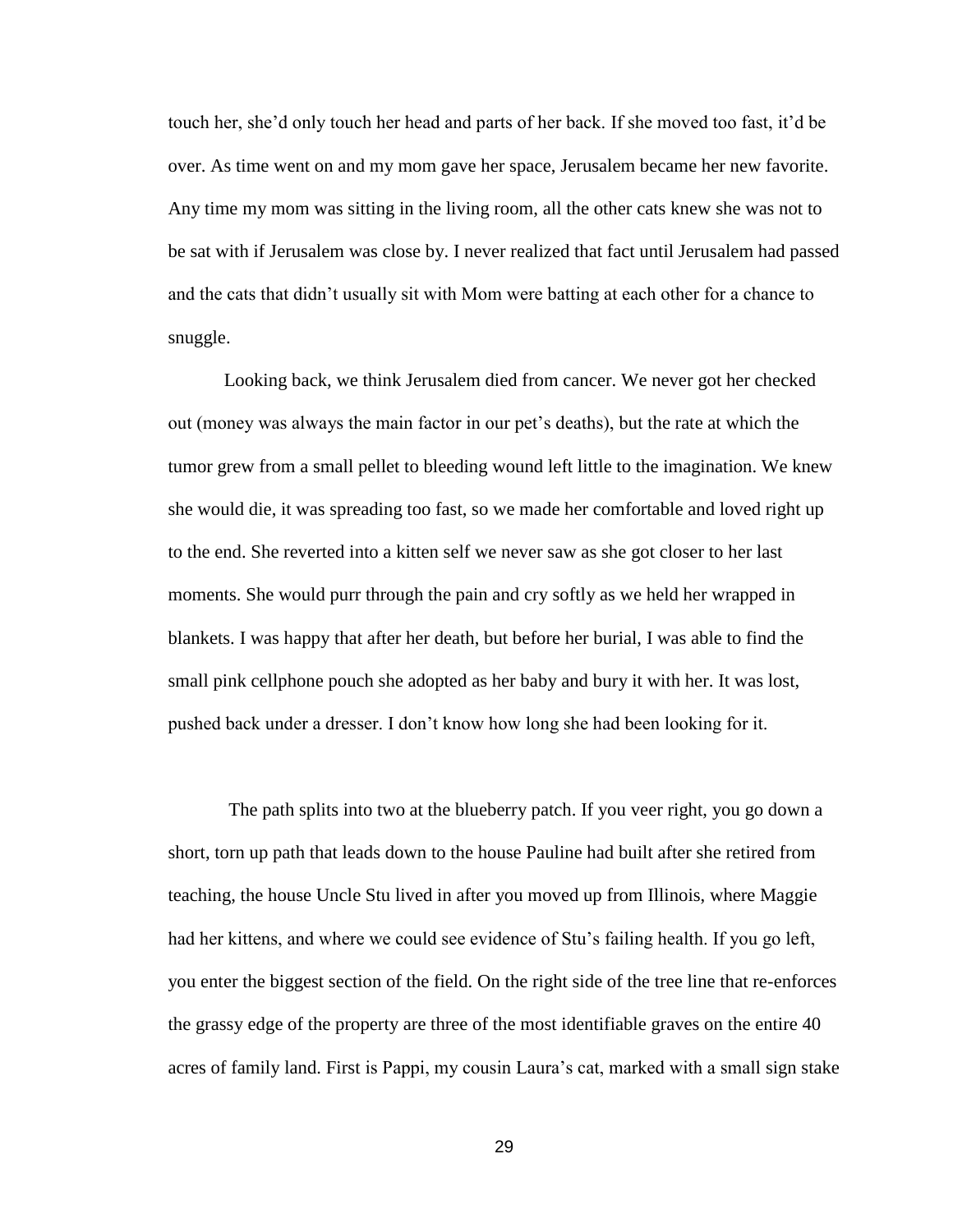touch her, she'd only touch her head and parts of her back. If she moved too fast, it'd be over. As time went on and my mom gave her space, Jerusalem became her new favorite. Any time my mom was sitting in the living room, all the other cats knew she was not to be sat with if Jerusalem was close by. I never realized that fact until Jerusalem had passed and the cats that didn't usually sit with Mom were batting at each other for a chance to snuggle.

Looking back, we think Jerusalem died from cancer. We never got her checked out (money was always the main factor in our pet's deaths), but the rate at which the tumor grew from a small pellet to bleeding wound left little to the imagination. We knew she would die, it was spreading too fast, so we made her comfortable and loved right up to the end. She reverted into a kitten self we never saw as she got closer to her last moments. She would purr through the pain and cry softly as we held her wrapped in blankets. I was happy that after her death, but before her burial, I was able to find the small pink cellphone pouch she adopted as her baby and bury it with her. It was lost, pushed back under a dresser. I don't know how long she had been looking for it.

The path splits into two at the blueberry patch. If you veer right, you go down a short, torn up path that leads down to the house Pauline had built after she retired from teaching, the house Uncle Stu lived in after you moved up from Illinois, where Maggie had her kittens, and where we could see evidence of Stu's failing health. If you go left, you enter the biggest section of the field. On the right side of the tree line that re-enforces the grassy edge of the property are three of the most identifiable graves on the entire 40 acres of family land. First is Pappi, my cousin Laura's cat, marked with a small sign stake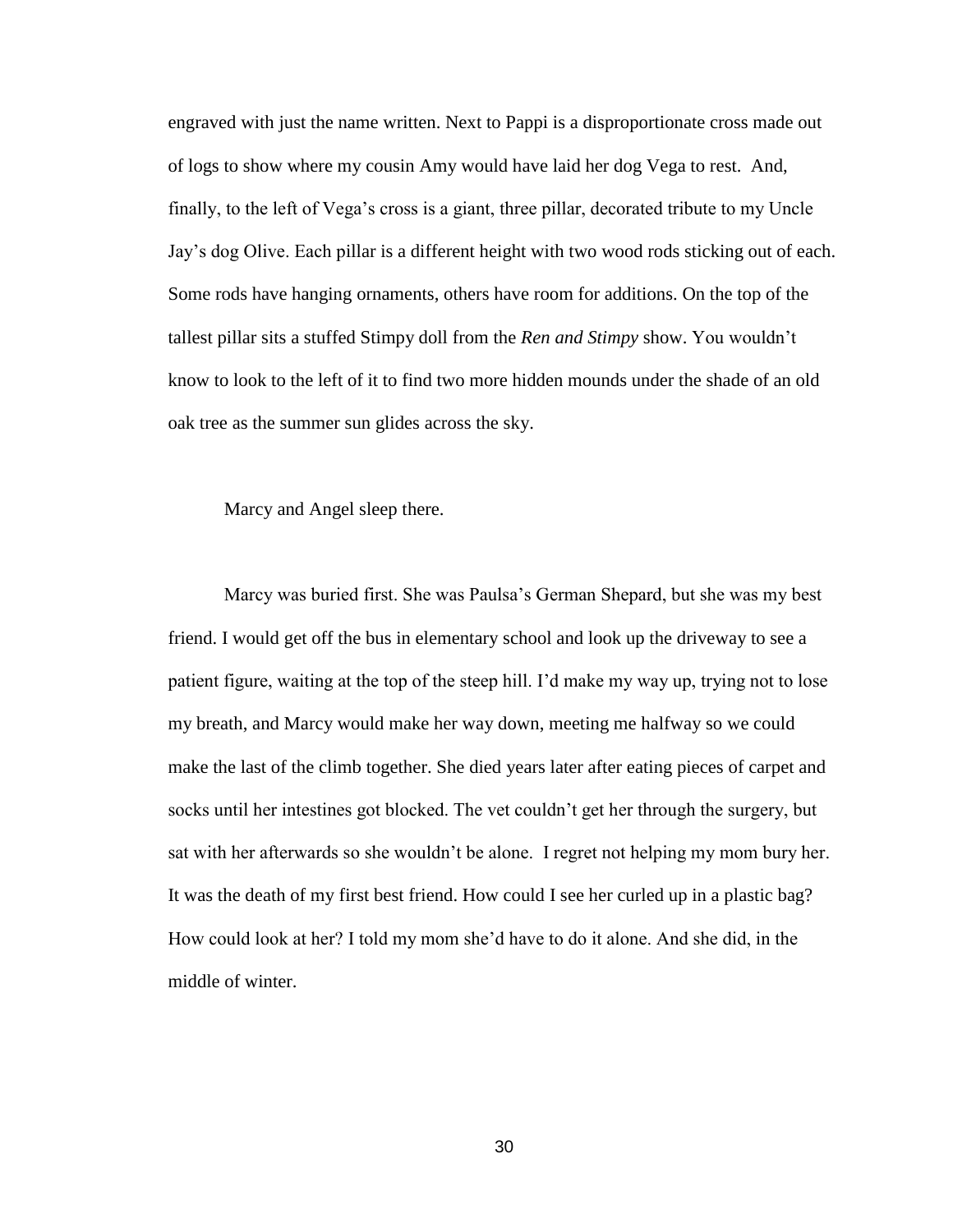engraved with just the name written. Next to Pappi is a disproportionate cross made out of logs to show where my cousin Amy would have laid her dog Vega to rest. And, finally, to the left of Vega's cross is a giant, three pillar, decorated tribute to my Uncle Jay's dog Olive. Each pillar is a different height with two wood rods sticking out of each. Some rods have hanging ornaments, others have room for additions. On the top of the tallest pillar sits a stuffed Stimpy doll from the *Ren and Stimpy* show. You wouldn't know to look to the left of it to find two more hidden mounds under the shade of an old oak tree as the summer sun glides across the sky.

Marcy and Angel sleep there.

Marcy was buried first. She was Paulsa's German Shepard, but she was my best friend. I would get off the bus in elementary school and look up the driveway to see a patient figure, waiting at the top of the steep hill. I'd make my way up, trying not to lose my breath, and Marcy would make her way down, meeting me halfway so we could make the last of the climb together. She died years later after eating pieces of carpet and socks until her intestines got blocked. The vet couldn't get her through the surgery, but sat with her afterwards so she wouldn't be alone. I regret not helping my mom bury her. It was the death of my first best friend. How could I see her curled up in a plastic bag? How could look at her? I told my mom she'd have to do it alone. And she did, in the middle of winter.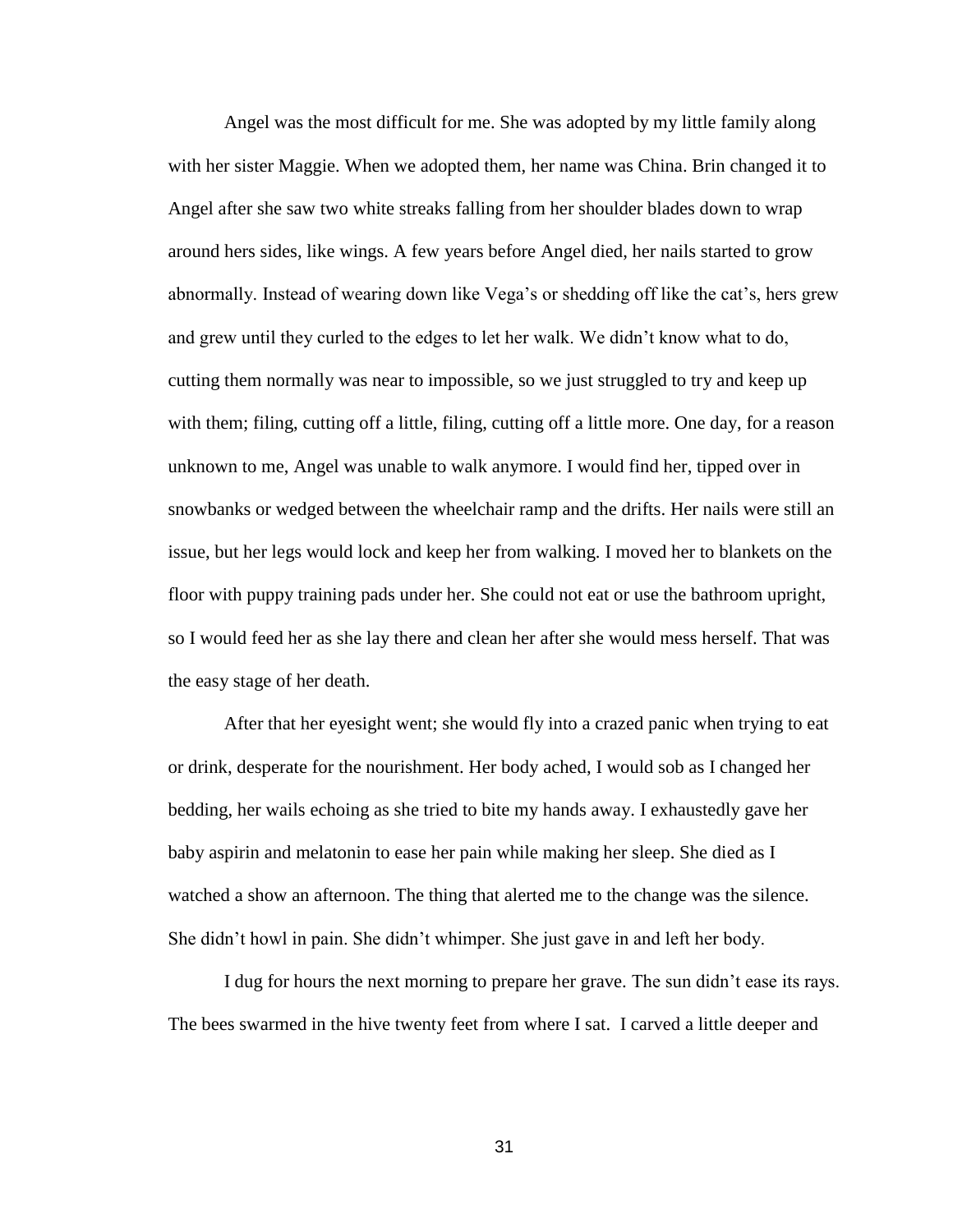Angel was the most difficult for me. She was adopted by my little family along with her sister Maggie. When we adopted them, her name was China. Brin changed it to Angel after she saw two white streaks falling from her shoulder blades down to wrap around hers sides, like wings. A few years before Angel died, her nails started to grow abnormally. Instead of wearing down like Vega's or shedding off like the cat's, hers grew and grew until they curled to the edges to let her walk. We didn't know what to do, cutting them normally was near to impossible, so we just struggled to try and keep up with them; filing, cutting off a little, filing, cutting off a little more. One day, for a reason unknown to me, Angel was unable to walk anymore. I would find her, tipped over in snowbanks or wedged between the wheelchair ramp and the drifts. Her nails were still an issue, but her legs would lock and keep her from walking. I moved her to blankets on the floor with puppy training pads under her. She could not eat or use the bathroom upright, so I would feed her as she lay there and clean her after she would mess herself. That was the easy stage of her death.

After that her eyesight went; she would fly into a crazed panic when trying to eat or drink, desperate for the nourishment. Her body ached, I would sob as I changed her bedding, her wails echoing as she tried to bite my hands away. I exhaustedly gave her baby aspirin and melatonin to ease her pain while making her sleep. She died as I watched a show an afternoon. The thing that alerted me to the change was the silence. She didn't howl in pain. She didn't whimper. She just gave in and left her body.

I dug for hours the next morning to prepare her grave. The sun didn't ease its rays. The bees swarmed in the hive twenty feet from where I sat. I carved a little deeper and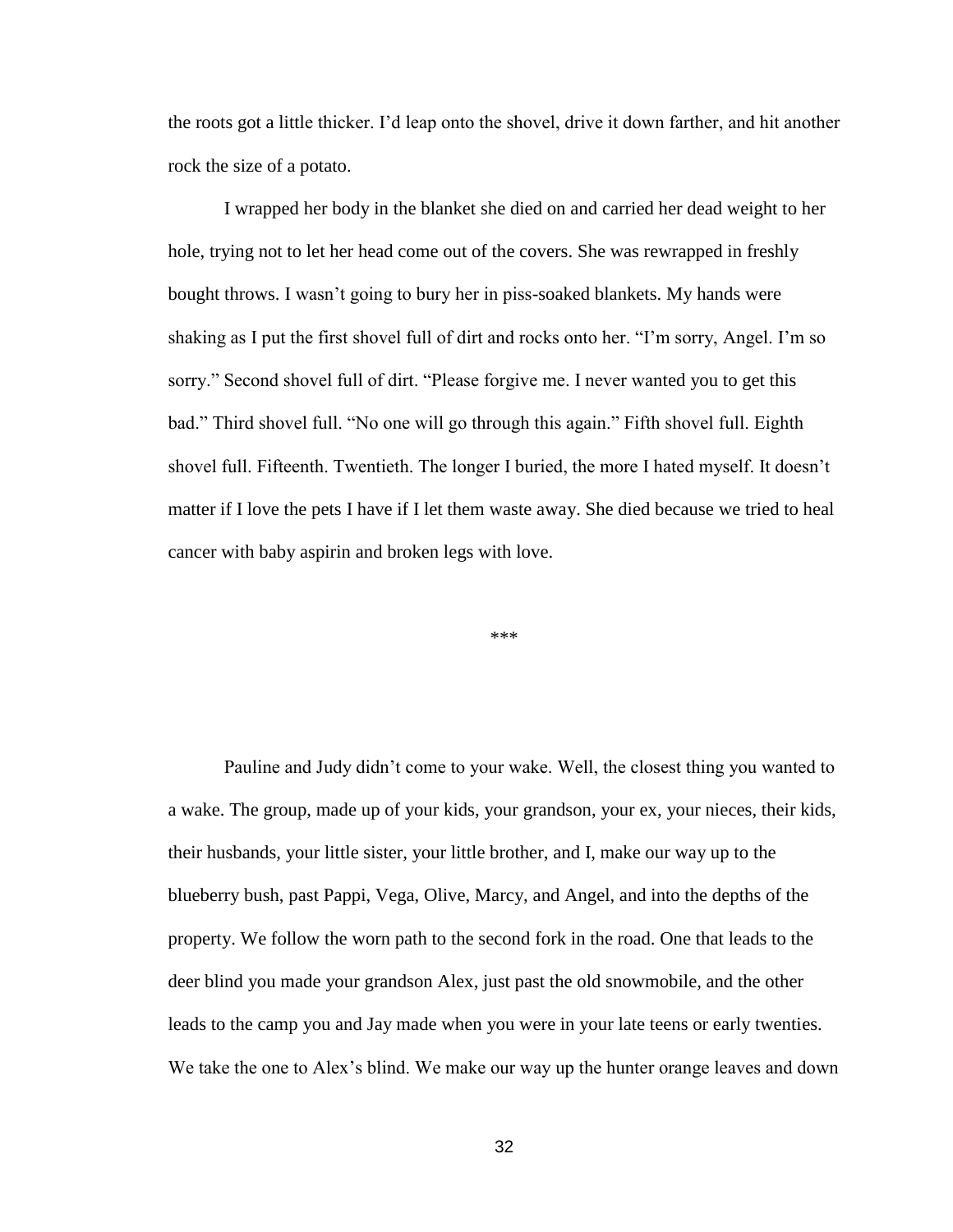the roots got a little thicker. I'd leap onto the shovel, drive it down farther, and hit another rock the size of a potato.

I wrapped her body in the blanket she died on and carried her dead weight to her hole, trying not to let her head come out of the covers. She was rewrapped in freshly bought throws. I wasn't going to bury her in piss-soaked blankets. My hands were shaking as I put the first shovel full of dirt and rocks onto her. "I'm sorry, Angel. I'm so sorry." Second shovel full of dirt. "Please forgive me. I never wanted you to get this bad." Third shovel full. "No one will go through this again." Fifth shovel full. Eighth shovel full. Fifteenth. Twentieth. The longer I buried, the more I hated myself. It doesn't matter if I love the pets I have if I let them waste away. She died because we tried to heal cancer with baby aspirin and broken legs with love.

\*\*\*

Pauline and Judy didn't come to your wake. Well, the closest thing you wanted to a wake. The group, made up of your kids, your grandson, your ex, your nieces, their kids, their husbands, your little sister, your little brother, and I, make our way up to the blueberry bush, past Pappi, Vega, Olive, Marcy, and Angel, and into the depths of the property. We follow the worn path to the second fork in the road. One that leads to the deer blind you made your grandson Alex, just past the old snowmobile, and the other leads to the camp you and Jay made when you were in your late teens or early twenties. We take the one to Alex's blind. We make our way up the hunter orange leaves and down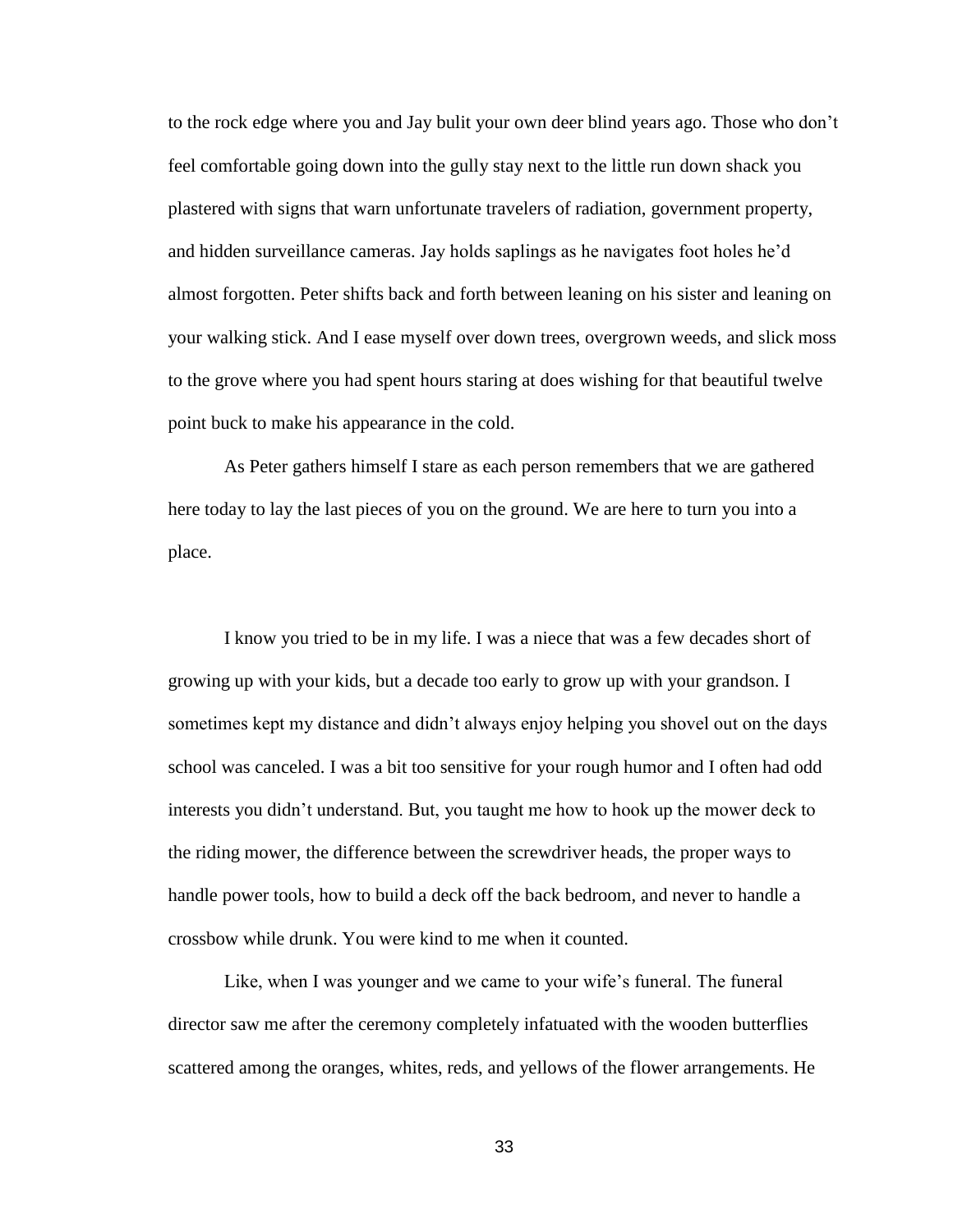to the rock edge where you and Jay bulit your own deer blind years ago. Those who don't feel comfortable going down into the gully stay next to the little run down shack you plastered with signs that warn unfortunate travelers of radiation, government property, and hidden surveillance cameras. Jay holds saplings as he navigates foot holes he'd almost forgotten. Peter shifts back and forth between leaning on his sister and leaning on your walking stick. And I ease myself over down trees, overgrown weeds, and slick moss to the grove where you had spent hours staring at does wishing for that beautiful twelve point buck to make his appearance in the cold.

As Peter gathers himself I stare as each person remembers that we are gathered here today to lay the last pieces of you on the ground. We are here to turn you into a place.

I know you tried to be in my life. I was a niece that was a few decades short of growing up with your kids, but a decade too early to grow up with your grandson. I sometimes kept my distance and didn't always enjoy helping you shovel out on the days school was canceled. I was a bit too sensitive for your rough humor and I often had odd interests you didn't understand. But, you taught me how to hook up the mower deck to the riding mower, the difference between the screwdriver heads, the proper ways to handle power tools, how to build a deck off the back bedroom, and never to handle a crossbow while drunk. You were kind to me when it counted.

Like, when I was younger and we came to your wife's funeral. The funeral director saw me after the ceremony completely infatuated with the wooden butterflies scattered among the oranges, whites, reds, and yellows of the flower arrangements. He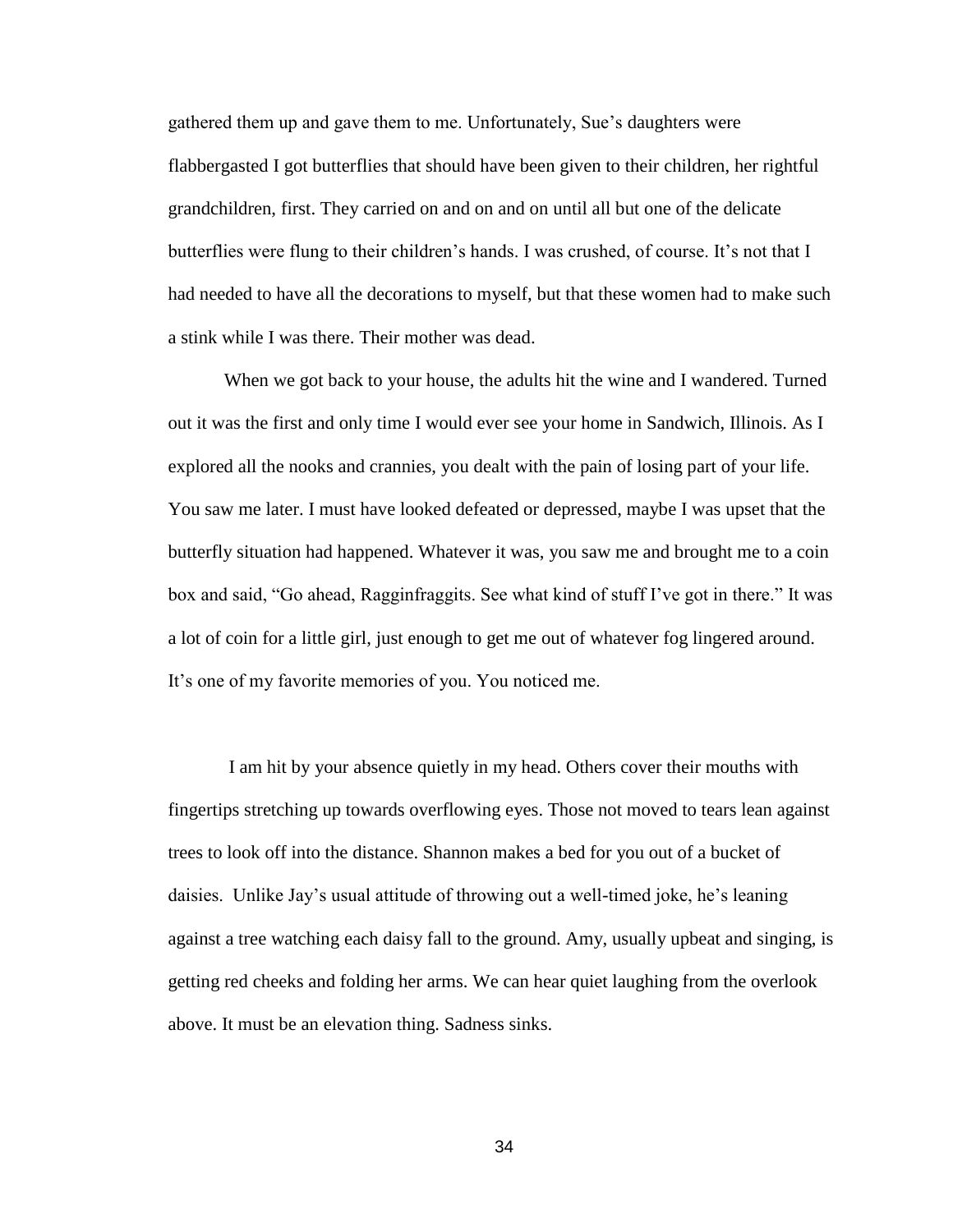gathered them up and gave them to me. Unfortunately, Sue's daughters were flabbergasted I got butterflies that should have been given to their children, her rightful grandchildren, first. They carried on and on and on until all but one of the delicate butterflies were flung to their children's hands. I was crushed, of course. It's not that I had needed to have all the decorations to myself, but that these women had to make such a stink while I was there. Their mother was dead.

When we got back to your house, the adults hit the wine and I wandered. Turned out it was the first and only time I would ever see your home in Sandwich, Illinois. As I explored all the nooks and crannies, you dealt with the pain of losing part of your life. You saw me later. I must have looked defeated or depressed, maybe I was upset that the butterfly situation had happened. Whatever it was, you saw me and brought me to a coin box and said, "Go ahead, Ragginfraggits. See what kind of stuff I've got in there." It was a lot of coin for a little girl, just enough to get me out of whatever fog lingered around. It's one of my favorite memories of you. You noticed me.

I am hit by your absence quietly in my head. Others cover their mouths with fingertips stretching up towards overflowing eyes. Those not moved to tears lean against trees to look off into the distance. Shannon makes a bed for you out of a bucket of daisies. Unlike Jay's usual attitude of throwing out a well-timed joke, he's leaning against a tree watching each daisy fall to the ground. Amy, usually upbeat and singing, is getting red cheeks and folding her arms. We can hear quiet laughing from the overlook above. It must be an elevation thing. Sadness sinks.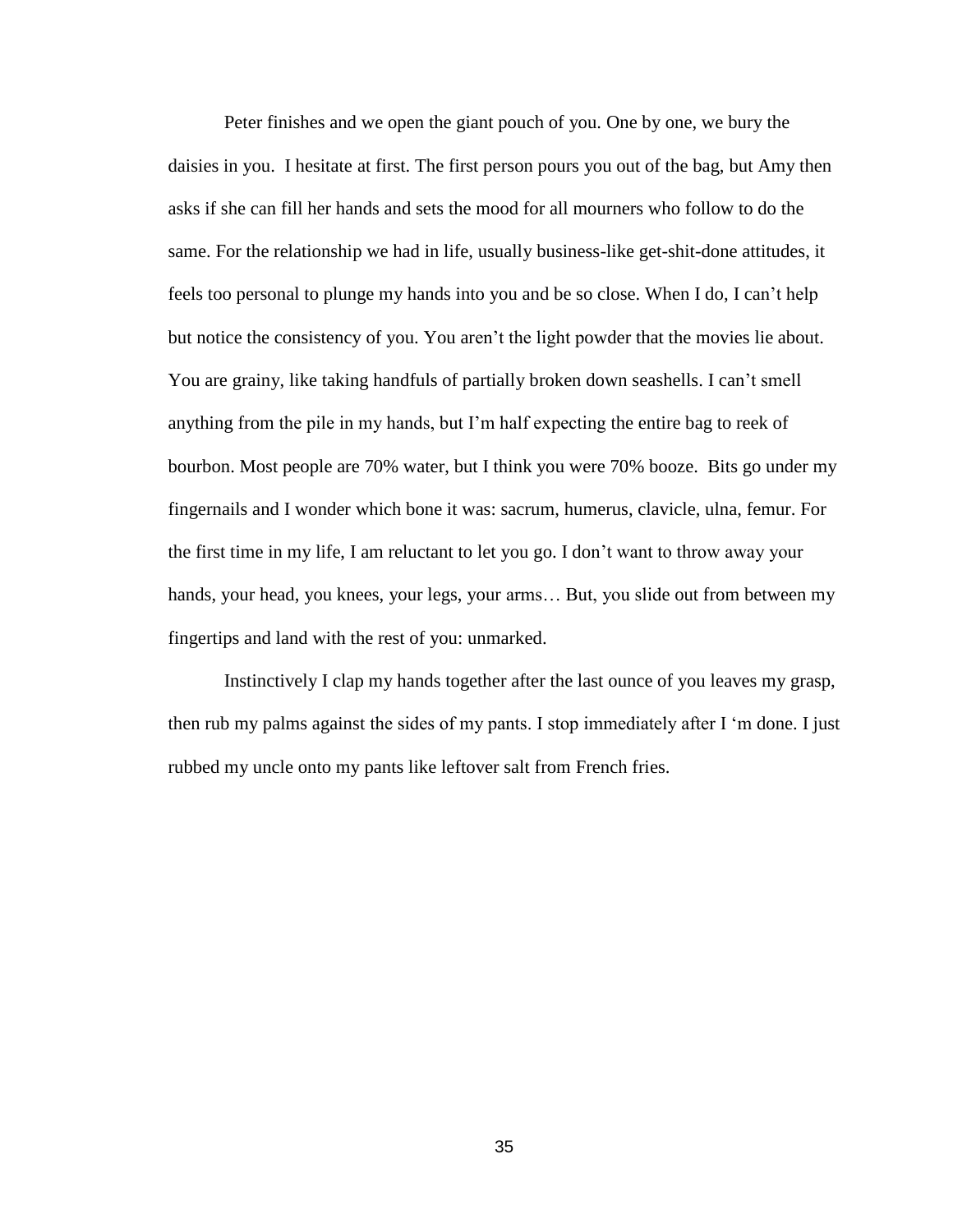Peter finishes and we open the giant pouch of you. One by one, we bury the daisies in you. I hesitate at first. The first person pours you out of the bag, but Amy then asks if she can fill her hands and sets the mood for all mourners who follow to do the same. For the relationship we had in life, usually business-like get-shit-done attitudes, it feels too personal to plunge my hands into you and be so close. When I do, I can't help but notice the consistency of you. You aren't the light powder that the movies lie about. You are grainy, like taking handfuls of partially broken down seashells. I can't smell anything from the pile in my hands, but I'm half expecting the entire bag to reek of bourbon. Most people are 70% water, but I think you were 70% booze. Bits go under my fingernails and I wonder which bone it was: sacrum, humerus, clavicle, ulna, femur. For the first time in my life, I am reluctant to let you go. I don't want to throw away your hands, your head, you knees, your legs, your arms... But, you slide out from between my fingertips and land with the rest of you: unmarked.

Instinctively I clap my hands together after the last ounce of you leaves my grasp, then rub my palms against the sides of my pants. I stop immediately after I 'm done. I just rubbed my uncle onto my pants like leftover salt from French fries.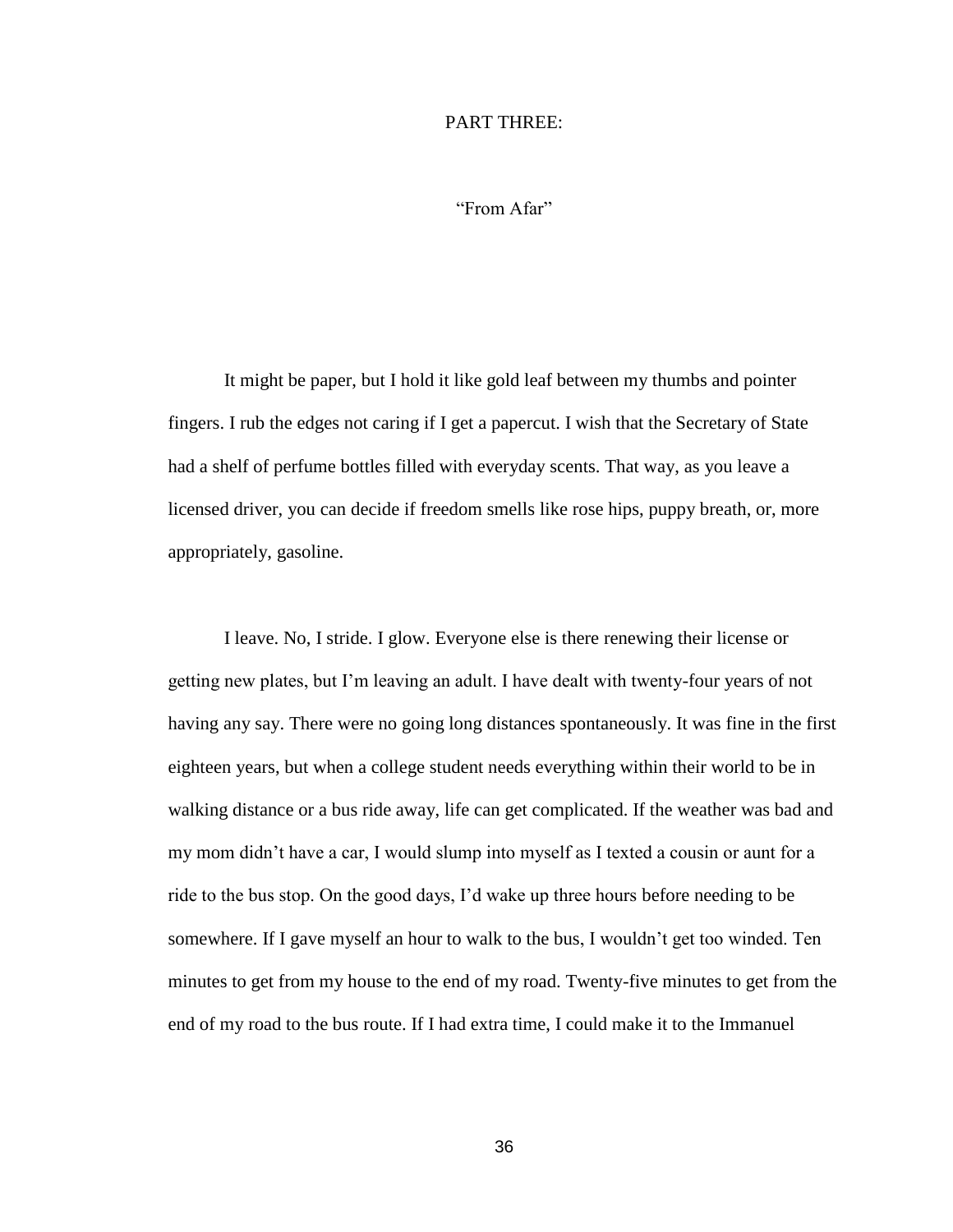### PART THREE:

"From Afar"

It might be paper, but I hold it like gold leaf between my thumbs and pointer fingers. I rub the edges not caring if I get a papercut. I wish that the Secretary of State had a shelf of perfume bottles filled with everyday scents. That way, as you leave a licensed driver, you can decide if freedom smells like rose hips, puppy breath, or, more appropriately, gasoline.

I leave. No, I stride. I glow. Everyone else is there renewing their license or getting new plates, but I'm leaving an adult. I have dealt with twenty-four years of not having any say. There were no going long distances spontaneously. It was fine in the first eighteen years, but when a college student needs everything within their world to be in walking distance or a bus ride away, life can get complicated. If the weather was bad and my mom didn't have a car, I would slump into myself as I texted a cousin or aunt for a ride to the bus stop. On the good days, I'd wake up three hours before needing to be somewhere. If I gave myself an hour to walk to the bus, I wouldn't get too winded. Ten minutes to get from my house to the end of my road. Twenty-five minutes to get from the end of my road to the bus route. If I had extra time, I could make it to the Immanuel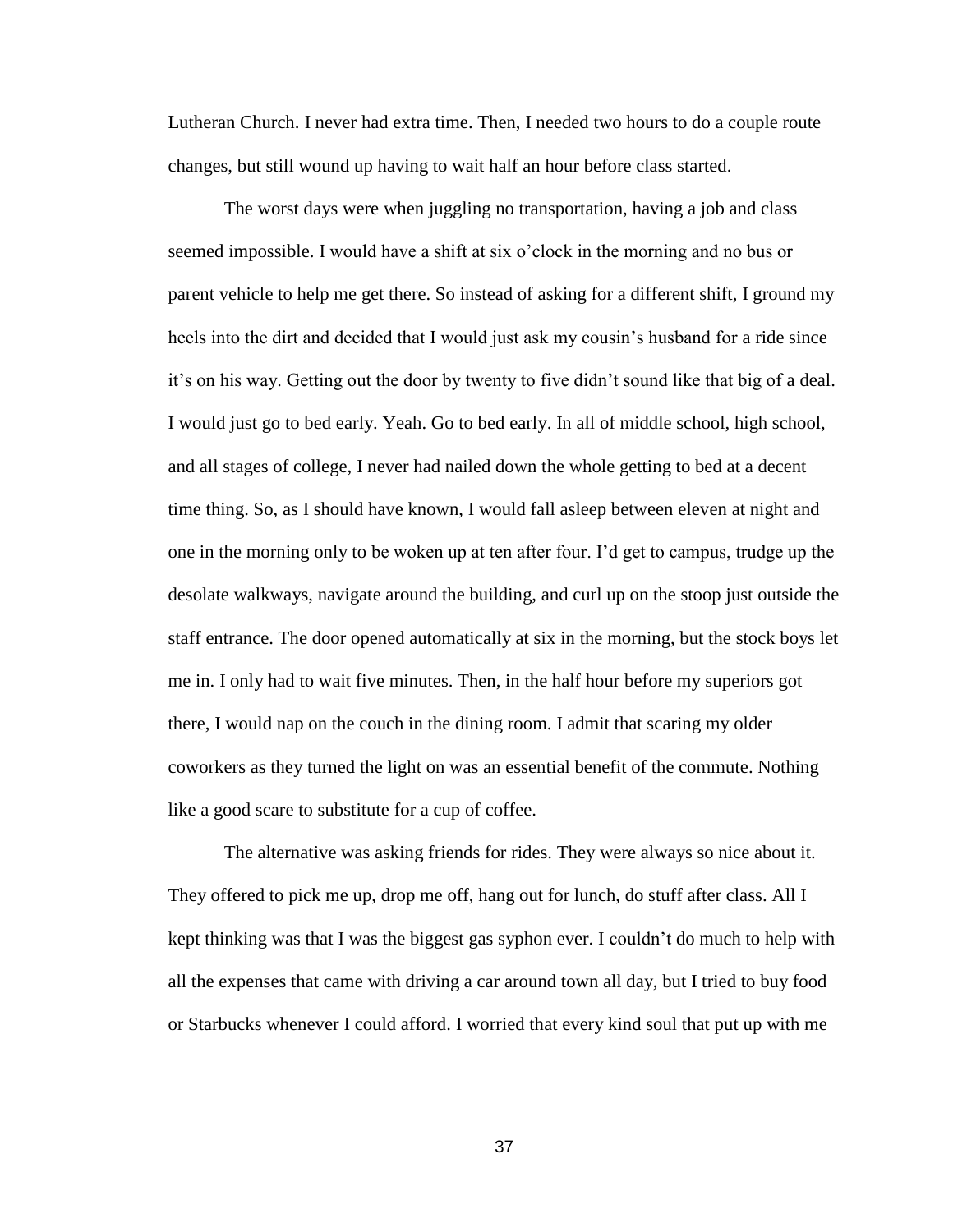Lutheran Church. I never had extra time. Then, I needed two hours to do a couple route changes, but still wound up having to wait half an hour before class started.

The worst days were when juggling no transportation, having a job and class seemed impossible. I would have a shift at six o'clock in the morning and no bus or parent vehicle to help me get there. So instead of asking for a different shift, I ground my heels into the dirt and decided that I would just ask my cousin's husband for a ride since it's on his way. Getting out the door by twenty to five didn't sound like that big of a deal. I would just go to bed early. Yeah. Go to bed early. In all of middle school, high school, and all stages of college, I never had nailed down the whole getting to bed at a decent time thing. So, as I should have known, I would fall asleep between eleven at night and one in the morning only to be woken up at ten after four. I'd get to campus, trudge up the desolate walkways, navigate around the building, and curl up on the stoop just outside the staff entrance. The door opened automatically at six in the morning, but the stock boys let me in. I only had to wait five minutes. Then, in the half hour before my superiors got there, I would nap on the couch in the dining room. I admit that scaring my older coworkers as they turned the light on was an essential benefit of the commute. Nothing like a good scare to substitute for a cup of coffee.

The alternative was asking friends for rides. They were always so nice about it. They offered to pick me up, drop me off, hang out for lunch, do stuff after class. All I kept thinking was that I was the biggest gas syphon ever. I couldn't do much to help with all the expenses that came with driving a car around town all day, but I tried to buy food or Starbucks whenever I could afford. I worried that every kind soul that put up with me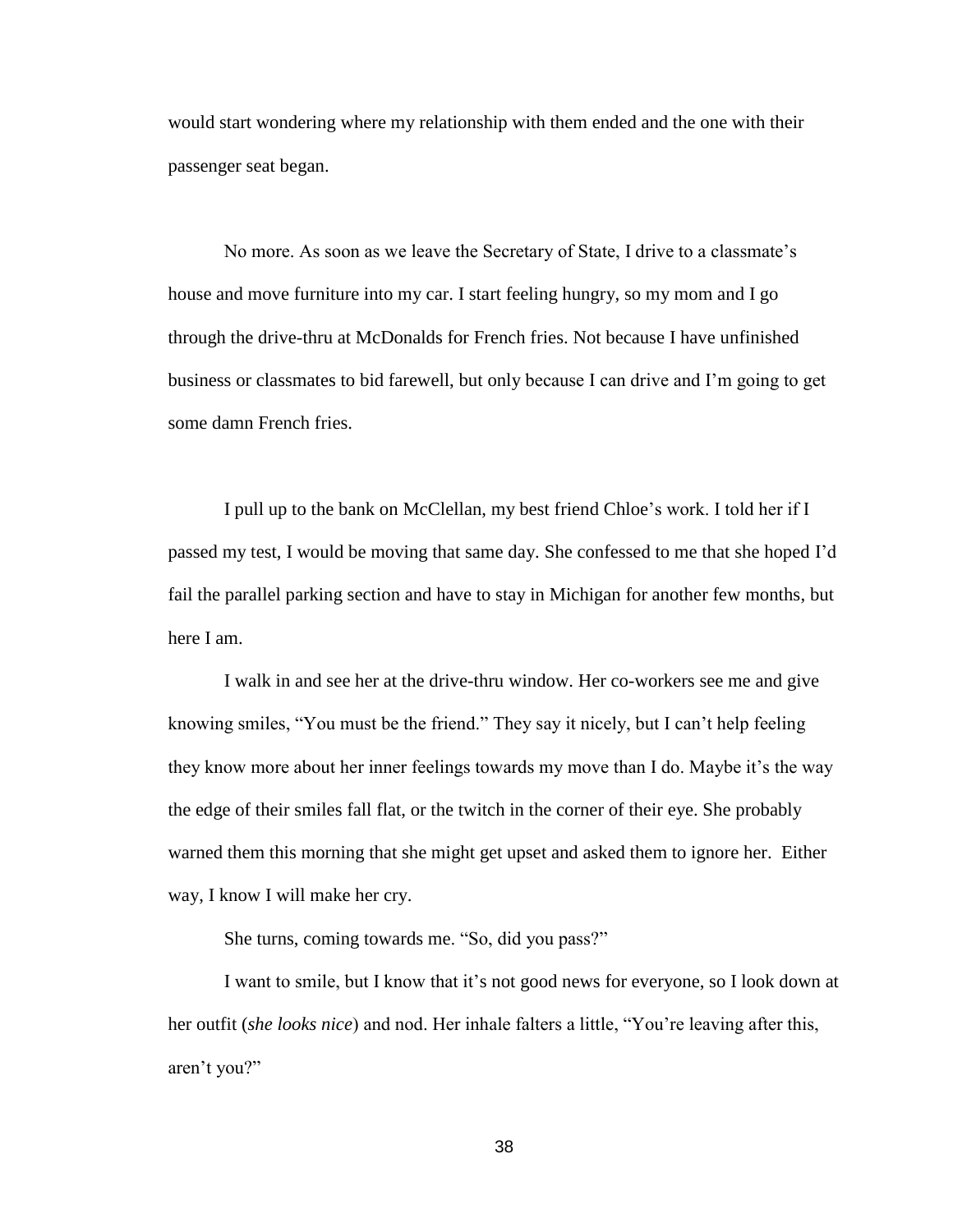would start wondering where my relationship with them ended and the one with their passenger seat began.

No more. As soon as we leave the Secretary of State, I drive to a classmate's house and move furniture into my car. I start feeling hungry, so my mom and I go through the drive-thru at McDonalds for French fries. Not because I have unfinished business or classmates to bid farewell, but only because I can drive and I'm going to get some damn French fries.

I pull up to the bank on McClellan, my best friend Chloe's work. I told her if I passed my test, I would be moving that same day. She confessed to me that she hoped I'd fail the parallel parking section and have to stay in Michigan for another few months, but here I am.

I walk in and see her at the drive-thru window. Her co-workers see me and give knowing smiles, "You must be the friend." They say it nicely, but I can't help feeling they know more about her inner feelings towards my move than I do. Maybe it's the way the edge of their smiles fall flat, or the twitch in the corner of their eye. She probably warned them this morning that she might get upset and asked them to ignore her. Either way, I know I will make her cry.

She turns, coming towards me. "So, did you pass?"

I want to smile, but I know that it's not good news for everyone, so I look down at her outfit (*she looks nice*) and nod. Her inhale falters a little, "You're leaving after this, aren't you?"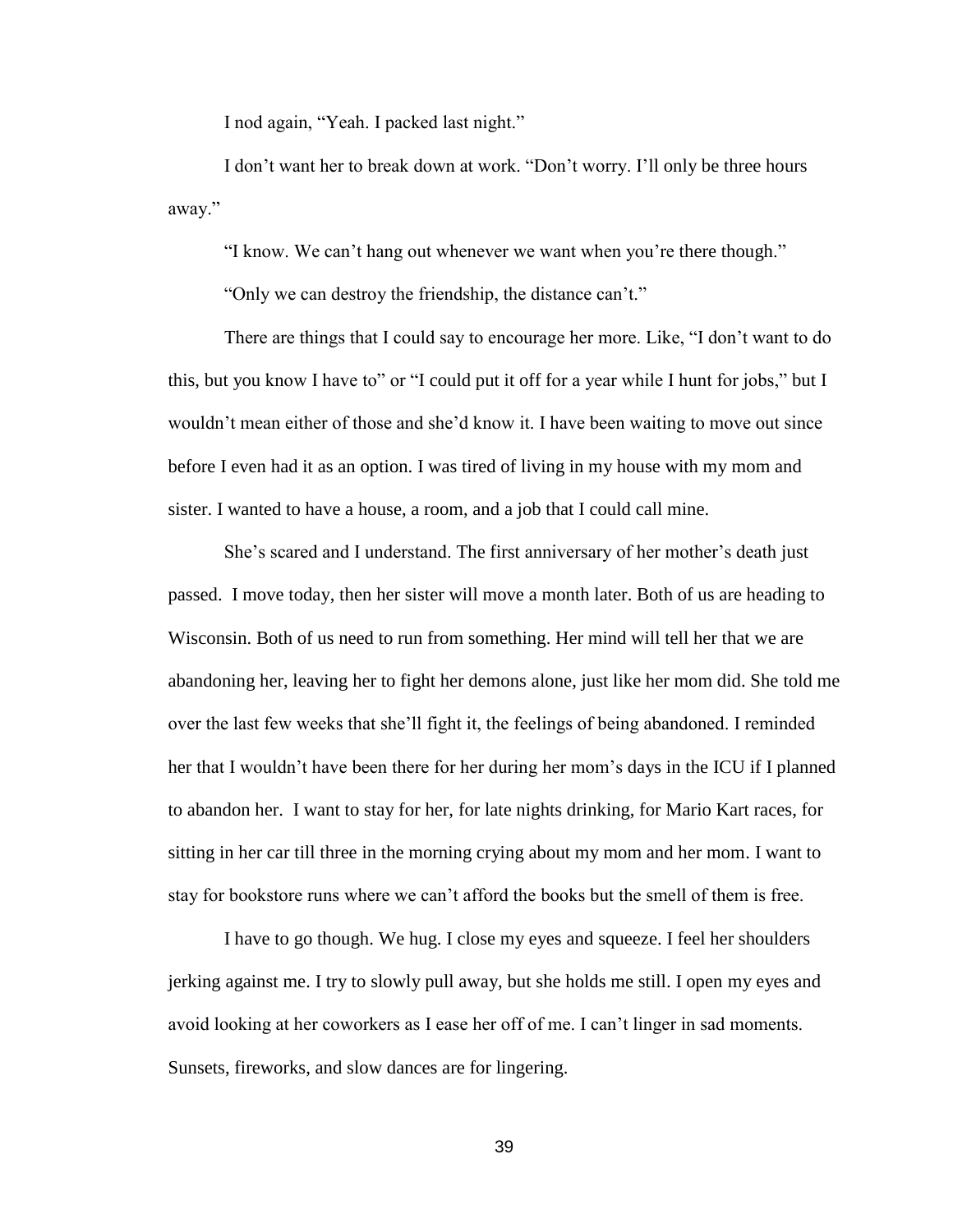I nod again, "Yeah. I packed last night."

I don't want her to break down at work. "Don't worry. I'll only be three hours away."

"I know. We can't hang out whenever we want when you're there though."

"Only we can destroy the friendship, the distance can't."

There are things that I could say to encourage her more. Like, "I don't want to do this, but you know I have to" or "I could put it off for a year while I hunt for jobs," but I wouldn't mean either of those and she'd know it. I have been waiting to move out since before I even had it as an option. I was tired of living in my house with my mom and sister. I wanted to have a house, a room, and a job that I could call mine.

She's scared and I understand. The first anniversary of her mother's death just passed. I move today, then her sister will move a month later. Both of us are heading to Wisconsin. Both of us need to run from something. Her mind will tell her that we are abandoning her, leaving her to fight her demons alone, just like her mom did. She told me over the last few weeks that she'll fight it, the feelings of being abandoned. I reminded her that I wouldn't have been there for her during her mom's days in the ICU if I planned to abandon her. I want to stay for her, for late nights drinking, for Mario Kart races, for sitting in her car till three in the morning crying about my mom and her mom. I want to stay for bookstore runs where we can't afford the books but the smell of them is free.

I have to go though. We hug. I close my eyes and squeeze. I feel her shoulders jerking against me. I try to slowly pull away, but she holds me still. I open my eyes and avoid looking at her coworkers as I ease her off of me. I can't linger in sad moments. Sunsets, fireworks, and slow dances are for lingering.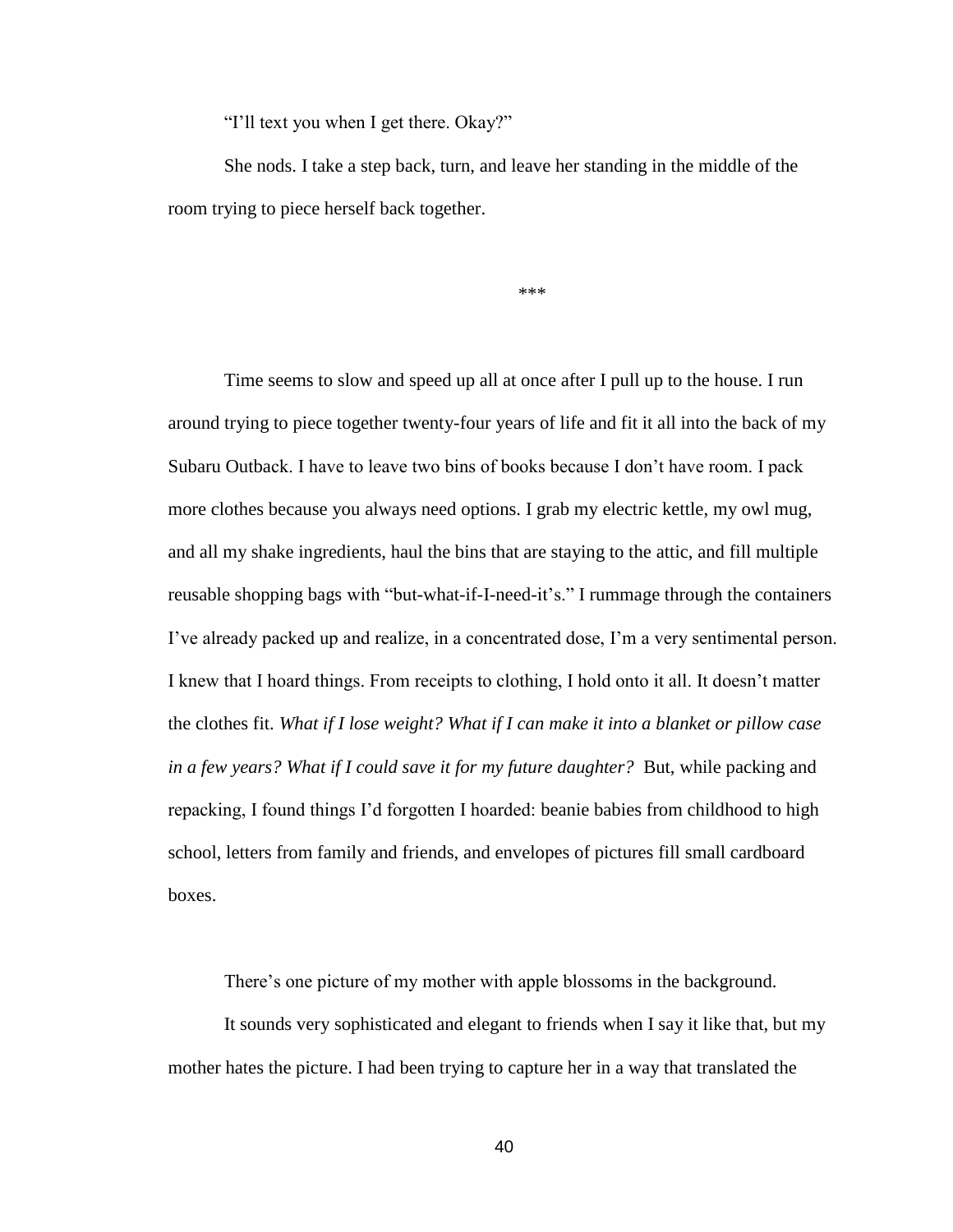"I'll text you when I get there. Okay?"

She nods. I take a step back, turn, and leave her standing in the middle of the room trying to piece herself back together.

\*\*\*

Time seems to slow and speed up all at once after I pull up to the house. I run around trying to piece together twenty-four years of life and fit it all into the back of my Subaru Outback. I have to leave two bins of books because I don't have room. I pack more clothes because you always need options. I grab my electric kettle, my owl mug, and all my shake ingredients, haul the bins that are staying to the attic, and fill multiple reusable shopping bags with "but-what-if-I-need-it's." I rummage through the containers I've already packed up and realize, in a concentrated dose, I'm a very sentimental person. I knew that I hoard things. From receipts to clothing, I hold onto it all. It doesn't matter the clothes fit. *What if I lose weight? What if I can make it into a blanket or pillow case in a few years? What if I could save it for my future daughter?* But, while packing and repacking, I found things I'd forgotten I hoarded: beanie babies from childhood to high school, letters from family and friends, and envelopes of pictures fill small cardboard boxes.

There's one picture of my mother with apple blossoms in the background.

It sounds very sophisticated and elegant to friends when I say it like that, but my mother hates the picture. I had been trying to capture her in a way that translated the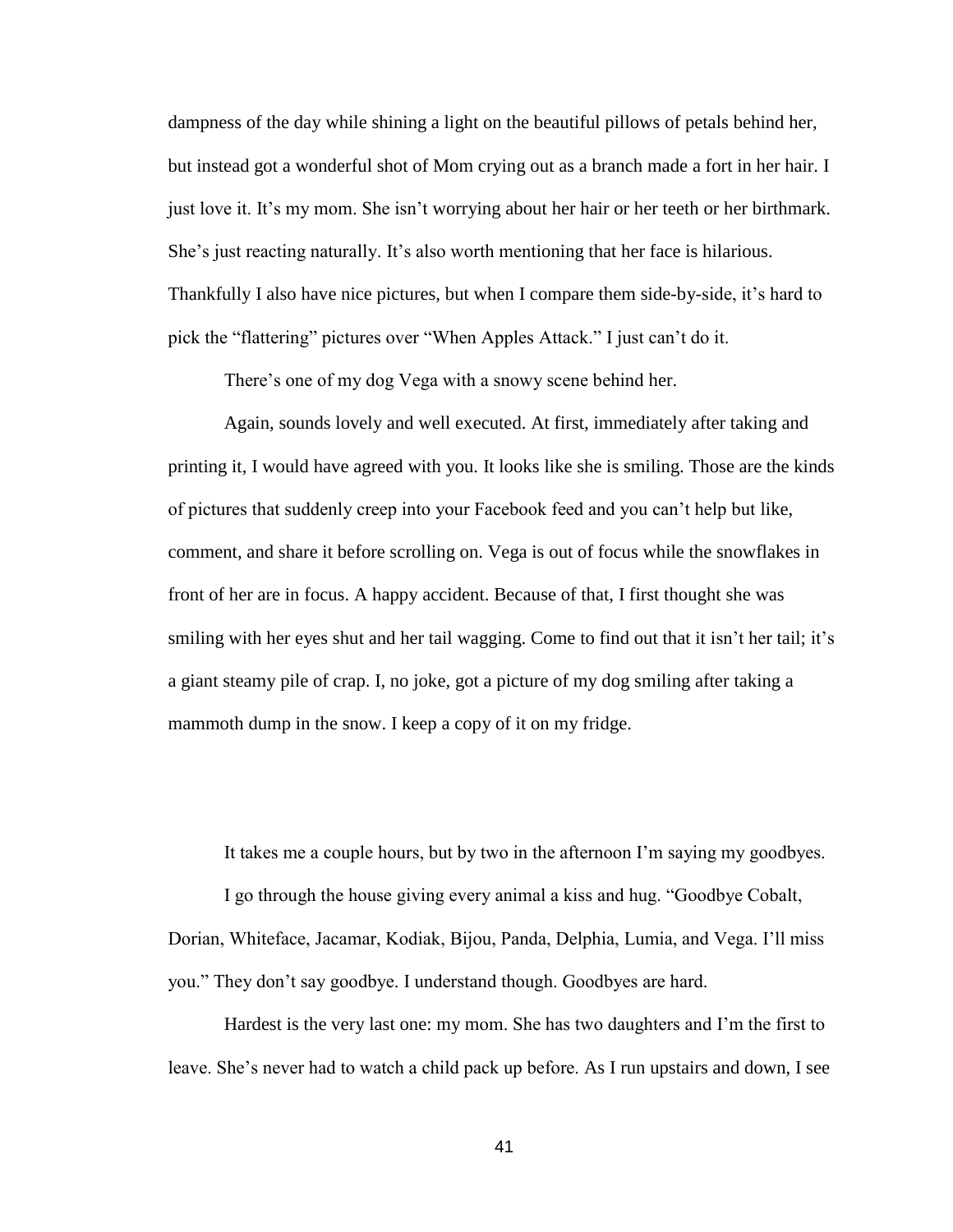dampness of the day while shining a light on the beautiful pillows of petals behind her, but instead got a wonderful shot of Mom crying out as a branch made a fort in her hair. I just love it. It's my mom. She isn't worrying about her hair or her teeth or her birthmark. She's just reacting naturally. It's also worth mentioning that her face is hilarious. Thankfully I also have nice pictures, but when I compare them side-by-side, it's hard to pick the "flattering" pictures over "When Apples Attack." I just can't do it.

There's one of my dog Vega with a snowy scene behind her.

Again, sounds lovely and well executed. At first, immediately after taking and printing it, I would have agreed with you. It looks like she is smiling. Those are the kinds of pictures that suddenly creep into your Facebook feed and you can't help but like, comment, and share it before scrolling on. Vega is out of focus while the snowflakes in front of her are in focus. A happy accident. Because of that, I first thought she was smiling with her eyes shut and her tail wagging. Come to find out that it isn't her tail; it's a giant steamy pile of crap. I, no joke, got a picture of my dog smiling after taking a mammoth dump in the snow. I keep a copy of it on my fridge.

It takes me a couple hours, but by two in the afternoon I'm saying my goodbyes.

I go through the house giving every animal a kiss and hug. "Goodbye Cobalt, Dorian, Whiteface, Jacamar, Kodiak, Bijou, Panda, Delphia, Lumia, and Vega. I'll miss you." They don't say goodbye. I understand though. Goodbyes are hard.

Hardest is the very last one: my mom. She has two daughters and I'm the first to leave. She's never had to watch a child pack up before. As I run upstairs and down, I see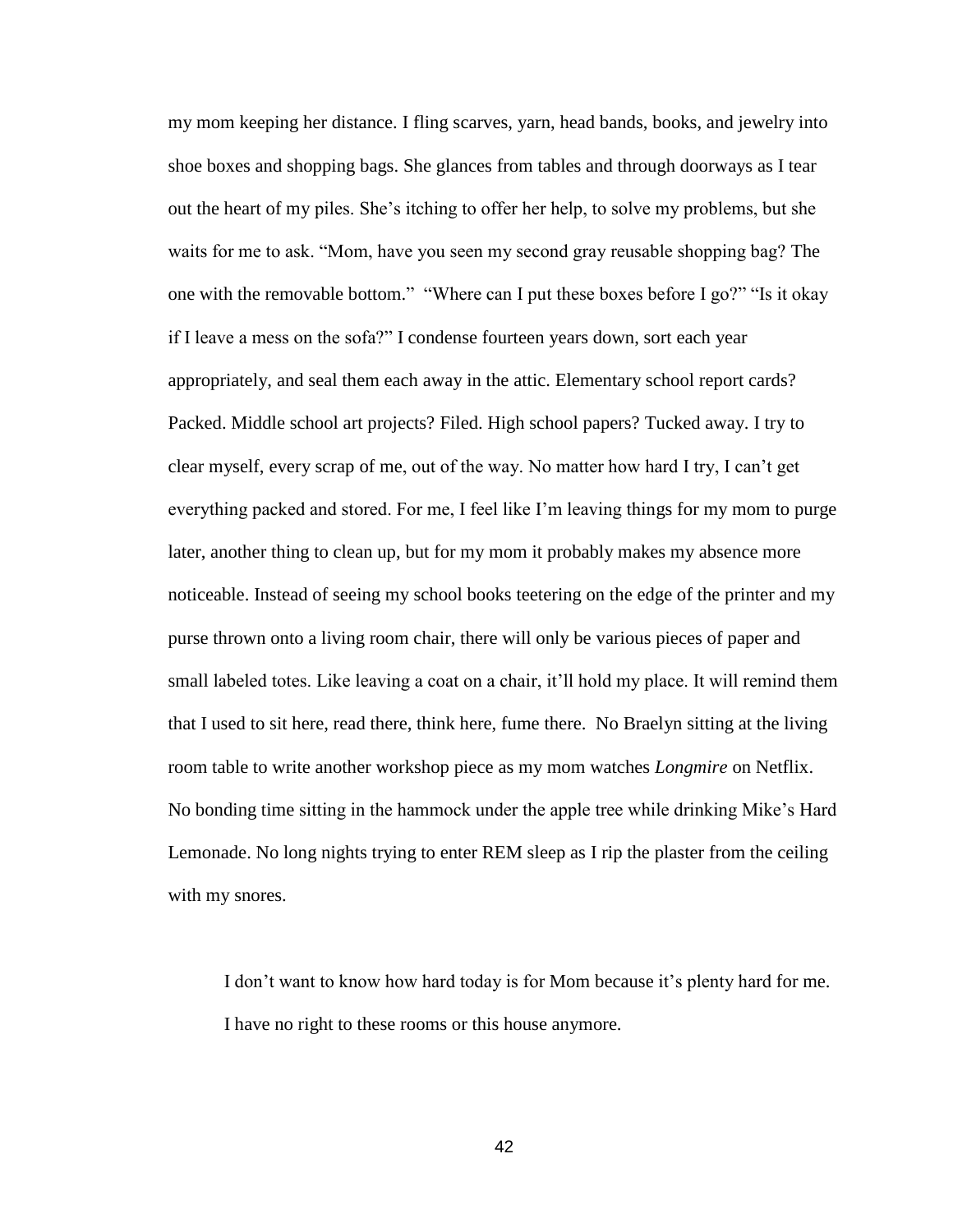my mom keeping her distance. I fling scarves, yarn, head bands, books, and jewelry into shoe boxes and shopping bags. She glances from tables and through doorways as I tear out the heart of my piles. She's itching to offer her help, to solve my problems, but she waits for me to ask. "Mom, have you seen my second gray reusable shopping bag? The one with the removable bottom." "Where can I put these boxes before I go?" "Is it okay if I leave a mess on the sofa?" I condense fourteen years down, sort each year appropriately, and seal them each away in the attic. Elementary school report cards? Packed. Middle school art projects? Filed. High school papers? Tucked away. I try to clear myself, every scrap of me, out of the way. No matter how hard I try, I can't get everything packed and stored. For me, I feel like I'm leaving things for my mom to purge later, another thing to clean up, but for my mom it probably makes my absence more noticeable. Instead of seeing my school books teetering on the edge of the printer and my purse thrown onto a living room chair, there will only be various pieces of paper and small labeled totes. Like leaving a coat on a chair, it'll hold my place. It will remind them that I used to sit here, read there, think here, fume there. No Braelyn sitting at the living room table to write another workshop piece as my mom watches *Longmire* on Netflix. No bonding time sitting in the hammock under the apple tree while drinking Mike's Hard Lemonade. No long nights trying to enter REM sleep as I rip the plaster from the ceiling with my snores.

I don't want to know how hard today is for Mom because it's plenty hard for me. I have no right to these rooms or this house anymore.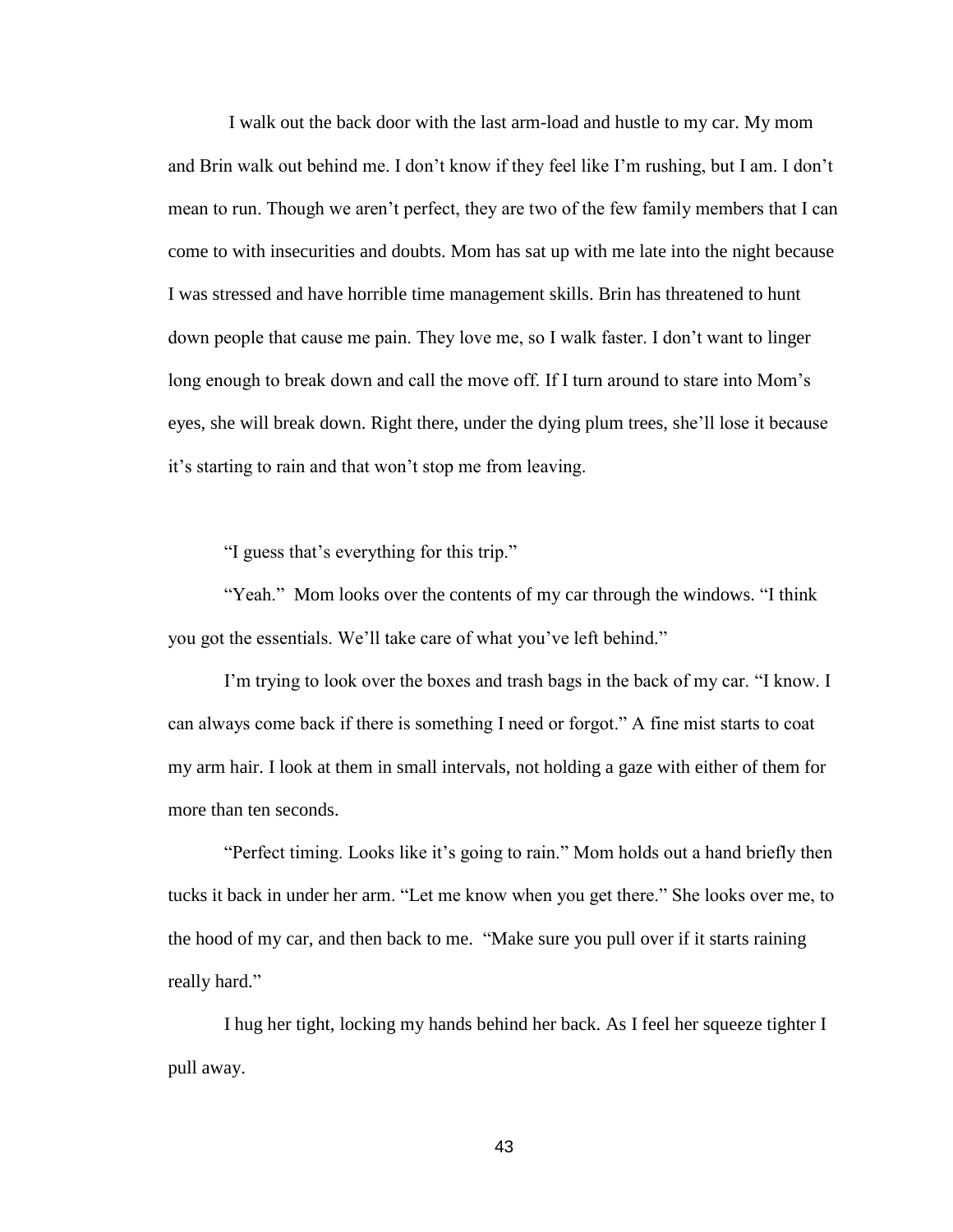I walk out the back door with the last arm-load and hustle to my car. My mom and Brin walk out behind me. I don't know if they feel like I'm rushing, but I am. I don't mean to run. Though we aren't perfect, they are two of the few family members that I can come to with insecurities and doubts. Mom has sat up with me late into the night because I was stressed and have horrible time management skills. Brin has threatened to hunt down people that cause me pain. They love me, so I walk faster. I don't want to linger long enough to break down and call the move off. If I turn around to stare into Mom's eyes, she will break down. Right there, under the dying plum trees, she'll lose it because it's starting to rain and that won't stop me from leaving.

"I guess that's everything for this trip."

"Yeah." Mom looks over the contents of my car through the windows. "I think you got the essentials. We'll take care of what you've left behind."

I'm trying to look over the boxes and trash bags in the back of my car. "I know. I can always come back if there is something I need or forgot." A fine mist starts to coat my arm hair. I look at them in small intervals, not holding a gaze with either of them for more than ten seconds.

"Perfect timing. Looks like it's going to rain." Mom holds out a hand briefly then tucks it back in under her arm. "Let me know when you get there." She looks over me, to the hood of my car, and then back to me. "Make sure you pull over if it starts raining really hard."

I hug her tight, locking my hands behind her back. As I feel her squeeze tighter I pull away.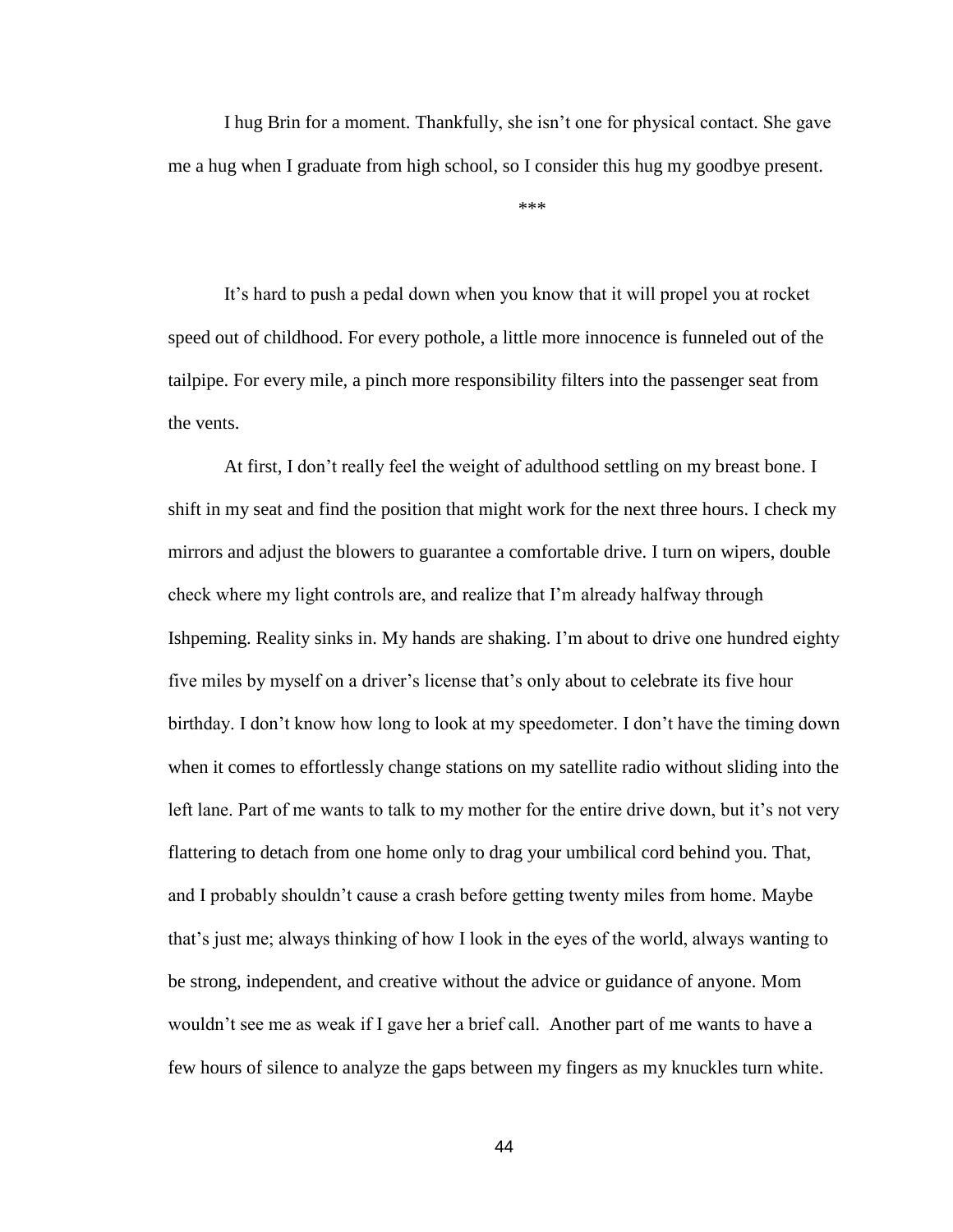I hug Brin for a moment. Thankfully, she isn't one for physical contact. She gave me a hug when I graduate from high school, so I consider this hug my goodbye present.

\*\*\*

It's hard to push a pedal down when you know that it will propel you at rocket speed out of childhood. For every pothole, a little more innocence is funneled out of the tailpipe. For every mile, a pinch more responsibility filters into the passenger seat from the vents.

At first, I don't really feel the weight of adulthood settling on my breast bone. I shift in my seat and find the position that might work for the next three hours. I check my mirrors and adjust the blowers to guarantee a comfortable drive. I turn on wipers, double check where my light controls are, and realize that I'm already halfway through Ishpeming. Reality sinks in. My hands are shaking. I'm about to drive one hundred eighty five miles by myself on a driver's license that's only about to celebrate its five hour birthday. I don't know how long to look at my speedometer. I don't have the timing down when it comes to effortlessly change stations on my satellite radio without sliding into the left lane. Part of me wants to talk to my mother for the entire drive down, but it's not very flattering to detach from one home only to drag your umbilical cord behind you. That, and I probably shouldn't cause a crash before getting twenty miles from home. Maybe that's just me; always thinking of how I look in the eyes of the world, always wanting to be strong, independent, and creative without the advice or guidance of anyone. Mom wouldn't see me as weak if I gave her a brief call. Another part of me wants to have a few hours of silence to analyze the gaps between my fingers as my knuckles turn white.